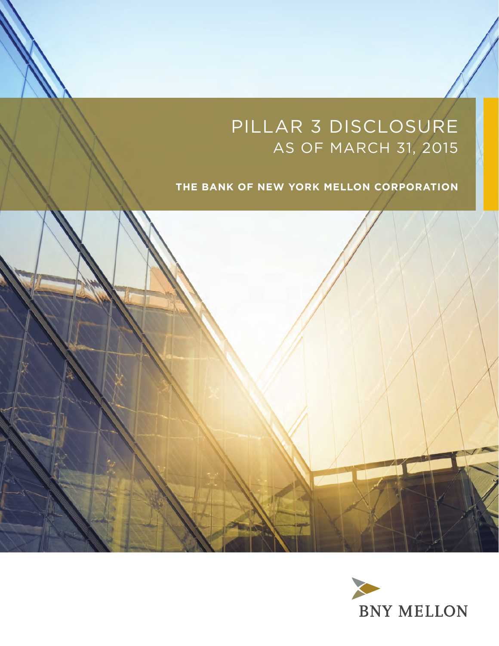# PILLAR 3 DISCLOSURE AS OF MARCH 31, 2015

# **THE BANK OF NEW YORK MELLON CORPORATION**



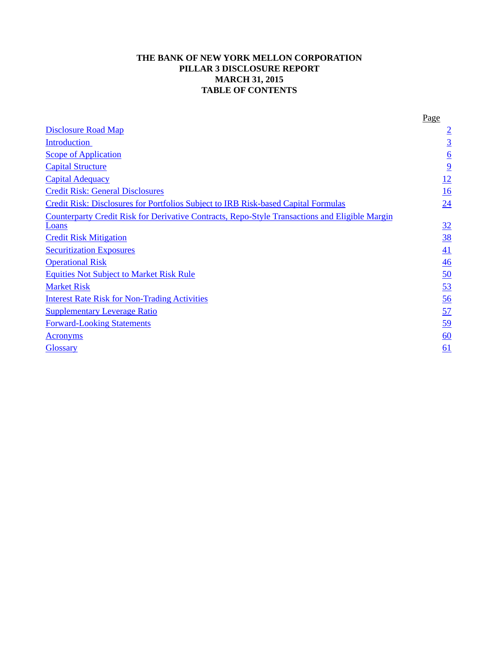# **THE BANK OF NEW YORK MELLON CORPORATION PILLAR 3 DISCLOSURE REPORT MARCH 31, 2015 TABLE OF CONTENTS**

|                                                                                                         | Page                    |
|---------------------------------------------------------------------------------------------------------|-------------------------|
| <b>Disclosure Road Map</b>                                                                              | $\overline{2}$          |
| <b>Introduction</b>                                                                                     | $\overline{3}$          |
| <b>Scope of Application</b>                                                                             | $\overline{\mathbf{6}}$ |
| <b>Capital Structure</b>                                                                                | $\overline{9}$          |
| <b>Capital Adequacy</b>                                                                                 | $\frac{12}{1}$          |
| <b>Credit Risk: General Disclosures</b>                                                                 | 16                      |
| Credit Risk: Disclosures for Portfolios Subject to IRB Risk-based Capital Formulas                      | 24                      |
| Counterparty Credit Risk for Derivative Contracts, Repo-Style Transactions and Eligible Margin<br>Loans | <u>32</u>               |
| <b>Credit Risk Mitigation</b>                                                                           | <u>38</u>               |
| <b>Securitization Exposures</b>                                                                         | $\overline{41}$         |
| <b>Operational Risk</b>                                                                                 | 46                      |
| <b>Equities Not Subject to Market Risk Rule</b>                                                         | 50                      |
| <b>Market Risk</b>                                                                                      | $\overline{53}$         |
| <b>Interest Rate Risk for Non-Trading Activities</b>                                                    | 56                      |
| <b>Supplementary Leverage Ratio</b>                                                                     | 57                      |
| <b>Forward-Looking Statements</b>                                                                       | 59                      |
| Acronyms                                                                                                | 60                      |
| <b>Glossary</b>                                                                                         | 61                      |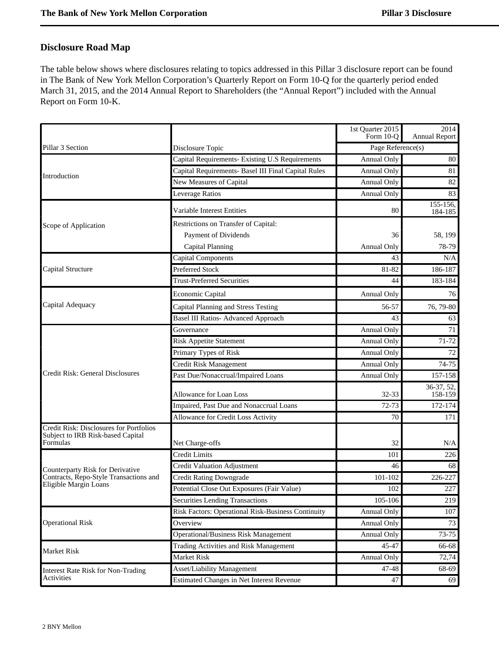# <span id="page-3-0"></span>**Disclosure Road Map**

The table below shows where disclosures relating to topics addressed in this Pillar 3 disclosure report can be found in The Bank of New York Mellon Corporation's Quarterly Report on Form 10-Q for the quarterly period ended March 31, 2015, and the 2014 Annual Report to Shareholders (the "Annual Report") included with the Annual Report on Form 10-K.

|                                                                                          |                                                     | 1st Quarter 2015<br>Form 10-Q | 2014<br>Annual Report |
|------------------------------------------------------------------------------------------|-----------------------------------------------------|-------------------------------|-----------------------|
| Pillar 3 Section                                                                         | Disclosure Topic                                    | Page Reference(s)             |                       |
|                                                                                          | Capital Requirements- Existing U.S Requirements     | Annual Only                   | 80                    |
|                                                                                          | Capital Requirements- Basel III Final Capital Rules | <b>Annual Only</b>            | 81                    |
| Introduction                                                                             | New Measures of Capital                             | Annual Only                   | 82                    |
|                                                                                          | Leverage Ratios                                     | Annual Only                   | 83                    |
|                                                                                          | Variable Interest Entities                          | 80                            | 155-156,<br>184-185   |
| Scope of Application                                                                     | Restrictions on Transfer of Capital:                |                               |                       |
|                                                                                          | Payment of Dividends                                | 36                            | 58, 199               |
|                                                                                          | Capital Planning                                    | Annual Only                   | 78-79                 |
|                                                                                          | <b>Capital Components</b>                           | 43                            | N/A                   |
| Capital Structure                                                                        | <b>Preferred Stock</b>                              | 81-82                         | 186-187               |
|                                                                                          | <b>Trust-Preferred Securities</b>                   | 44                            | 183-184               |
|                                                                                          | Economic Capital                                    | Annual Only                   | 76                    |
| Capital Adequacy                                                                         | Capital Planning and Stress Testing                 | 56-57                         | 76, 79-80             |
|                                                                                          | <b>Basel III Ratios- Advanced Approach</b>          | 43                            | 63                    |
|                                                                                          | Governance                                          | Annual Only                   | 71                    |
|                                                                                          | <b>Risk Appetite Statement</b>                      | Annual Only                   | 71-72                 |
|                                                                                          | Primary Types of Risk                               | Annual Only                   | 72                    |
|                                                                                          | Credit Risk Management                              | Annual Only                   | 74-75                 |
| Credit Risk: General Disclosures                                                         | Past Due/Nonaccrual/Impaired Loans                  | Annual Only                   | 157-158               |
|                                                                                          | Allowance for Loan Loss                             | 32-33                         | 36-37, 52,<br>158-159 |
|                                                                                          | Impaired, Past Due and Nonaccrual Loans             | $72 - 73$                     | 172-174               |
|                                                                                          | Allowance for Credit Loss Activity                  | 70                            | 171                   |
| Credit Risk: Disclosures for Portfolios<br>Subject to IRB Risk-based Capital<br>Formulas | Net Charge-offs                                     | 32                            | N/A                   |
|                                                                                          | Credit Limits                                       | 101                           | 226                   |
|                                                                                          | <b>Credit Valuation Adjustment</b>                  | 46                            | 68                    |
| Counterparty Risk for Derivative<br>Contracts, Repo-Style Transactions and               | <b>Credit Rating Downgrade</b>                      | 101-102                       | 226-227               |
| Eligible Margin Loans                                                                    | Potential Close Out Exposures (Fair Value)          | 102                           | 227                   |
|                                                                                          | <b>Securities Lending Transactions</b>              | 105-106                       | 219                   |
|                                                                                          | Risk Factors: Operational Risk-Business Continuity  | Annual Only                   | 107                   |
| <b>Operational Risk</b>                                                                  | Overview                                            | Annual Only                   | 73                    |
|                                                                                          | Operational/Business Risk Management                | Annual Only                   | 73-75                 |
|                                                                                          | Trading Activities and Risk Management              | 45-47                         | 66-68                 |
| Market Risk                                                                              | <b>Market Risk</b>                                  | Annual Only                   | 72,74                 |
| <b>Interest Rate Risk for Non-Trading</b>                                                | Asset/Liability Management                          | 47-48                         | 68-69                 |
| Activities                                                                               | Estimated Changes in Net Interest Revenue           | 47                            | 69                    |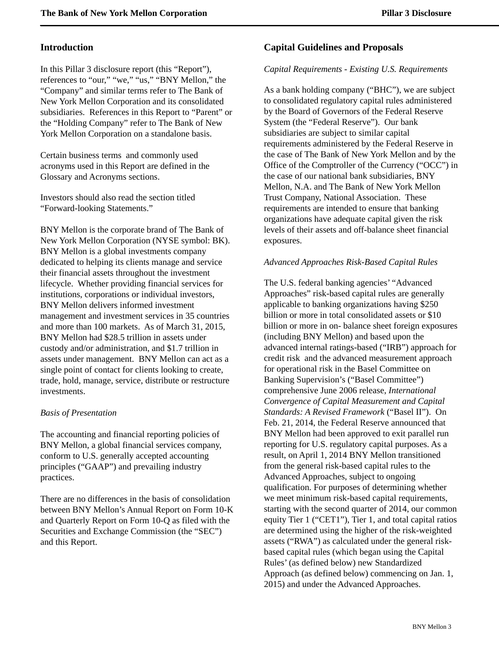# <span id="page-4-0"></span>**Introduction**

In this Pillar 3 disclosure report (this "Report"), references to "our," "we," "us," "BNY Mellon," the "Company" and similar terms refer to The Bank of New York Mellon Corporation and its consolidated subsidiaries. References in this Report to "Parent" or the "Holding Company" refer to The Bank of New York Mellon Corporation on a standalone basis.

Certain business terms and commonly used acronyms used in this Report are defined in the Glossary and Acronyms sections.

Investors should also read the section titled "Forward-looking Statements."

BNY Mellon is the corporate brand of The Bank of New York Mellon Corporation (NYSE symbol: BK). BNY Mellon is a global investments company dedicated to helping its clients manage and service their financial assets throughout the investment lifecycle. Whether providing financial services for institutions, corporations or individual investors, BNY Mellon delivers informed investment management and investment services in 35 countries and more than 100 markets. As of March 31, 2015, BNY Mellon had \$28.5 trillion in assets under custody and/or administration, and \$1.7 trillion in assets under management. BNY Mellon can act as a single point of contact for clients looking to create, trade, hold, manage, service, distribute or restructure investments.

### *Basis of Presentation*

The accounting and financial reporting policies of BNY Mellon, a global financial services company, conform to U.S. generally accepted accounting principles ("GAAP") and prevailing industry practices.

There are no differences in the basis of consolidation between BNY Mellon's Annual Report on Form 10-K and Quarterly Report on Form 10-Q as filed with the Securities and Exchange Commission (the "SEC") and this Report.

### **Capital Guidelines and Proposals**

### *Capital Requirements - Existing U.S. Requirements*

As a bank holding company ("BHC"), we are subject to consolidated regulatory capital rules administered by the Board of Governors of the Federal Reserve System (the "Federal Reserve"). Our bank subsidiaries are subject to similar capital requirements administered by the Federal Reserve in the case of The Bank of New York Mellon and by the Office of the Comptroller of the Currency ("OCC") in the case of our national bank subsidiaries, BNY Mellon, N.A. and The Bank of New York Mellon Trust Company, National Association. These requirements are intended to ensure that banking organizations have adequate capital given the risk levels of their assets and off-balance sheet financial exposures.

### *Advanced Approaches Risk-Based Capital Rules*

The U.S. federal banking agencies' "Advanced Approaches" risk-based capital rules are generally applicable to banking organizations having \$250 billion or more in total consolidated assets or \$10 billion or more in on- balance sheet foreign exposures (including BNY Mellon) and based upon the advanced internal ratings-based ("IRB") approach for credit risk and the advanced measurement approach for operational risk in the Basel Committee on Banking Supervision's ("Basel Committee") comprehensive June 2006 release, *International Convergence of Capital Measurement and Capital Standards: A Revised Framework* ("Basel II"). On Feb. 21, 2014, the Federal Reserve announced that BNY Mellon had been approved to exit parallel run reporting for U.S. regulatory capital purposes. As a result, on April 1, 2014 BNY Mellon transitioned from the general risk-based capital rules to the Advanced Approaches, subject to ongoing qualification. For purposes of determining whether we meet minimum risk-based capital requirements, starting with the second quarter of 2014, our common equity Tier 1 ("CET1"), Tier 1, and total capital ratios are determined using the higher of the risk-weighted assets ("RWA") as calculated under the general riskbased capital rules (which began using the Capital Rules' (as defined below) new Standardized Approach (as defined below) commencing on Jan. 1, 2015) and under the Advanced Approaches.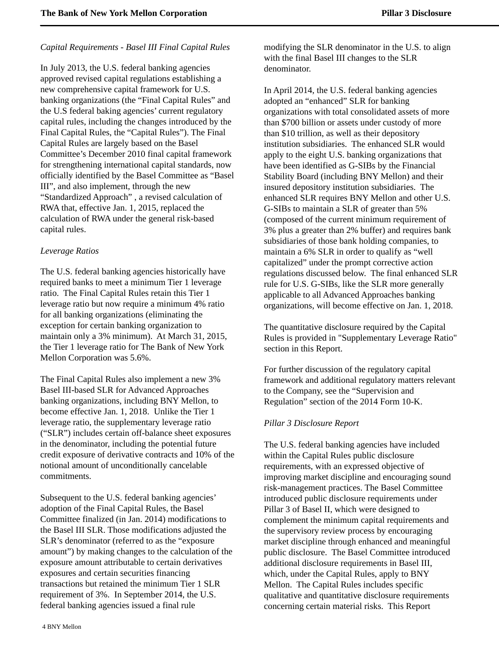### *Capital Requirements - Basel III Final Capital Rules*

In July 2013, the U.S. federal banking agencies approved revised capital regulations establishing a new comprehensive capital framework for U.S. banking organizations (the "Final Capital Rules" and the U.S federal baking agencies' current regulatory capital rules, including the changes introduced by the Final Capital Rules, the "Capital Rules"). The Final Capital Rules are largely based on the Basel Committee's December 2010 final capital framework for strengthening international capital standards, now officially identified by the Basel Committee as "Basel III", and also implement, through the new "Standardized Approach" , a revised calculation of RWA that, effective Jan. 1, 2015, replaced the calculation of RWA under the general risk-based capital rules.

### *Leverage Ratios*

The U.S. federal banking agencies historically have required banks to meet a minimum Tier 1 leverage ratio. The Final Capital Rules retain this Tier 1 leverage ratio but now require a minimum 4% ratio for all banking organizations (eliminating the exception for certain banking organization to maintain only a 3% minimum). At March 31, 2015, the Tier 1 leverage ratio for The Bank of New York Mellon Corporation was 5.6%.

The Final Capital Rules also implement a new 3% Basel III-based SLR for Advanced Approaches banking organizations, including BNY Mellon, to become effective Jan. 1, 2018. Unlike the Tier 1 leverage ratio, the supplementary leverage ratio ("SLR") includes certain off-balance sheet exposures in the denominator, including the potential future credit exposure of derivative contracts and 10% of the notional amount of unconditionally cancelable commitments.

Subsequent to the U.S. federal banking agencies' adoption of the Final Capital Rules, the Basel Committee finalized (in Jan. 2014) modifications to the Basel III SLR. Those modifications adjusted the SLR's denominator (referred to as the "exposure amount") by making changes to the calculation of the exposure amount attributable to certain derivatives exposures and certain securities financing transactions but retained the minimum Tier 1 SLR requirement of 3%. In September 2014, the U.S. federal banking agencies issued a final rule

modifying the SLR denominator in the U.S. to align with the final Basel III changes to the SLR denominator.

In April 2014, the U.S. federal banking agencies adopted an "enhanced" SLR for banking organizations with total consolidated assets of more than \$700 billion or assets under custody of more than \$10 trillion, as well as their depository institution subsidiaries. The enhanced SLR would apply to the eight U.S. banking organizations that have been identified as G-SIBs by the Financial Stability Board (including BNY Mellon) and their insured depository institution subsidiaries. The enhanced SLR requires BNY Mellon and other U.S. G-SIBs to maintain a SLR of greater than 5% (composed of the current minimum requirement of 3% plus a greater than 2% buffer) and requires bank subsidiaries of those bank holding companies, to maintain a 6% SLR in order to qualify as "well capitalized" under the prompt corrective action regulations discussed below. The final enhanced SLR rule for U.S. G-SIBs, like the SLR more generally applicable to all Advanced Approaches banking organizations, will become effective on Jan. 1, 2018.

The quantitative disclosure required by the Capital Rules is provided in "Supplementary Leverage Ratio" section in this Report.

For further discussion of the regulatory capital framework and additional regulatory matters relevant to the Company, see the "Supervision and Regulation" section of the 2014 Form 10-K.

# *Pillar 3 Disclosure Report*

The U.S. federal banking agencies have included within the Capital Rules public disclosure requirements, with an expressed objective of improving market discipline and encouraging sound risk-management practices. The Basel Committee introduced public disclosure requirements under Pillar 3 of Basel II, which were designed to complement the minimum capital requirements and the supervisory review process by encouraging market discipline through enhanced and meaningful public disclosure. The Basel Committee introduced additional disclosure requirements in Basel III, which, under the Capital Rules, apply to BNY Mellon. The Capital Rules includes specific qualitative and quantitative disclosure requirements concerning certain material risks. This Report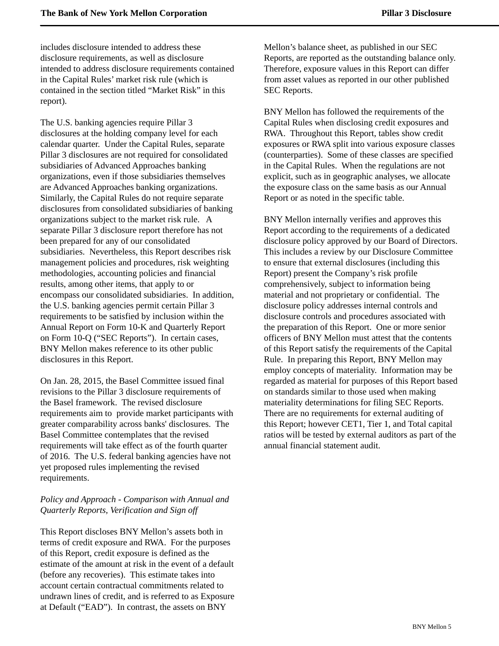includes disclosure intended to address these disclosure requirements, as well as disclosure intended to address disclosure requirements contained in the Capital Rules' market risk rule (which is contained in the section titled "Market Risk" in this report).

The U.S. banking agencies require Pillar 3 disclosures at the holding company level for each calendar quarter. Under the Capital Rules, separate Pillar 3 disclosures are not required for consolidated subsidiaries of Advanced Approaches banking organizations, even if those subsidiaries themselves are Advanced Approaches banking organizations. Similarly, the Capital Rules do not require separate disclosures from consolidated subsidiaries of banking organizations subject to the market risk rule. A separate Pillar 3 disclosure report therefore has not been prepared for any of our consolidated subsidiaries. Nevertheless, this Report describes risk management policies and procedures, risk weighting methodologies, accounting policies and financial results, among other items, that apply to or encompass our consolidated subsidiaries. In addition, the U.S. banking agencies permit certain Pillar 3 requirements to be satisfied by inclusion within the Annual Report on Form 10-K and Quarterly Report on Form 10-Q ("SEC Reports"). In certain cases, BNY Mellon makes reference to its other public disclosures in this Report.

On Jan. 28, 2015, the Basel Committee issued final revisions to the Pillar 3 disclosure requirements of the Basel framework. The revised disclosure requirements aim to provide market participants with greater comparability across banks' disclosures. The Basel Committee contemplates that the revised requirements will take effect as of the fourth quarter of 2016. The U.S. federal banking agencies have not yet proposed rules implementing the revised requirements.

# *Policy and Approach - Comparison with Annual and Quarterly Reports, Verification and Sign off*

This Report discloses BNY Mellon's assets both in terms of credit exposure and RWA. For the purposes of this Report, credit exposure is defined as the estimate of the amount at risk in the event of a default (before any recoveries). This estimate takes into account certain contractual commitments related to undrawn lines of credit, and is referred to as Exposure at Default ("EAD"). In contrast, the assets on BNY

Mellon's balance sheet, as published in our SEC Reports, are reported as the outstanding balance only. Therefore, exposure values in this Report can differ from asset values as reported in our other published SEC Reports.

BNY Mellon has followed the requirements of the Capital Rules when disclosing credit exposures and RWA. Throughout this Report, tables show credit exposures or RWA split into various exposure classes (counterparties). Some of these classes are specified in the Capital Rules. When the regulations are not explicit, such as in geographic analyses, we allocate the exposure class on the same basis as our Annual Report or as noted in the specific table.

BNY Mellon internally verifies and approves this Report according to the requirements of a dedicated disclosure policy approved by our Board of Directors. This includes a review by our Disclosure Committee to ensure that external disclosures (including this Report) present the Company's risk profile comprehensively, subject to information being material and not proprietary or confidential. The disclosure policy addresses internal controls and disclosure controls and procedures associated with the preparation of this Report. One or more senior officers of BNY Mellon must attest that the contents of this Report satisfy the requirements of the Capital Rule. In preparing this Report, BNY Mellon may employ concepts of materiality. Information may be regarded as material for purposes of this Report based on standards similar to those used when making materiality determinations for filing SEC Reports. There are no requirements for external auditing of this Report; however CET1, Tier 1, and Total capital ratios will be tested by external auditors as part of the annual financial statement audit.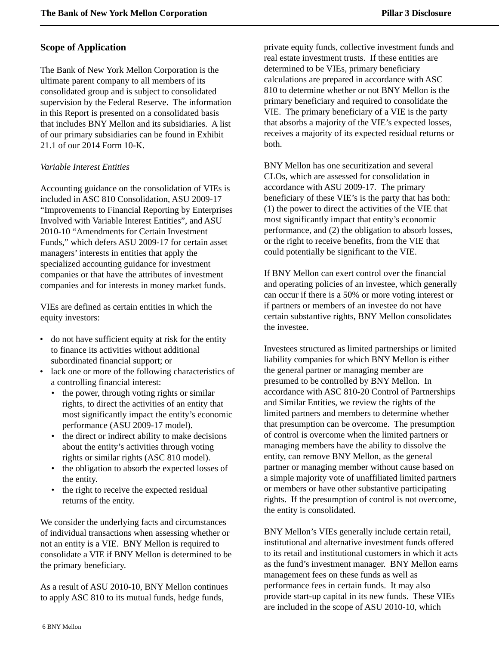# <span id="page-7-0"></span>**Scope of Application**

The Bank of New York Mellon Corporation is the ultimate parent company to all members of its consolidated group and is subject to consolidated supervision by the Federal Reserve. The information in this Report is presented on a consolidated basis that includes BNY Mellon and its subsidiaries. A list of our primary subsidiaries can be found in Exhibit 21.1 of our 2014 Form 10-K.

### *Variable Interest Entities*

Accounting guidance on the consolidation of VIEs is included in ASC 810 Consolidation, ASU 2009-17 "Improvements to Financial Reporting by Enterprises Involved with Variable Interest Entities", and ASU 2010-10 "Amendments for Certain Investment Funds," which defers ASU 2009-17 for certain asset managers' interests in entities that apply the specialized accounting guidance for investment companies or that have the attributes of investment companies and for interests in money market funds.

VIEs are defined as certain entities in which the equity investors:

- do not have sufficient equity at risk for the entity to finance its activities without additional subordinated financial support; or
- lack one or more of the following characteristics of a controlling financial interest:
	- the power, through voting rights or similar rights, to direct the activities of an entity that most significantly impact the entity's economic performance (ASU 2009-17 model).
	- the direct or indirect ability to make decisions about the entity's activities through voting rights or similar rights (ASC 810 model).
	- the obligation to absorb the expected losses of the entity.
	- the right to receive the expected residual returns of the entity.

We consider the underlying facts and circumstances of individual transactions when assessing whether or not an entity is a VIE. BNY Mellon is required to consolidate a VIE if BNY Mellon is determined to be the primary beneficiary.

As a result of ASU 2010-10, BNY Mellon continues to apply ASC 810 to its mutual funds, hedge funds,

private equity funds, collective investment funds and real estate investment trusts. If these entities are determined to be VIEs, primary beneficiary calculations are prepared in accordance with ASC 810 to determine whether or not BNY Mellon is the primary beneficiary and required to consolidate the VIE. The primary beneficiary of a VIE is the party that absorbs a majority of the VIE's expected losses, receives a majority of its expected residual returns or both.

BNY Mellon has one securitization and several CLOs, which are assessed for consolidation in accordance with ASU 2009-17. The primary beneficiary of these VIE's is the party that has both: (1) the power to direct the activities of the VIE that most significantly impact that entity's economic performance, and (2) the obligation to absorb losses, or the right to receive benefits, from the VIE that could potentially be significant to the VIE.

If BNY Mellon can exert control over the financial and operating policies of an investee, which generally can occur if there is a 50% or more voting interest or if partners or members of an investee do not have certain substantive rights, BNY Mellon consolidates the investee.

Investees structured as limited partnerships or limited liability companies for which BNY Mellon is either the general partner or managing member are presumed to be controlled by BNY Mellon. In accordance with ASC 810-20 Control of Partnerships and Similar Entities, we review the rights of the limited partners and members to determine whether that presumption can be overcome. The presumption of control is overcome when the limited partners or managing members have the ability to dissolve the entity, can remove BNY Mellon, as the general partner or managing member without cause based on a simple majority vote of unaffiliated limited partners or members or have other substantive participating rights. If the presumption of control is not overcome, the entity is consolidated.

BNY Mellon's VIEs generally include certain retail, institutional and alternative investment funds offered to its retail and institutional customers in which it acts as the fund's investment manager. BNY Mellon earns management fees on these funds as well as performance fees in certain funds. It may also provide start-up capital in its new funds. These VIEs are included in the scope of ASU 2010-10, which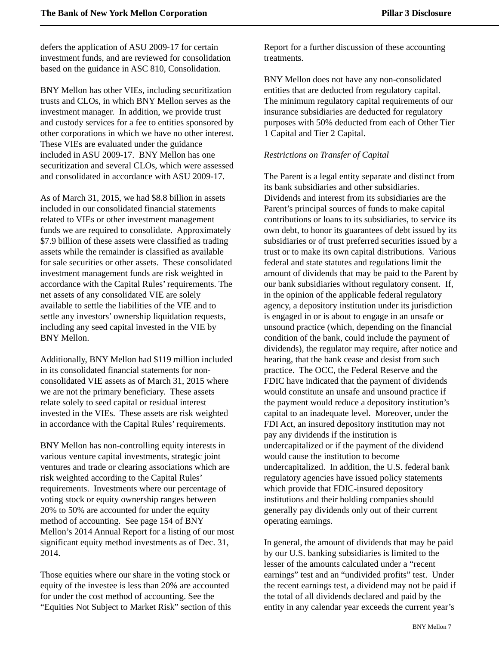defers the application of ASU 2009-17 for certain investment funds, and are reviewed for consolidation based on the guidance in ASC 810, Consolidation.

BNY Mellon has other VIEs, including securitization trusts and CLOs, in which BNY Mellon serves as the investment manager. In addition, we provide trust and custody services for a fee to entities sponsored by other corporations in which we have no other interest. These VIEs are evaluated under the guidance included in ASU 2009-17. BNY Mellon has one securitization and several CLOs, which were assessed and consolidated in accordance with ASU 2009-17.

As of March 31, 2015, we had \$8.8 billion in assets included in our consolidated financial statements related to VIEs or other investment management funds we are required to consolidate. Approximately \$7.9 billion of these assets were classified as trading assets while the remainder is classified as available for sale securities or other assets. These consolidated investment management funds are risk weighted in accordance with the Capital Rules' requirements. The net assets of any consolidated VIE are solely available to settle the liabilities of the VIE and to settle any investors' ownership liquidation requests, including any seed capital invested in the VIE by BNY Mellon.

Additionally, BNY Mellon had \$119 million included in its consolidated financial statements for nonconsolidated VIE assets as of March 31, 2015 where we are not the primary beneficiary. These assets relate solely to seed capital or residual interest invested in the VIEs. These assets are risk weighted in accordance with the Capital Rules' requirements.

BNY Mellon has non-controlling equity interests in various venture capital investments, strategic joint ventures and trade or clearing associations which are risk weighted according to the Capital Rules' requirements. Investments where our percentage of voting stock or equity ownership ranges between 20% to 50% are accounted for under the equity method of accounting. See page 154 of BNY Mellon's 2014 Annual Report for a listing of our most significant equity method investments as of Dec. 31, 2014.

Those equities where our share in the voting stock or equity of the investee is less than 20% are accounted for under the cost method of accounting. See the "Equities Not Subject to Market Risk" section of this Report for a further discussion of these accounting treatments.

BNY Mellon does not have any non-consolidated entities that are deducted from regulatory capital. The minimum regulatory capital requirements of our insurance subsidiaries are deducted for regulatory purposes with 50% deducted from each of Other Tier 1 Capital and Tier 2 Capital.

### *Restrictions on Transfer of Capital*

The Parent is a legal entity separate and distinct from its bank subsidiaries and other subsidiaries. Dividends and interest from its subsidiaries are the Parent's principal sources of funds to make capital contributions or loans to its subsidiaries, to service its own debt, to honor its guarantees of debt issued by its subsidiaries or of trust preferred securities issued by a trust or to make its own capital distributions. Various federal and state statutes and regulations limit the amount of dividends that may be paid to the Parent by our bank subsidiaries without regulatory consent. If, in the opinion of the applicable federal regulatory agency, a depository institution under its jurisdiction is engaged in or is about to engage in an unsafe or unsound practice (which, depending on the financial condition of the bank, could include the payment of dividends), the regulator may require, after notice and hearing, that the bank cease and desist from such practice. The OCC, the Federal Reserve and the FDIC have indicated that the payment of dividends would constitute an unsafe and unsound practice if the payment would reduce a depository institution's capital to an inadequate level. Moreover, under the FDI Act, an insured depository institution may not pay any dividends if the institution is undercapitalized or if the payment of the dividend would cause the institution to become undercapitalized. In addition, the U.S. federal bank regulatory agencies have issued policy statements which provide that FDIC-insured depository institutions and their holding companies should generally pay dividends only out of their current operating earnings.

In general, the amount of dividends that may be paid by our U.S. banking subsidiaries is limited to the lesser of the amounts calculated under a "recent earnings" test and an "undivided profits" test. Under the recent earnings test, a dividend may not be paid if the total of all dividends declared and paid by the entity in any calendar year exceeds the current year's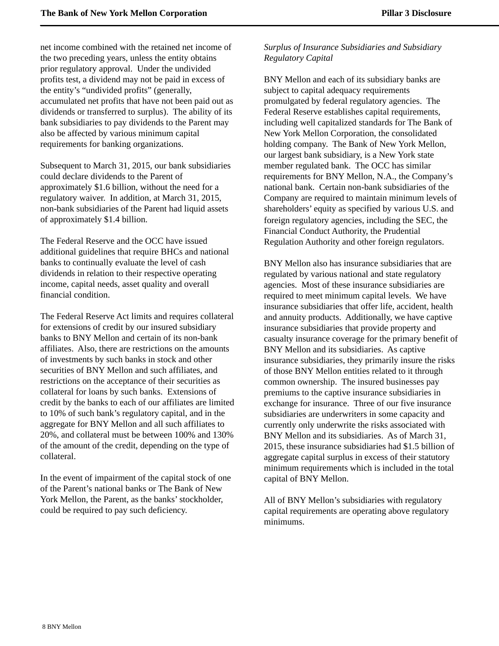net income combined with the retained net income of the two preceding years, unless the entity obtains prior regulatory approval. Under the undivided profits test, a dividend may not be paid in excess of the entity's "undivided profits" (generally, accumulated net profits that have not been paid out as dividends or transferred to surplus). The ability of its bank subsidiaries to pay dividends to the Parent may also be affected by various minimum capital requirements for banking organizations.

Subsequent to March 31, 2015, our bank subsidiaries could declare dividends to the Parent of approximately \$1.6 billion, without the need for a regulatory waiver. In addition, at March 31, 2015, non-bank subsidiaries of the Parent had liquid assets of approximately \$1.4 billion.

The Federal Reserve and the OCC have issued additional guidelines that require BHCs and national banks to continually evaluate the level of cash dividends in relation to their respective operating income, capital needs, asset quality and overall financial condition.

The Federal Reserve Act limits and requires collateral for extensions of credit by our insured subsidiary banks to BNY Mellon and certain of its non-bank affiliates. Also, there are restrictions on the amounts of investments by such banks in stock and other securities of BNY Mellon and such affiliates, and restrictions on the acceptance of their securities as collateral for loans by such banks. Extensions of credit by the banks to each of our affiliates are limited to 10% of such bank's regulatory capital, and in the aggregate for BNY Mellon and all such affiliates to 20%, and collateral must be between 100% and 130% of the amount of the credit, depending on the type of collateral.

In the event of impairment of the capital stock of one of the Parent's national banks or The Bank of New York Mellon, the Parent, as the banks' stockholder, could be required to pay such deficiency.

# *Surplus of Insurance Subsidiaries and Subsidiary Regulatory Capital*

BNY Mellon and each of its subsidiary banks are subject to capital adequacy requirements promulgated by federal regulatory agencies. The Federal Reserve establishes capital requirements, including well capitalized standards for The Bank of New York Mellon Corporation, the consolidated holding company. The Bank of New York Mellon, our largest bank subsidiary, is a New York state member regulated bank. The OCC has similar requirements for BNY Mellon, N.A., the Company's national bank. Certain non-bank subsidiaries of the Company are required to maintain minimum levels of shareholders' equity as specified by various U.S. and foreign regulatory agencies, including the SEC, the Financial Conduct Authority, the Prudential Regulation Authority and other foreign regulators.

BNY Mellon also has insurance subsidiaries that are regulated by various national and state regulatory agencies. Most of these insurance subsidiaries are required to meet minimum capital levels. We have insurance subsidiaries that offer life, accident, health and annuity products. Additionally, we have captive insurance subsidiaries that provide property and casualty insurance coverage for the primary benefit of BNY Mellon and its subsidiaries. As captive insurance subsidiaries, they primarily insure the risks of those BNY Mellon entities related to it through common ownership. The insured businesses pay premiums to the captive insurance subsidiaries in exchange for insurance. Three of our five insurance subsidiaries are underwriters in some capacity and currently only underwrite the risks associated with BNY Mellon and its subsidiaries. As of March 31, 2015, these insurance subsidiaries had \$1.5 billion of aggregate capital surplus in excess of their statutory minimum requirements which is included in the total capital of BNY Mellon.

All of BNY Mellon's subsidiaries with regulatory capital requirements are operating above regulatory minimums.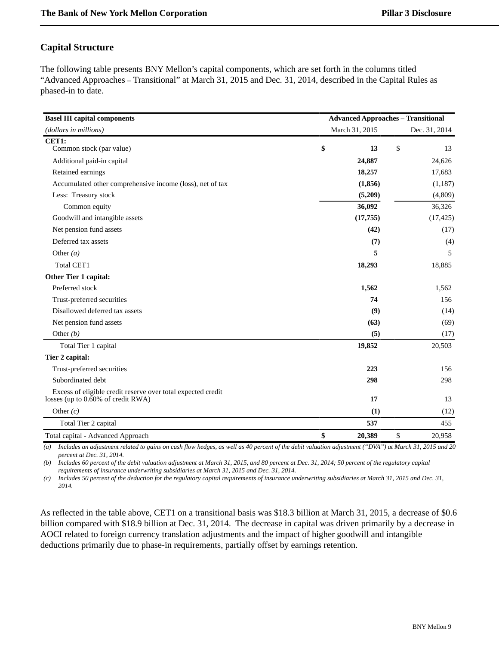# <span id="page-10-0"></span>**Capital Structure**

The following table presents BNY Mellon's capital components, which are set forth in the columns titled "Advanced Approaches – Transitional" at March 31, 2015 and Dec. 31, 2014, described in the Capital Rules as phased-in to date.

| <b>Basel III capital components</b>                                                                   | <b>Advanced Approaches - Transitional</b> |                |    |               |  |  |  |
|-------------------------------------------------------------------------------------------------------|-------------------------------------------|----------------|----|---------------|--|--|--|
| (dollars in millions)                                                                                 |                                           | March 31, 2015 |    | Dec. 31, 2014 |  |  |  |
| CET1:                                                                                                 |                                           |                |    |               |  |  |  |
| Common stock (par value)                                                                              | \$                                        | 13             | \$ | 13            |  |  |  |
| Additional paid-in capital                                                                            |                                           | 24,887         |    | 24,626        |  |  |  |
| Retained earnings                                                                                     |                                           | 18,257         |    | 17,683        |  |  |  |
| Accumulated other comprehensive income (loss), net of tax                                             |                                           | (1, 856)       |    | (1,187)       |  |  |  |
| Less: Treasury stock                                                                                  |                                           | (5,209)        |    | (4,809)       |  |  |  |
| Common equity                                                                                         |                                           | 36,092         |    | 36,326        |  |  |  |
| Goodwill and intangible assets                                                                        |                                           | (17,755)       |    | (17, 425)     |  |  |  |
| Net pension fund assets                                                                               |                                           | (42)           |    | (17)          |  |  |  |
| Deferred tax assets                                                                                   |                                           | (7)            |    | (4)           |  |  |  |
| Other $(a)$                                                                                           |                                           | 5              |    | 5             |  |  |  |
| <b>Total CET1</b>                                                                                     |                                           | 18,293         |    | 18,885        |  |  |  |
| Other Tier 1 capital:                                                                                 |                                           |                |    |               |  |  |  |
| Preferred stock                                                                                       |                                           | 1,562          |    | 1,562         |  |  |  |
| Trust-preferred securities                                                                            |                                           | 74             |    | 156           |  |  |  |
| Disallowed deferred tax assets                                                                        |                                           | (9)            |    | (14)          |  |  |  |
| Net pension fund assets                                                                               |                                           | (63)           |    | (69)          |  |  |  |
| Other $(b)$                                                                                           |                                           | (5)            |    | (17)          |  |  |  |
| Total Tier 1 capital                                                                                  |                                           | 19,852         |    | 20,503        |  |  |  |
| Tier 2 capital:                                                                                       |                                           |                |    |               |  |  |  |
| Trust-preferred securities                                                                            |                                           | 223            |    | 156           |  |  |  |
| Subordinated debt                                                                                     |                                           | 298            |    | 298           |  |  |  |
| Excess of eligible credit reserve over total expected credit<br>losses (up to $0.60\%$ of credit RWA) |                                           | 17             |    | 13            |  |  |  |
| Other $(c)$                                                                                           |                                           | (1)            |    | (12)          |  |  |  |
| Total Tier 2 capital                                                                                  |                                           | 537            |    | 455           |  |  |  |
| Total capital - Advanced Approach                                                                     | \$                                        | 20,389         | \$ | 20,958        |  |  |  |

*(a) Includes an adjustment related to gains on cash flow hedges, as well as 40 percent of the debit valuation adjustment ("DVA") at March 31, 2015 and 20 percent at Dec. 31, 2014.* 

*(b) Includes 60 percent of the debit valuation adjustment at March 31, 2015, and 80 percent at Dec. 31, 2014; 50 percent of the regulatory capital requirements of insurance underwriting subsidiaries at March 31, 2015 and Dec. 31, 2014.* 

*(c) Includes 50 percent of the deduction for the regulatory capital requirements of insurance underwriting subsidiaries at March 31, 2015 and Dec. 31, 2014.*

As reflected in the table above, CET1 on a transitional basis was \$18.3 billion at March 31, 2015, a decrease of \$0.6 billion compared with \$18.9 billion at Dec. 31, 2014. The decrease in capital was driven primarily by a decrease in AOCI related to foreign currency translation adjustments and the impact of higher goodwill and intangible deductions primarily due to phase-in requirements, partially offset by earnings retention.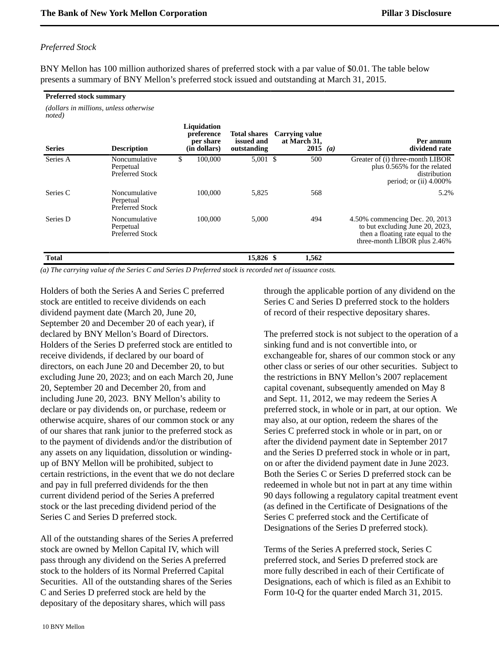### *Preferred Stock*

*noted)*

BNY Mellon has 100 million authorized shares of preferred stock with a par value of \$0.01. The table below presents a summary of BNY Mellon's preferred stock issued and outstanding at March 31, 2015.

#### **Preferred stock summary**

*(dollars in millions, unless otherwise*

| <b>Series</b> | <b>Description</b>                                   | Liquidation<br>preference<br>per share<br>(in dollars) | <b>Total shares</b><br>issued and<br>outstanding | <b>Carrying value</b><br>at March 31,<br>2015 ( <i>a</i> ) | Per annum<br>dividend rate                                                                                                             |
|---------------|------------------------------------------------------|--------------------------------------------------------|--------------------------------------------------|------------------------------------------------------------|----------------------------------------------------------------------------------------------------------------------------------------|
| Series A      | Noncumulative<br>Perpetual<br><b>Preferred Stock</b> | \$<br>100,000                                          | $5,001$ \$                                       | 500                                                        | Greater of (i) three-month LIBOR<br>plus 0.565% for the related<br>distribution<br>period; or $(ii)$ 4.000%                            |
| Series C      | Noncumulative<br>Perpetual<br>Preferred Stock        | 100,000                                                | 5,825                                            | 568                                                        | 5.2%                                                                                                                                   |
| Series D      | Noncumulative<br>Perpetual<br>Preferred Stock        | 100,000                                                | 5,000                                            | 494                                                        | 4.50% commencing Dec. 20, 2013<br>to but excluding June 20, 2023,<br>then a floating rate equal to the<br>three-month LIBOR plus 2.46% |
| <b>Total</b>  |                                                      |                                                        | 15,826 \$                                        | 1,562                                                      |                                                                                                                                        |

*(a) The carrying value of the Series C and Series D Preferred stock is recorded net of issuance costs.*

Holders of both the Series A and Series C preferred stock are entitled to receive dividends on each dividend payment date (March 20, June 20, September 20 and December 20 of each year), if declared by BNY Mellon's Board of Directors. Holders of the Series D preferred stock are entitled to receive dividends, if declared by our board of directors, on each June 20 and December 20, to but excluding June 20, 2023; and on each March 20, June 20, September 20 and December 20, from and including June 20, 2023. BNY Mellon's ability to declare or pay dividends on, or purchase, redeem or otherwise acquire, shares of our common stock or any of our shares that rank junior to the preferred stock as to the payment of dividends and/or the distribution of any assets on any liquidation, dissolution or windingup of BNY Mellon will be prohibited, subject to certain restrictions, in the event that we do not declare and pay in full preferred dividends for the then current dividend period of the Series A preferred stock or the last preceding dividend period of the Series C and Series D preferred stock.

All of the outstanding shares of the Series A preferred stock are owned by Mellon Capital IV, which will pass through any dividend on the Series A preferred stock to the holders of its Normal Preferred Capital Securities. All of the outstanding shares of the Series C and Series D preferred stock are held by the depositary of the depositary shares, which will pass

through the applicable portion of any dividend on the Series C and Series D preferred stock to the holders of record of their respective depositary shares.

The preferred stock is not subject to the operation of a sinking fund and is not convertible into, or exchangeable for, shares of our common stock or any other class or series of our other securities. Subject to the restrictions in BNY Mellon's 2007 replacement capital covenant, subsequently amended on May 8 and Sept. 11, 2012, we may redeem the Series A preferred stock, in whole or in part, at our option. We may also, at our option, redeem the shares of the Series C preferred stock in whole or in part, on or after the dividend payment date in September 2017 and the Series D preferred stock in whole or in part, on or after the dividend payment date in June 2023. Both the Series C or Series D preferred stock can be redeemed in whole but not in part at any time within 90 days following a regulatory capital treatment event (as defined in the Certificate of Designations of the Series C preferred stock and the Certificate of Designations of the Series D preferred stock).

Terms of the Series A preferred stock, Series C preferred stock, and Series D preferred stock are more fully described in each of their Certificate of Designations, each of which is filed as an Exhibit to Form 10-Q for the quarter ended March 31, 2015.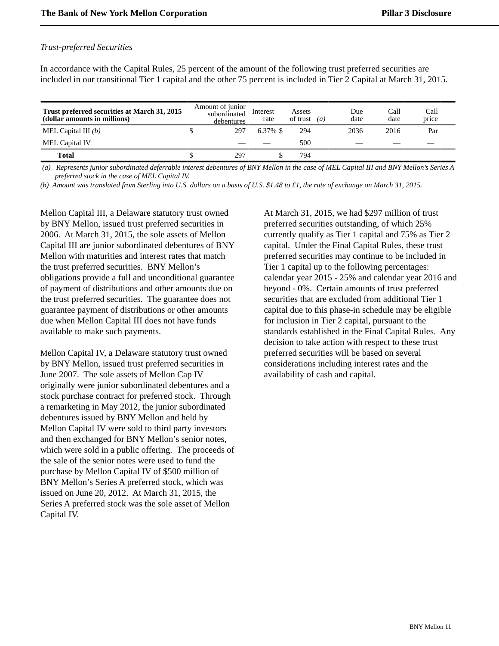### *Trust-preferred Securities*

In accordance with the Capital Rules, 25 percent of the amount of the following trust preferred securities are included in our transitional Tier 1 capital and the other 75 percent is included in Tier 2 Capital at March 31, 2015.

| Trust preferred securities at March 31, 2015<br>(dollar amounts in millions) | Amount of junior<br>subordinated<br>debentures | Interest<br>rate | Assets<br>of trust | $\left( a\right)$ | Due<br>date | Call<br>date | Call<br>price            |
|------------------------------------------------------------------------------|------------------------------------------------|------------------|--------------------|-------------------|-------------|--------------|--------------------------|
| MEL Capital III $(b)$                                                        | 297                                            | $6.37\%$ \$      | 294                |                   | 2036        | 2016         | Par                      |
| MEL Capital IV                                                               | $\overline{\phantom{a}}$                       |                  | 500                |                   | __          | __           | $\overline{\phantom{a}}$ |
| <b>Total</b>                                                                 | 297                                            |                  | 794                |                   |             |              |                          |

 *(a) Represents junior subordinated deferrable interest debentures of BNY Mellon in the case of MEL Capital III and BNY Mellon's Series A preferred stock in the case of MEL Capital IV.*

*(b) Amount was translated from Sterling into U.S. dollars on a basis of U.S. \$1.48 to £1, the rate of exchange on March 31, 2015.*

Mellon Capital III, a Delaware statutory trust owned by BNY Mellon, issued trust preferred securities in 2006. At March 31, 2015, the sole assets of Mellon Capital III are junior subordinated debentures of BNY Mellon with maturities and interest rates that match the trust preferred securities. BNY Mellon's obligations provide a full and unconditional guarantee of payment of distributions and other amounts due on the trust preferred securities. The guarantee does not guarantee payment of distributions or other amounts due when Mellon Capital III does not have funds available to make such payments.

Mellon Capital IV, a Delaware statutory trust owned by BNY Mellon, issued trust preferred securities in June 2007. The sole assets of Mellon Cap IV originally were junior subordinated debentures and a stock purchase contract for preferred stock. Through a remarketing in May 2012, the junior subordinated debentures issued by BNY Mellon and held by Mellon Capital IV were sold to third party investors and then exchanged for BNY Mellon's senior notes, which were sold in a public offering. The proceeds of the sale of the senior notes were used to fund the purchase by Mellon Capital IV of \$500 million of BNY Mellon's Series A preferred stock, which was issued on June 20, 2012. At March 31, 2015, the Series A preferred stock was the sole asset of Mellon Capital IV.

At March 31, 2015, we had \$297 million of trust preferred securities outstanding, of which 25% currently qualify as Tier 1 capital and 75% as Tier 2 capital. Under the Final Capital Rules, these trust preferred securities may continue to be included in Tier 1 capital up to the following percentages: calendar year 2015 - 25% and calendar year 2016 and beyond - 0%. Certain amounts of trust preferred securities that are excluded from additional Tier 1 capital due to this phase-in schedule may be eligible for inclusion in Tier 2 capital, pursuant to the standards established in the Final Capital Rules. Any decision to take action with respect to these trust preferred securities will be based on several considerations including interest rates and the availability of cash and capital.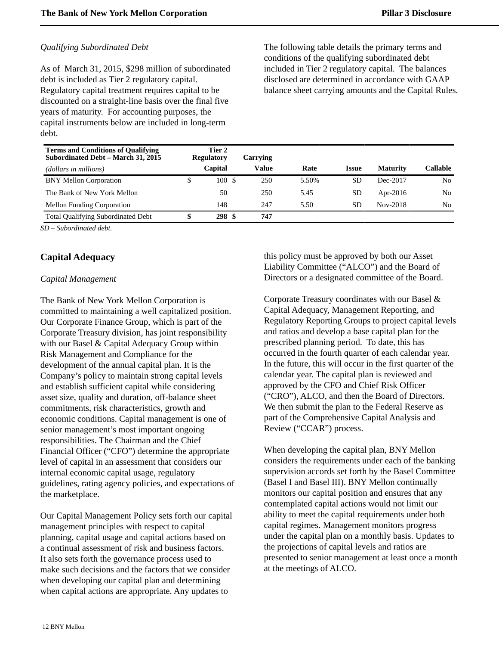### *Qualifying Subordinated Debt*

As of March 31, 2015, \$298 million of subordinated debt is included as Tier 2 regulatory capital. Regulatory capital treatment requires capital to be discounted on a straight-line basis over the final five years of maturity. For accounting purposes, the capital instruments below are included in long-term debt.

The following table details the primary terms and conditions of the qualifying subordinated debt included in Tier 2 regulatory capital. The balances disclosed are determined in accordance with GAAP balance sheet carrying amounts and the Capital Rules.

| <b>Terms and Conditions of Qualifying</b><br>Subordinated Debt – March 31, 2015 |   | Tier 2<br><b>Regulatory</b> | Carrving |       |              |                 |          |
|---------------------------------------------------------------------------------|---|-----------------------------|----------|-------|--------------|-----------------|----------|
| (dollars in millions)                                                           |   | Capital                     | Value    | Rate  | <b>Issue</b> | <b>Maturity</b> | Callable |
| <b>BNY Mellon Corporation</b>                                                   | S | 100S                        | 250      | 5.50% | SD           | Dec-2017        | No       |
| The Bank of New York Mellon                                                     |   | 50                          | 250      | 5.45  | <b>SD</b>    | Apr-2016        | No       |
| <b>Mellon Funding Corporation</b>                                               |   | 148                         | 247      | 5.50  | SD           | Nov-2018        | No.      |
| <b>Total Qualifying Subordinated Debt</b>                                       |   | 298S                        | 747      |       |              |                 |          |

*SD – Subordinated debt.*

# <span id="page-13-0"></span>**Capital Adequacy**

### *Capital Management*

The Bank of New York Mellon Corporation is committed to maintaining a well capitalized position. Our Corporate Finance Group, which is part of the Corporate Treasury division, has joint responsibility with our Basel & Capital Adequacy Group within Risk Management and Compliance for the development of the annual capital plan. It is the Company's policy to maintain strong capital levels and establish sufficient capital while considering asset size, quality and duration, off-balance sheet commitments, risk characteristics, growth and economic conditions. Capital management is one of senior management's most important ongoing responsibilities. The Chairman and the Chief Financial Officer ("CFO") determine the appropriate level of capital in an assessment that considers our internal economic capital usage, regulatory guidelines, rating agency policies, and expectations of the marketplace.

Our Capital Management Policy sets forth our capital management principles with respect to capital planning, capital usage and capital actions based on a continual assessment of risk and business factors. It also sets forth the governance process used to make such decisions and the factors that we consider when developing our capital plan and determining when capital actions are appropriate. Any updates to

this policy must be approved by both our Asset Liability Committee ("ALCO") and the Board of Directors or a designated committee of the Board.

Corporate Treasury coordinates with our Basel & Capital Adequacy, Management Reporting, and Regulatory Reporting Groups to project capital levels and ratios and develop a base capital plan for the prescribed planning period. To date, this has occurred in the fourth quarter of each calendar year. In the future, this will occur in the first quarter of the calendar year. The capital plan is reviewed and approved by the CFO and Chief Risk Officer ("CRO"), ALCO, and then the Board of Directors. We then submit the plan to the Federal Reserve as part of the Comprehensive Capital Analysis and Review ("CCAR") process.

When developing the capital plan, BNY Mellon considers the requirements under each of the banking supervision accords set forth by the Basel Committee (Basel I and Basel III). BNY Mellon continually monitors our capital position and ensures that any contemplated capital actions would not limit our ability to meet the capital requirements under both capital regimes. Management monitors progress under the capital plan on a monthly basis. Updates to the projections of capital levels and ratios are presented to senior management at least once a month at the meetings of ALCO.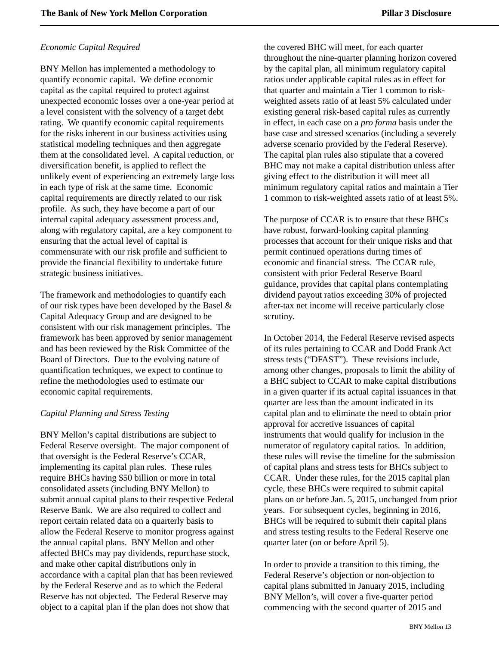### *Economic Capital Required*

BNY Mellon has implemented a methodology to quantify economic capital. We define economic capital as the capital required to protect against unexpected economic losses over a one-year period at a level consistent with the solvency of a target debt rating. We quantify economic capital requirements for the risks inherent in our business activities using statistical modeling techniques and then aggregate them at the consolidated level. A capital reduction, or diversification benefit, is applied to reflect the unlikely event of experiencing an extremely large loss in each type of risk at the same time. Economic capital requirements are directly related to our risk profile. As such, they have become a part of our internal capital adequacy assessment process and, along with regulatory capital, are a key component to ensuring that the actual level of capital is commensurate with our risk profile and sufficient to provide the financial flexibility to undertake future strategic business initiatives.

The framework and methodologies to quantify each of our risk types have been developed by the Basel & Capital Adequacy Group and are designed to be consistent with our risk management principles. The framework has been approved by senior management and has been reviewed by the Risk Committee of the Board of Directors. Due to the evolving nature of quantification techniques, we expect to continue to refine the methodologies used to estimate our economic capital requirements.

### *Capital Planning and Stress Testing*

BNY Mellon's capital distributions are subject to Federal Reserve oversight. The major component of that oversight is the Federal Reserve's CCAR, implementing its capital plan rules. These rules require BHCs having \$50 billion or more in total consolidated assets (including BNY Mellon) to submit annual capital plans to their respective Federal Reserve Bank. We are also required to collect and report certain related data on a quarterly basis to allow the Federal Reserve to monitor progress against the annual capital plans. BNY Mellon and other affected BHCs may pay dividends, repurchase stock, and make other capital distributions only in accordance with a capital plan that has been reviewed by the Federal Reserve and as to which the Federal Reserve has not objected. The Federal Reserve may object to a capital plan if the plan does not show that

the covered BHC will meet, for each quarter throughout the nine-quarter planning horizon covered by the capital plan, all minimum regulatory capital ratios under applicable capital rules as in effect for that quarter and maintain a Tier 1 common to riskweighted assets ratio of at least 5% calculated under existing general risk-based capital rules as currently in effect, in each case on a *pro forma* basis under the base case and stressed scenarios (including a severely adverse scenario provided by the Federal Reserve). The capital plan rules also stipulate that a covered BHC may not make a capital distribution unless after giving effect to the distribution it will meet all minimum regulatory capital ratios and maintain a Tier 1 common to risk-weighted assets ratio of at least 5%.

The purpose of CCAR is to ensure that these BHCs have robust, forward-looking capital planning processes that account for their unique risks and that permit continued operations during times of economic and financial stress. The CCAR rule, consistent with prior Federal Reserve Board guidance, provides that capital plans contemplating dividend payout ratios exceeding 30% of projected after-tax net income will receive particularly close scrutiny.

In October 2014, the Federal Reserve revised aspects of its rules pertaining to CCAR and Dodd Frank Act stress tests ("DFAST"). These revisions include, among other changes, proposals to limit the ability of a BHC subject to CCAR to make capital distributions in a given quarter if its actual capital issuances in that quarter are less than the amount indicated in its capital plan and to eliminate the need to obtain prior approval for accretive issuances of capital instruments that would qualify for inclusion in the numerator of regulatory capital ratios. In addition, these rules will revise the timeline for the submission of capital plans and stress tests for BHCs subject to CCAR. Under these rules, for the 2015 capital plan cycle, these BHCs were required to submit capital plans on or before Jan. 5, 2015, unchanged from prior years. For subsequent cycles, beginning in 2016, BHCs will be required to submit their capital plans and stress testing results to the Federal Reserve one quarter later (on or before April 5).

In order to provide a transition to this timing, the Federal Reserve's objection or non-objection to capital plans submitted in January 2015, including BNY Mellon's, will cover a five-quarter period commencing with the second quarter of 2015 and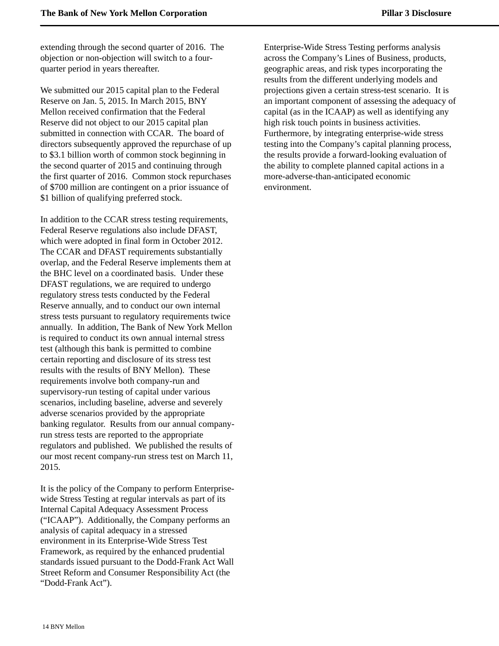extending through the second quarter of 2016. The objection or non-objection will switch to a fourquarter period in years thereafter.

We submitted our 2015 capital plan to the Federal Reserve on Jan. 5, 2015. In March 2015, BNY Mellon received confirmation that the Federal Reserve did not object to our 2015 capital plan submitted in connection with CCAR. The board of directors subsequently approved the repurchase of up to \$3.1 billion worth of common stock beginning in the second quarter of 2015 and continuing through the first quarter of 2016. Common stock repurchases of \$700 million are contingent on a prior issuance of \$1 billion of qualifying preferred stock.

In addition to the CCAR stress testing requirements, Federal Reserve regulations also include DFAST, which were adopted in final form in October 2012. The CCAR and DFAST requirements substantially overlap, and the Federal Reserve implements them at the BHC level on a coordinated basis. Under these DFAST regulations, we are required to undergo regulatory stress tests conducted by the Federal Reserve annually, and to conduct our own internal stress tests pursuant to regulatory requirements twice annually. In addition, The Bank of New York Mellon is required to conduct its own annual internal stress test (although this bank is permitted to combine certain reporting and disclosure of its stress test results with the results of BNY Mellon). These requirements involve both company-run and supervisory-run testing of capital under various scenarios, including baseline, adverse and severely adverse scenarios provided by the appropriate banking regulator. Results from our annual companyrun stress tests are reported to the appropriate regulators and published. We published the results of our most recent company-run stress test on March 11, 2015.

It is the policy of the Company to perform Enterprisewide Stress Testing at regular intervals as part of its Internal Capital Adequacy Assessment Process ("ICAAP"). Additionally, the Company performs an analysis of capital adequacy in a stressed environment in its Enterprise-Wide Stress Test Framework, as required by the enhanced prudential standards issued pursuant to the Dodd-Frank Act Wall Street Reform and Consumer Responsibility Act (the "Dodd-Frank Act").

Enterprise-Wide Stress Testing performs analysis across the Company's Lines of Business, products, geographic areas, and risk types incorporating the results from the different underlying models and projections given a certain stress-test scenario. It is an important component of assessing the adequacy of capital (as in the ICAAP) as well as identifying any high risk touch points in business activities. Furthermore, by integrating enterprise-wide stress testing into the Company's capital planning process, the results provide a forward-looking evaluation of the ability to complete planned capital actions in a more-adverse-than-anticipated economic environment.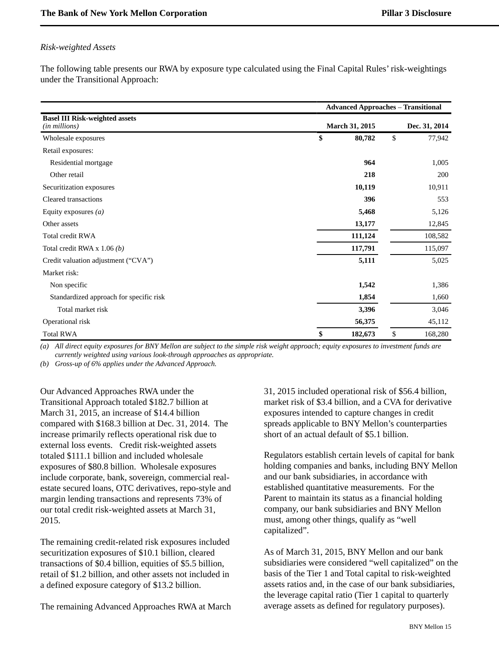### *Risk-weighted Assets*

The following table presents our RWA by exposure type calculated using the Final Capital Rules' risk-weightings under the Transitional Approach:

|                                                        |    |                       | <b>Advanced Approaches - Transitional</b> |         |  |
|--------------------------------------------------------|----|-----------------------|-------------------------------------------|---------|--|
| <b>Basel III Risk-weighted assets</b><br>(in millions) |    | <b>March 31, 2015</b> | Dec. 31, 2014                             |         |  |
| Wholesale exposures                                    | \$ | 80,782                | \$                                        | 77,942  |  |
| Retail exposures:                                      |    |                       |                                           |         |  |
| Residential mortgage                                   |    | 964                   |                                           | 1,005   |  |
| Other retail                                           |    | 218                   |                                           | 200     |  |
| Securitization exposures                               |    | 10,119                |                                           | 10,911  |  |
| Cleared transactions                                   |    | 396                   |                                           | 553     |  |
| Equity exposures $(a)$                                 |    | 5,468                 |                                           | 5,126   |  |
| Other assets                                           |    | 13,177                |                                           | 12,845  |  |
| Total credit RWA                                       |    | 111,124               |                                           | 108,582 |  |
| Total credit RWA x $1.06(b)$                           |    | 117,791               |                                           | 115,097 |  |
| Credit valuation adjustment ("CVA")                    |    | 5,111                 |                                           | 5,025   |  |
| Market risk:                                           |    |                       |                                           |         |  |
| Non specific                                           |    | 1,542                 |                                           | 1,386   |  |
| Standardized approach for specific risk                |    | 1,854                 |                                           | 1,660   |  |
| Total market risk                                      |    | 3,396                 |                                           | 3,046   |  |
| Operational risk                                       |    | 56,375                |                                           | 45,112  |  |
| <b>Total RWA</b>                                       | \$ | 182,673               | \$                                        | 168,280 |  |

*(a) All direct equity exposures for BNY Mellon are subject to the simple risk weight approach; equity exposures to investment funds are currently weighted using various look-through approaches as appropriate.* 

*(b) Gross-up of 6% applies under the Advanced Approach.*

Our Advanced Approaches RWA under the Transitional Approach totaled \$182.7 billion at March 31, 2015, an increase of \$14.4 billion compared with \$168.3 billion at Dec. 31, 2014. The increase primarily reflects operational risk due to external loss events. Credit risk-weighted assets totaled \$111.1 billion and included wholesale exposures of \$80.8 billion. Wholesale exposures include corporate, bank, sovereign, commercial realestate secured loans, OTC derivatives, repo-style and margin lending transactions and represents 73% of our total credit risk-weighted assets at March 31, 2015.

The remaining credit-related risk exposures included securitization exposures of \$10.1 billion, cleared transactions of \$0.4 billion, equities of \$5.5 billion, retail of \$1.2 billion, and other assets not included in a defined exposure category of \$13.2 billion.

The remaining Advanced Approaches RWA at March

31, 2015 included operational risk of \$56.4 billion, market risk of \$3.4 billion, and a CVA for derivative exposures intended to capture changes in credit spreads applicable to BNY Mellon's counterparties short of an actual default of \$5.1 billion.

Regulators establish certain levels of capital for bank holding companies and banks, including BNY Mellon and our bank subsidiaries, in accordance with established quantitative measurements. For the Parent to maintain its status as a financial holding company, our bank subsidiaries and BNY Mellon must, among other things, qualify as "well capitalized".

As of March 31, 2015, BNY Mellon and our bank subsidiaries were considered "well capitalized" on the basis of the Tier 1 and Total capital to risk-weighted assets ratios and, in the case of our bank subsidiaries, the leverage capital ratio (Tier 1 capital to quarterly average assets as defined for regulatory purposes).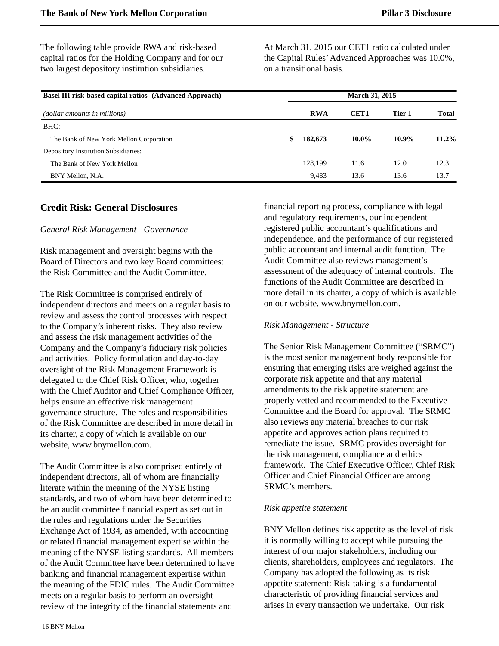The following table provide RWA and risk-based capital ratios for the Holding Company and for our two largest depository institution subsidiaries.

At March 31, 2015 our CET1 ratio calculated under the Capital Rules'Advanced Approaches was 10.0%, on a transitional basis.

| <b>Basel III risk-based capital ratios- (Advanced Approach)</b> |               | <b>March 31, 2015</b> |          |       |
|-----------------------------------------------------------------|---------------|-----------------------|----------|-------|
| (dollar amounts in millions)                                    | <b>RWA</b>    | CET <sub>1</sub>      | Tier 1   | Total |
| BHC:                                                            |               |                       |          |       |
| The Bank of New York Mellon Corporation                         | \$<br>182,673 | $10.0\%$              | $10.9\%$ | 11.2% |
| Depository Institution Subsidiaries:                            |               |                       |          |       |
| The Bank of New York Mellon                                     | 128,199       | 11.6                  | 12.0     | 12.3  |
| BNY Mellon, N.A.                                                | 9.483         | 13.6                  | 13.6     | 13.7  |

### <span id="page-17-0"></span>**Credit Risk: General Disclosures**

### *General Risk Management - Governance*

Risk management and oversight begins with the Board of Directors and two key Board committees: the Risk Committee and the Audit Committee.

The Risk Committee is comprised entirely of independent directors and meets on a regular basis to review and assess the control processes with respect to the Company's inherent risks. They also review and assess the risk management activities of the Company and the Company's fiduciary risk policies and activities. Policy formulation and day-to-day oversight of the Risk Management Framework is delegated to the Chief Risk Officer, who, together with the Chief Auditor and Chief Compliance Officer, helps ensure an effective risk management governance structure. The roles and responsibilities of the Risk Committee are described in more detail in its charter, a copy of which is available on our website, www.bnymellon.com.

The Audit Committee is also comprised entirely of independent directors, all of whom are financially literate within the meaning of the NYSE listing standards, and two of whom have been determined to be an audit committee financial expert as set out in the rules and regulations under the Securities Exchange Act of 1934, as amended, with accounting or related financial management expertise within the meaning of the NYSE listing standards. All members of the Audit Committee have been determined to have banking and financial management expertise within the meaning of the FDIC rules. The Audit Committee meets on a regular basis to perform an oversight review of the integrity of the financial statements and

financial reporting process, compliance with legal and regulatory requirements, our independent registered public accountant's qualifications and independence, and the performance of our registered public accountant and internal audit function. The Audit Committee also reviews management's assessment of the adequacy of internal controls. The functions of the Audit Committee are described in more detail in its charter, a copy of which is available on our website, www.bnymellon.com.

### *Risk Management - Structure*

The Senior Risk Management Committee ("SRMC") is the most senior management body responsible for ensuring that emerging risks are weighed against the corporate risk appetite and that any material amendments to the risk appetite statement are properly vetted and recommended to the Executive Committee and the Board for approval. The SRMC also reviews any material breaches to our risk appetite and approves action plans required to remediate the issue. SRMC provides oversight for the risk management, compliance and ethics framework. The Chief Executive Officer, Chief Risk Officer and Chief Financial Officer are among SRMC's members.

### *Risk appetite statement*

BNY Mellon defines risk appetite as the level of risk it is normally willing to accept while pursuing the interest of our major stakeholders, including our clients, shareholders, employees and regulators. The Company has adopted the following as its risk appetite statement: Risk-taking is a fundamental characteristic of providing financial services and arises in every transaction we undertake. Our risk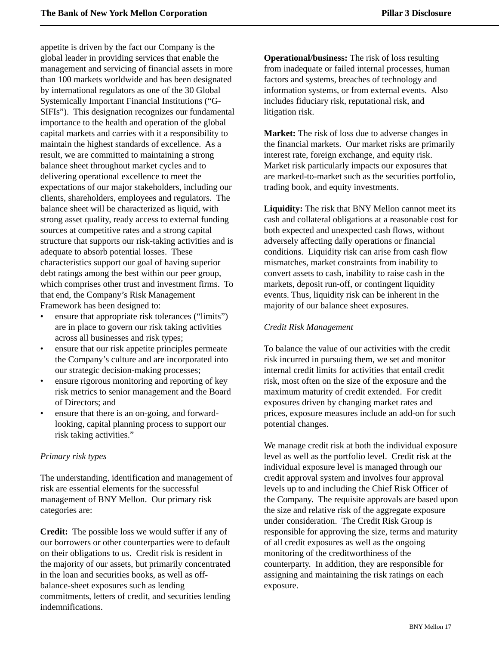appetite is driven by the fact our Company is the global leader in providing services that enable the management and servicing of financial assets in more than 100 markets worldwide and has been designated by international regulators as one of the 30 Global Systemically Important Financial Institutions ("G-SIFIs"). This designation recognizes our fundamental importance to the health and operation of the global capital markets and carries with it a responsibility to maintain the highest standards of excellence. As a result, we are committed to maintaining a strong balance sheet throughout market cycles and to delivering operational excellence to meet the expectations of our major stakeholders, including our clients, shareholders, employees and regulators. The balance sheet will be characterized as liquid, with strong asset quality, ready access to external funding sources at competitive rates and a strong capital structure that supports our risk-taking activities and is adequate to absorb potential losses. These characteristics support our goal of having superior debt ratings among the best within our peer group, which comprises other trust and investment firms. To that end, the Company's Risk Management Framework has been designed to:

- ensure that appropriate risk tolerances ("limits") are in place to govern our risk taking activities across all businesses and risk types;
- ensure that our risk appetite principles permeate the Company's culture and are incorporated into our strategic decision-making processes;
- ensure rigorous monitoring and reporting of key risk metrics to senior management and the Board of Directors; and
- ensure that there is an on-going, and forwardlooking, capital planning process to support our risk taking activities."

### *Primary risk types*

The understanding, identification and management of risk are essential elements for the successful management of BNY Mellon. Our primary risk categories are:

**Credit:** The possible loss we would suffer if any of our borrowers or other counterparties were to default on their obligations to us. Credit risk is resident in the majority of our assets, but primarily concentrated in the loan and securities books, as well as offbalance-sheet exposures such as lending commitments, letters of credit, and securities lending indemnifications.

**Operational/business:** The risk of loss resulting from inadequate or failed internal processes, human factors and systems, breaches of technology and information systems, or from external events. Also includes fiduciary risk, reputational risk, and litigation risk.

**Market:** The risk of loss due to adverse changes in the financial markets. Our market risks are primarily interest rate, foreign exchange, and equity risk. Market risk particularly impacts our exposures that are marked-to-market such as the securities portfolio, trading book, and equity investments.

**Liquidity:** The risk that BNY Mellon cannot meet its cash and collateral obligations at a reasonable cost for both expected and unexpected cash flows, without adversely affecting daily operations or financial conditions. Liquidity risk can arise from cash flow mismatches, market constraints from inability to convert assets to cash, inability to raise cash in the markets, deposit run-off, or contingent liquidity events. Thus, liquidity risk can be inherent in the majority of our balance sheet exposures.

### *Credit Risk Management*

To balance the value of our activities with the credit risk incurred in pursuing them, we set and monitor internal credit limits for activities that entail credit risk, most often on the size of the exposure and the maximum maturity of credit extended. For credit exposures driven by changing market rates and prices, exposure measures include an add-on for such potential changes.

We manage credit risk at both the individual exposure level as well as the portfolio level. Credit risk at the individual exposure level is managed through our credit approval system and involves four approval levels up to and including the Chief Risk Officer of the Company. The requisite approvals are based upon the size and relative risk of the aggregate exposure under consideration. The Credit Risk Group is responsible for approving the size, terms and maturity of all credit exposures as well as the ongoing monitoring of the creditworthiness of the counterparty. In addition, they are responsible for assigning and maintaining the risk ratings on each exposure.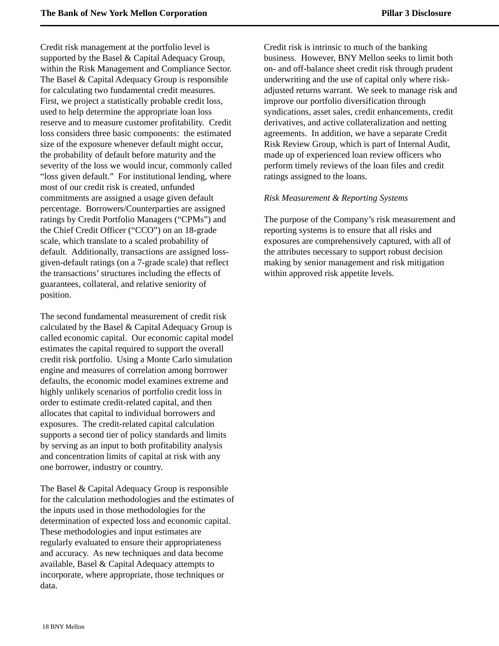Credit risk management at the portfolio level is supported by the Basel & Capital Adequacy Group, within the Risk Management and Compliance Sector. The Basel & Capital Adequacy Group is responsible for calculating two fundamental credit measures. First, we project a statistically probable credit loss, used to help determine the appropriate loan loss reserve and to measure customer profitability. Credit loss considers three basic components: the estimated size of the exposure whenever default might occur, the probability of default before maturity and the severity of the loss we would incur, commonly called "loss given default." For institutional lending, where most of our credit risk is created, unfunded commitments are assigned a usage given default percentage. Borrowers/Counterparties are assigned ratings by Credit Portfolio Managers ("CPMs") and the Chief Credit Officer ("CCO") on an 18-grade scale, which translate to a scaled probability of default. Additionally, transactions are assigned lossgiven-default ratings (on a 7-grade scale) that reflect the transactions' structures including the effects of guarantees, collateral, and relative seniority of position.

The second fundamental measurement of credit risk calculated by the Basel & Capital Adequacy Group is called economic capital. Our economic capital model estimates the capital required to support the overall credit risk portfolio. Using a Monte Carlo simulation engine and measures of correlation among borrower defaults, the economic model examines extreme and highly unlikely scenarios of portfolio credit loss in order to estimate credit-related capital, and then allocates that capital to individual borrowers and exposures. The credit-related capital calculation supports a second tier of policy standards and limits by serving as an input to both profitability analysis and concentration limits of capital at risk with any one borrower, industry or country.

The Basel & Capital Adequacy Group is responsible for the calculation methodologies and the estimates of the inputs used in those methodologies for the determination of expected loss and economic capital. These methodologies and input estimates are regularly evaluated to ensure their appropriateness and accuracy. As new techniques and data become available, Basel & Capital Adequacy attempts to incorporate, where appropriate, those techniques or data.

Credit risk is intrinsic to much of the banking business. However, BNY Mellon seeks to limit both on- and off-balance sheet credit risk through prudent underwriting and the use of capital only where riskadjusted returns warrant. We seek to manage risk and improve our portfolio diversification through syndications, asset sales, credit enhancements, credit derivatives, and active collateralization and netting agreements. In addition, we have a separate Credit Risk Review Group, which is part of Internal Audit, made up of experienced loan review officers who perform timely reviews of the loan files and credit ratings assigned to the loans.

### *Risk Measurement & Reporting Systems*

The purpose of the Company's risk measurement and reporting systems is to ensure that all risks and exposures are comprehensively captured, with all of the attributes necessary to support robust decision making by senior management and risk mitigation within approved risk appetite levels.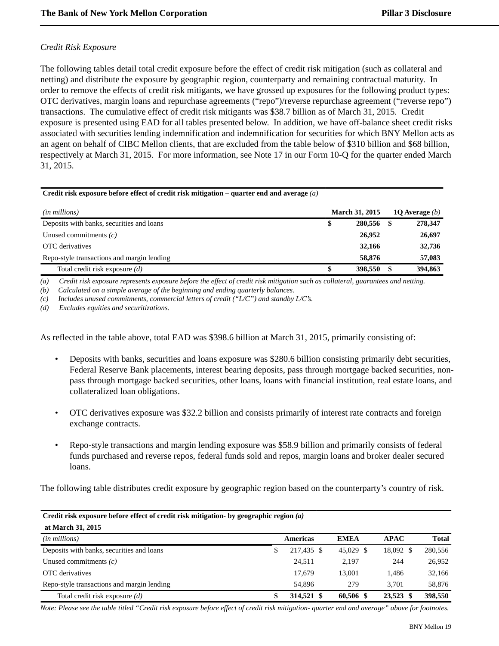### *Credit Risk Exposure*

The following tables detail total credit exposure before the effect of credit risk mitigation (such as collateral and netting) and distribute the exposure by geographic region, counterparty and remaining contractual maturity. In order to remove the effects of credit risk mitigants, we have grossed up exposures for the following product types: OTC derivatives, margin loans and repurchase agreements ("repo")/reverse repurchase agreement ("reverse repo") transactions. The cumulative effect of credit risk mitigants was \$38.7 billion as of March 31, 2015. Credit exposure is presented using EAD for all tables presented below. In addition, we have off-balance sheet credit risks associated with securities lending indemnification and indemnification for securities for which BNY Mellon acts as an agent on behalf of CIBC Mellon clients, that are excluded from the table below of \$310 billion and \$68 billion, respectively at March 31, 2015. For more information, see Note 17 in our Form 10-Q for the quarter ended March 31, 2015.

| Credit risk exposure before effect of credit risk mitigation – quarter end and average $(a)$ |                       |   |                  |
|----------------------------------------------------------------------------------------------|-----------------------|---|------------------|
| ( <i>in millions</i> )                                                                       | <b>March 31, 2015</b> |   | 10 Average $(b)$ |
| Deposits with banks, securities and loans                                                    | \$<br>280,556         |   | 278,347          |
| Unused commitments $(c)$                                                                     | 26,952                |   | 26,697           |
| OTC derivatives                                                                              | 32,166                |   | 32,736           |
| Repo-style transactions and margin lending                                                   | 58,876                |   | 57,083           |
| Total credit risk exposure $(d)$                                                             | 398,550               | S | 394,863          |

*(a) Credit risk exposure represents exposure before the effect of credit risk mitigation such as collateral, guarantees and netting.*

*(b) Calculated on a simple average of the beginning and ending quarterly balances.*

*(c) Includes unused commitments, commercial letters of credit ("L/C") and standby L/C's.*

*(d) Excludes equities and securitizations.*

As reflected in the table above, total EAD was \$398.6 billion at March 31, 2015, primarily consisting of:

- Deposits with banks, securities and loans exposure was \$280.6 billion consisting primarily debt securities, Federal Reserve Bank placements, interest bearing deposits, pass through mortgage backed securities, nonpass through mortgage backed securities, other loans, loans with financial institution, real estate loans, and collateralized loan obligations.
- OTC derivatives exposure was \$32.2 billion and consists primarily of interest rate contracts and foreign exchange contracts.
- Repo-style transactions and margin lending exposure was \$58.9 billion and primarily consists of federal funds purchased and reverse repos, federal funds sold and repos, margin loans and broker dealer secured loans.

The following table distributes credit exposure by geographic region based on the counterparty's country of risk.

| Credit risk exposure before effect of credit risk mitigation- by geographic region $(a)$ |    |                 |             |             |              |  |  |  |  |  |  |
|------------------------------------------------------------------------------------------|----|-----------------|-------------|-------------|--------------|--|--|--|--|--|--|
| at March 31, 2015                                                                        |    |                 |             |             |              |  |  |  |  |  |  |
| $(in$ millions $)$                                                                       |    | <b>Americas</b> | <b>EMEA</b> | <b>APAC</b> | <b>Total</b> |  |  |  |  |  |  |
| Deposits with banks, securities and loans                                                | \$ | 217,435 \$      | 45.029 \$   | 18,092 \$   | 280,556      |  |  |  |  |  |  |
| Unused commitments $(c)$                                                                 |    | 24.511          | 2.197       | 244         | 26,952       |  |  |  |  |  |  |
| OTC derivatives                                                                          |    | 17.679          | 13,001      | 1.486       | 32,166       |  |  |  |  |  |  |
| Repo-style transactions and margin lending                                               |    | 54.896          | 279         | 3.701       | 58,876       |  |  |  |  |  |  |
| Total credit risk exposure $(d)$                                                         | \$ | 314,521 \$      | 60,506 \$   | 23,523 \$   | 398,550      |  |  |  |  |  |  |

*Note: Please see the table titled "Credit risk exposure before effect of credit risk mitigation- quarter end and average" above for footnotes.*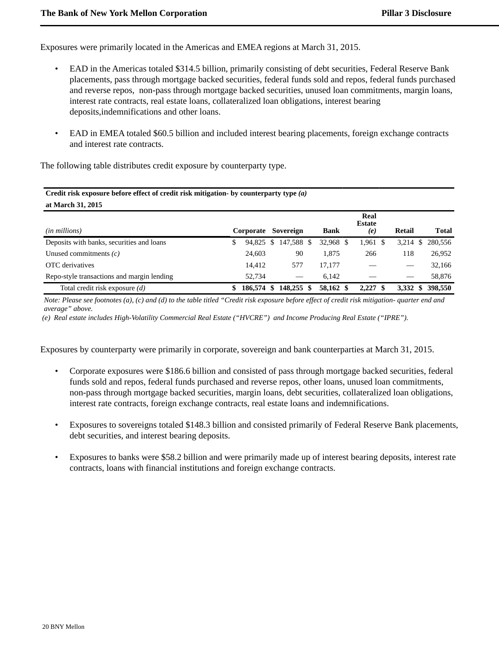Exposures were primarily located in the Americas and EMEA regions at March 31, 2015.

- EAD in the Americas totaled \$314.5 billion, primarily consisting of debt securities, Federal Reserve Bank placements, pass through mortgage backed securities, federal funds sold and repos, federal funds purchased and reverse repos, non-pass through mortgage backed securities, unused loan commitments, margin loans, interest rate contracts, real estate loans, collateralized loan obligations, interest bearing deposits,indemnifications and other loans.
- EAD in EMEA totaled \$60.5 billion and included interest bearing placements, foreign exchange contracts and interest rate contracts.

The following table distributes credit exposure by counterparty type.

| Credit risk exposure before effect of credit risk mitigation- by counterparty type $(a)$<br>at March 31, 2015 |    |           |    |                          |     |             |                              |  |        |                |
|---------------------------------------------------------------------------------------------------------------|----|-----------|----|--------------------------|-----|-------------|------------------------------|--|--------|----------------|
| ( <i>in millions</i> )                                                                                        |    | Corporate |    | Sovereign                |     | <b>Bank</b> | Real<br><b>Estate</b><br>(e) |  | Retail | <b>Total</b>   |
| Deposits with banks, securities and loans                                                                     | \$ | 94.825    | -S | 147,588 \$               |     | 32,968 \$   | $1,961$ \$                   |  | 3,214  | 280.556<br>S   |
| Unused commitments $(c)$                                                                                      |    | 24,603    |    | 90                       |     | 1.875       | 266                          |  | 118    | 26,952         |
| OTC derivatives                                                                                               |    | 14.412    |    | 577                      |     | 17,177      |                              |  |        | 32,166         |
| Repo-style transactions and margin lending                                                                    |    | 52.734    |    | $\overline{\phantom{a}}$ |     | 6,142       |                              |  |        | 58,876         |
| Total credit risk exposure $(d)$                                                                              |    | 186,574   | -S | 148,255                  | \$. | 58,162 \$   | $2,227$ \$                   |  | 3,332  | 398,550<br>SS. |

*Note: Please see footnotes (a), (c) and (d) to the table titled "Credit risk exposure before effect of credit risk mitigation- quarter end and average" above.*

 *(e) Real estate includes High-Volatility Commercial Real Estate ("HVCRE") and Income Producing Real Estate ("IPRE").*

Exposures by counterparty were primarily in corporate, sovereign and bank counterparties at March 31, 2015.

- Corporate exposures were \$186.6 billion and consisted of pass through mortgage backed securities, federal funds sold and repos, federal funds purchased and reverse repos, other loans, unused loan commitments, non-pass through mortgage backed securities, margin loans, debt securities, collateralized loan obligations, interest rate contracts, foreign exchange contracts, real estate loans and indemnifications.
- Exposures to sovereigns totaled \$148.3 billion and consisted primarily of Federal Reserve Bank placements, debt securities, and interest bearing deposits.
- Exposures to banks were \$58.2 billion and were primarily made up of interest bearing deposits, interest rate contracts, loans with financial institutions and foreign exchange contracts.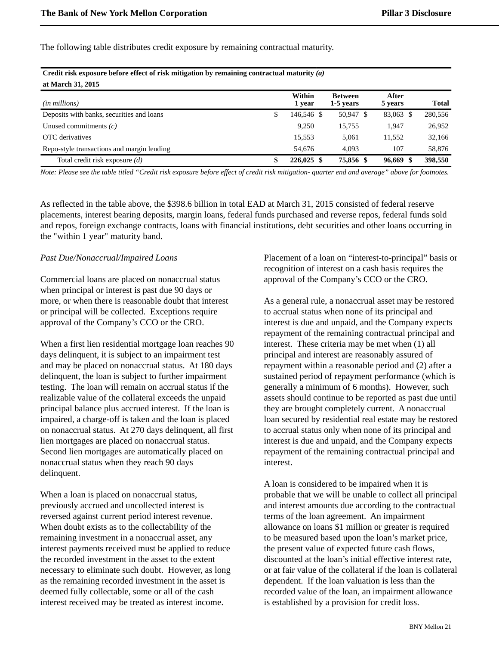The following table distributes credit exposure by remaining contractual maturity.

**Credit risk exposure before effect of risk mitigation by remaining contractual maturity** *(a)*

| Create risk exposure before effect of risk intugation by remaining contractual maturity (a) |                    |                             |                  |              |
|---------------------------------------------------------------------------------------------|--------------------|-----------------------------|------------------|--------------|
| at March 31, 2015                                                                           |                    |                             |                  |              |
| ( <i>in millions</i> )                                                                      | Within<br>1 year   | <b>Between</b><br>1-5 years | After<br>5 years | <b>Total</b> |
| Deposits with banks, securities and loans                                                   | \$<br>146,546 \$   | 50,947 \$                   | 83,063 \$        | 280,556      |
| Unused commitments $(c)$                                                                    | 9,250              | 15,755                      | 1.947            | 26,952       |
| OTC derivatives                                                                             | 15,553             | 5.061                       | 11,552           | 32,166       |
| Repo-style transactions and margin lending                                                  | 54.676             | 4.093                       | 107              | 58,876       |
| Total credit risk exposure $(d)$                                                            | \$<br>$226,025$ \$ | 75,856 \$                   | 96,669 \$        | 398,550      |

*Note: Please see the table titled "Credit risk exposure before effect of credit risk mitigation- quarter end and average" above for footnotes.*

As reflected in the table above, the \$398.6 billion in total EAD at March 31, 2015 consisted of federal reserve placements, interest bearing deposits, margin loans, federal funds purchased and reverse repos, federal funds sold and repos, foreign exchange contracts, loans with financial institutions, debt securities and other loans occurring in the "within 1 year" maturity band.

#### *Past Due/Nonaccrual/Impaired Loans*

Commercial loans are placed on nonaccrual status when principal or interest is past due 90 days or more, or when there is reasonable doubt that interest or principal will be collected. Exceptions require approval of the Company's CCO or the CRO.

When a first lien residential mortgage loan reaches 90 days delinquent, it is subject to an impairment test and may be placed on nonaccrual status. At 180 days delinquent, the loan is subject to further impairment testing. The loan will remain on accrual status if the realizable value of the collateral exceeds the unpaid principal balance plus accrued interest. If the loan is impaired, a charge-off is taken and the loan is placed on nonaccrual status. At 270 days delinquent, all first lien mortgages are placed on nonaccrual status. Second lien mortgages are automatically placed on nonaccrual status when they reach 90 days delinquent.

When a loan is placed on nonaccrual status, previously accrued and uncollected interest is reversed against current period interest revenue. When doubt exists as to the collectability of the remaining investment in a nonaccrual asset, any interest payments received must be applied to reduce the recorded investment in the asset to the extent necessary to eliminate such doubt. However, as long as the remaining recorded investment in the asset is deemed fully collectable, some or all of the cash interest received may be treated as interest income.

Placement of a loan on "interest-to-principal" basis or recognition of interest on a cash basis requires the approval of the Company's CCO or the CRO.

As a general rule, a nonaccrual asset may be restored to accrual status when none of its principal and interest is due and unpaid, and the Company expects repayment of the remaining contractual principal and interest. These criteria may be met when (1) all principal and interest are reasonably assured of repayment within a reasonable period and (2) after a sustained period of repayment performance (which is generally a minimum of 6 months). However, such assets should continue to be reported as past due until they are brought completely current. A nonaccrual loan secured by residential real estate may be restored to accrual status only when none of its principal and interest is due and unpaid, and the Company expects repayment of the remaining contractual principal and interest.

A loan is considered to be impaired when it is probable that we will be unable to collect all principal and interest amounts due according to the contractual terms of the loan agreement. An impairment allowance on loans \$1 million or greater is required to be measured based upon the loan's market price, the present value of expected future cash flows, discounted at the loan's initial effective interest rate, or at fair value of the collateral if the loan is collateral dependent. If the loan valuation is less than the recorded value of the loan, an impairment allowance is established by a provision for credit loss.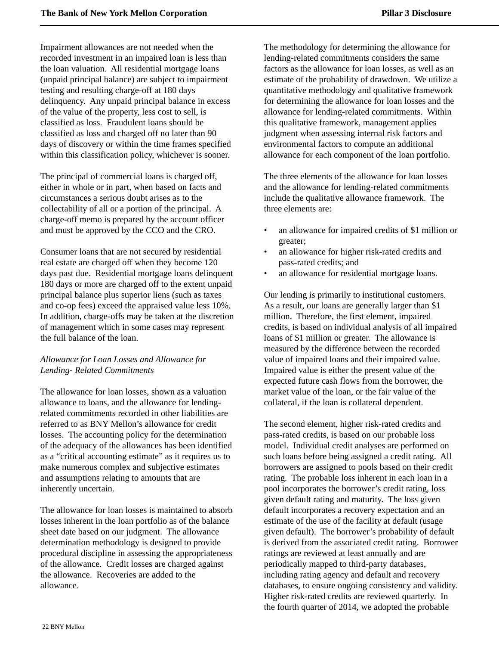Impairment allowances are not needed when the recorded investment in an impaired loan is less than the loan valuation. All residential mortgage loans (unpaid principal balance) are subject to impairment testing and resulting charge-off at 180 days delinquency. Any unpaid principal balance in excess of the value of the property, less cost to sell, is classified as loss. Fraudulent loans should be classified as loss and charged off no later than 90 days of discovery or within the time frames specified within this classification policy, whichever is sooner.

The principal of commercial loans is charged off, either in whole or in part, when based on facts and circumstances a serious doubt arises as to the collectability of all or a portion of the principal. A charge-off memo is prepared by the account officer and must be approved by the CCO and the CRO.

Consumer loans that are not secured by residential real estate are charged off when they become 120 days past due. Residential mortgage loans delinquent 180 days or more are charged off to the extent unpaid principal balance plus superior liens (such as taxes and co-op fees) exceed the appraised value less 10%. In addition, charge-offs may be taken at the discretion of management which in some cases may represent the full balance of the loan.

### *Allowance for Loan Losses and Allowance for Lending- Related Commitments*

The allowance for loan losses, shown as a valuation allowance to loans, and the allowance for lendingrelated commitments recorded in other liabilities are referred to as BNY Mellon's allowance for credit losses. The accounting policy for the determination of the adequacy of the allowances has been identified as a "critical accounting estimate" as it requires us to make numerous complex and subjective estimates and assumptions relating to amounts that are inherently uncertain.

The allowance for loan losses is maintained to absorb losses inherent in the loan portfolio as of the balance sheet date based on our judgment. The allowance determination methodology is designed to provide procedural discipline in assessing the appropriateness of the allowance. Credit losses are charged against the allowance. Recoveries are added to the allowance.

The methodology for determining the allowance for lending-related commitments considers the same factors as the allowance for loan losses, as well as an estimate of the probability of drawdown. We utilize a quantitative methodology and qualitative framework for determining the allowance for loan losses and the allowance for lending-related commitments. Within this qualitative framework, management applies judgment when assessing internal risk factors and environmental factors to compute an additional allowance for each component of the loan portfolio.

The three elements of the allowance for loan losses and the allowance for lending-related commitments include the qualitative allowance framework. The three elements are:

- an allowance for impaired credits of \$1 million or greater;
- an allowance for higher risk-rated credits and pass-rated credits; and
- an allowance for residential mortgage loans.

Our lending is primarily to institutional customers. As a result, our loans are generally larger than \$1 million. Therefore, the first element, impaired credits, is based on individual analysis of all impaired loans of \$1 million or greater. The allowance is measured by the difference between the recorded value of impaired loans and their impaired value. Impaired value is either the present value of the expected future cash flows from the borrower, the market value of the loan, or the fair value of the collateral, if the loan is collateral dependent.

The second element, higher risk-rated credits and pass-rated credits, is based on our probable loss model. Individual credit analyses are performed on such loans before being assigned a credit rating. All borrowers are assigned to pools based on their credit rating. The probable loss inherent in each loan in a pool incorporates the borrower's credit rating, loss given default rating and maturity. The loss given default incorporates a recovery expectation and an estimate of the use of the facility at default (usage given default). The borrower's probability of default is derived from the associated credit rating. Borrower ratings are reviewed at least annually and are periodically mapped to third-party databases, including rating agency and default and recovery databases, to ensure ongoing consistency and validity. Higher risk-rated credits are reviewed quarterly. In the fourth quarter of 2014, we adopted the probable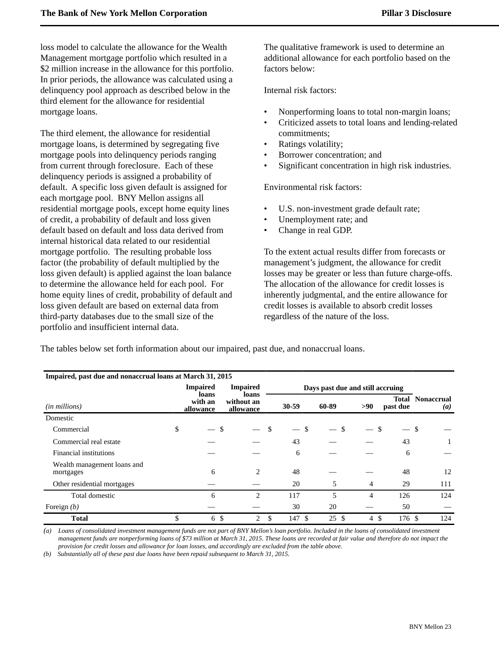loss model to calculate the allowance for the Wealth Management mortgage portfolio which resulted in a \$2 million increase in the allowance for this portfolio. In prior periods, the allowance was calculated using a delinquency pool approach as described below in the third element for the allowance for residential mortgage loans.

The third element, the allowance for residential mortgage loans, is determined by segregating five mortgage pools into delinquency periods ranging from current through foreclosure. Each of these delinquency periods is assigned a probability of default. A specific loss given default is assigned for each mortgage pool. BNY Mellon assigns all residential mortgage pools, except home equity lines of credit, a probability of default and loss given default based on default and loss data derived from internal historical data related to our residential mortgage portfolio. The resulting probable loss factor (the probability of default multiplied by the loss given default) is applied against the loan balance to determine the allowance held for each pool. For home equity lines of credit, probability of default and loss given default are based on external data from third-party databases due to the small size of the portfolio and insufficient internal data.

The qualitative framework is used to determine an additional allowance for each portfolio based on the factors below:

Internal risk factors:

- Nonperforming loans to total non-margin loans;
- Criticized assets to total loans and lending-related commitments;
- Ratings volatility;
- Borrower concentration; and
- Significant concentration in high risk industries.

Environmental risk factors:

- U.S. non-investment grade default rate;
- Unemployment rate; and
- Change in real GDP.

To the extent actual results differ from forecasts or management's judgment, the allowance for credit losses may be greater or less than future charge-offs. The allocation of the allowance for credit losses is inherently judgmental, and the entire allowance for credit losses is available to absorb credit losses regardless of the nature of the loss.

The tables below set forth information about our impaired, past due, and nonaccrual loans.

| Impaired, past due and nonaccrual loans at March 31, 2015 |                                                                        |                                  |    |             |       |                    |                   |                                       |
|-----------------------------------------------------------|------------------------------------------------------------------------|----------------------------------|----|-------------|-------|--------------------|-------------------|---------------------------------------|
|                                                           | <b>Impaired</b><br><b>Impaired</b><br>Days past due and still accruing |                                  |    |             |       |                    |                   |                                       |
| ( <i>in millions</i> )                                    | loans<br>with an<br>allowance                                          | loans<br>without an<br>allowance |    | $30 - 59$   | 60-89 | $>90$              | Total<br>past due | <b>Nonaccrual</b><br>$\left(a\right)$ |
| Domestic                                                  |                                                                        |                                  |    |             |       |                    |                   |                                       |
| Commercial                                                | \$                                                                     | \$                               | \$ | \$.         | \$    |                    | \$                | \$                                    |
| Commercial real estate                                    |                                                                        |                                  |    | 43          |       |                    | 43                |                                       |
| Financial institutions                                    |                                                                        |                                  |    | 6           |       |                    | 6                 |                                       |
| Wealth management loans and<br>mortgages                  | 6                                                                      | 2                                |    | 48          |       |                    | 48                | 12                                    |
| Other residential mortgages                               |                                                                        |                                  |    | 20          | 5     | 4                  | 29                | 111                                   |
| Total domestic                                            | 6                                                                      | $\overline{c}$                   |    | 117         | 5     | 4                  | 126               | 124                                   |
| Foreign $(b)$                                             |                                                                        |                                  |    | 30          | 20    |                    | 50                |                                       |
| <b>Total</b>                                              | \$<br>6                                                                | \$<br>$\overline{2}$             | \$ | 147<br>- \$ | 25 \$ | <sup>\$</sup><br>4 | 176S              | 124                                   |

*(a) Loans of consolidated investment management funds are not part of BNY Mellon's loan portfolio. Included in the loans of consolidated investment management funds are nonperforming loans of \$73 million at March 31, 2015. These loans are recorded at fair value and therefore do not impact the provision for credit losses and allowance for loan losses, and accordingly are excluded from the table above.*

*(b) Substantially all of these past due loans have been repaid subsequent to March 31, 2015.*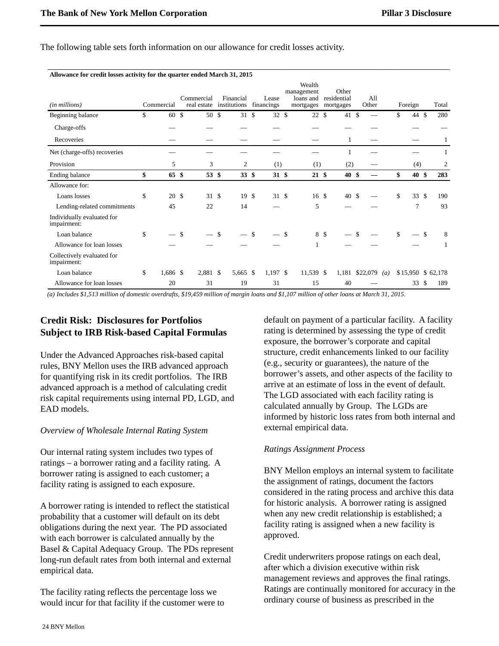**Allowance for credit losses activity for the quarter ended March 31, 2015**

| (in millions)                             | Commercial             | Commercial<br>real estate |               | Financial<br>institutions |             | Lease<br>financings |                    | Wealth<br>management<br>loans and<br>mortgages | Other<br>residential<br>mortgages |                | All<br>Other |                   | Foreign               |                    | Total             |
|-------------------------------------------|------------------------|---------------------------|---------------|---------------------------|-------------|---------------------|--------------------|------------------------------------------------|-----------------------------------|----------------|--------------|-------------------|-----------------------|--------------------|-------------------|
| Beginning balance                         | \$<br>60 \$            | 50 \$                     |               | 31 \$                     |             | 32                  | \$                 | 22S                                            | 41                                | $\mathfrak{S}$ |              |                   | \$<br>44 \$           |                    | 280               |
| Charge-offs                               |                        |                           |               |                           |             |                     |                    |                                                |                                   |                |              |                   |                       |                    |                   |
| Recoveries                                |                        |                           |               |                           |             |                     |                    |                                                |                                   |                |              |                   |                       |                    | 1                 |
| Net (charge-offs) recoveries              |                        |                           |               |                           |             |                     |                    |                                                |                                   |                |              |                   |                       |                    |                   |
| Provision                                 | 5                      | 3                         |               | $\overline{c}$            |             | (1)                 |                    | (1)                                            | (2)                               |                |              |                   | (4)                   |                    | 2                 |
| Ending balance                            | \$<br>$65 \text{ }$ \$ | 53 \$                     |               | 33 <sup>°</sup>           |             | 31 <sup>°</sup>     |                    | $21 \text{ }$                                  | 40 <sup>°</sup>                   |                |              |                   | \$<br>40 <sup>°</sup> |                    | 283               |
| Allowance for:                            |                        |                           |               |                           |             |                     |                    |                                                |                                   |                |              |                   |                       |                    |                   |
| Loans losses                              | \$<br>20 <sup>5</sup>  | 31S                       |               | 19S                       |             | 31S                 |                    | 16 \$                                          | 40 \$                             |                |              |                   | \$<br>33S             |                    | 190               |
| Lending-related commitments               | 45                     | 22                        |               | 14                        |             |                     |                    | 5                                              |                                   |                |              |                   | 7                     |                    | 93                |
| Individually evaluated for<br>impairment: |                        |                           |               |                           |             |                     |                    |                                                |                                   |                |              |                   |                       |                    |                   |
| Loan balance                              | \$<br>$-$ \$           |                           | $\mathcal{S}$ |                           | $\mathbf S$ |                     | $\mathbf{\hat{S}}$ | 8 \$                                           |                                   | \$             |              |                   | \$                    | $\mathcal{S}$      | 8                 |
| Allowance for loan losses                 |                        |                           |               |                           |             |                     |                    |                                                |                                   |                |              |                   |                       |                    |                   |
| Collectively evaluated for<br>impairment: |                        |                           |               |                           |             |                     |                    |                                                |                                   |                |              |                   |                       |                    |                   |
| Loan balance                              | \$<br>$1,686$ \$       | 2,881 \$                  |               | 5,665 \$                  |             | $1,197$ \$          |                    | 11,539 \$                                      | 1,181                             |                | \$22,079     | $\left( a\right)$ |                       |                    | \$15,950 \$62,178 |
| Allowance for loan losses                 | 20                     | 31                        |               | 19                        |             | 31                  |                    | 15                                             | 40                                |                |              |                   | 33                    | $\mathbf{\hat{S}}$ | 189               |

The following table sets forth information on our allowance for credit losses activity.

 *(a)Includes \$1,513 million of domestic overdrafts, \$19,459 million of margin loans and \$1,107 million of other loans at March 31, 2015.*

# <span id="page-25-0"></span>**Credit Risk: Disclosures for Portfolios Subject to IRB Risk-based Capital Formulas**

Under the Advanced Approaches risk-based capital rules, BNY Mellon uses the IRB advanced approach for quantifying risk in its credit portfolios.The IRB advanced approach is a method of calculating credit risk capital requirements using internal PD, LGD, and EAD models.

### *Overview of Wholesale Internal Rating System*

Our internal rating system includes two types of ratings – a borrower rating and a facility rating. A borrower rating is assigned to each customer; a facility rating is assigned to each exposure.

A borrower rating is intended to reflect the statistical probability that a customer will default on its debt obligations during the next year. The PD associated with each borrower is calculated annually by the Basel & Capital Adequacy Group. The PDs represent long-run default rates from both internal and external empirical data.

The facility rating reflects the percentage loss we would incur for that facility if the customer were to default on payment of a particular facility. A facility rating is determined by assessing the type of credit exposure, the borrower's corporate and capital structure, credit enhancements linked to our facility (e.g., security or guarantees), the nature of the borrower's assets, and other aspects of the facility to arrive at an estimate of loss in the event of default. The LGD associated with each facility rating is calculated annually by Group. The LGDs are informed by historic loss rates from both internal and external empirical data.

### *Ratings Assignment Process*

BNY Mellon employs an internal system to facilitate the assignment of ratings, document the factors considered in the rating process and archive this data for historic analysis. A borrower rating is assigned when any new credit relationship is established; a facility rating is assigned when a new facility is approved.

Credit underwriters propose ratings on each deal, after which a division executive within risk management reviews and approves the final ratings. Ratings are continually monitored for accuracy in the ordinary course of business as prescribed in the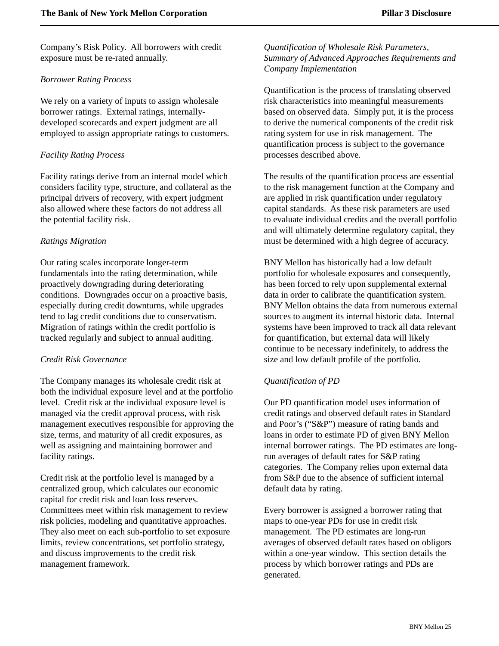Company's Risk Policy. All borrowers with credit exposure must be re-rated annually.

### *Borrower Rating Process*

We rely on a variety of inputs to assign wholesale borrower ratings. External ratings, internallydeveloped scorecards and expert judgment are all employed to assign appropriate ratings to customers.

### *Facility Rating Process*

Facility ratings derive from an internal model which considers facility type, structure, and collateral as the principal drivers of recovery, with expert judgment also allowed where these factors do not address all the potential facility risk.

### *Ratings Migration*

Our rating scales incorporate longer-term fundamentals into the rating determination, while proactively downgrading during deteriorating conditions. Downgrades occur on a proactive basis, especially during credit downturns, while upgrades tend to lag credit conditions due to conservatism. Migration of ratings within the credit portfolio is tracked regularly and subject to annual auditing.

### *Credit Risk Governance*

The Company manages its wholesale credit risk at both the individual exposure level and at the portfolio level. Credit risk at the individual exposure level is managed via the credit approval process, with risk management executives responsible for approving the size, terms, and maturity of all credit exposures, as well as assigning and maintaining borrower and facility ratings.

Credit risk at the portfolio level is managed by a centralized group, which calculates our economic capital for credit risk and loan loss reserves. Committees meet within risk management to review risk policies, modeling and quantitative approaches. They also meet on each sub-portfolio to set exposure limits, review concentrations, set portfolio strategy, and discuss improvements to the credit risk management framework.

*Quantification of Wholesale Risk Parameters, Summary of Advanced Approaches Requirements and Company Implementation*

Quantification is the process of translating observed risk characteristics into meaningful measurements based on observed data. Simply put, it is the process to derive the numerical components of the credit risk rating system for use in risk management. The quantification process is subject to the governance processes described above.

The results of the quantification process are essential to the risk management function at the Company and are applied in risk quantification under regulatory capital standards. As these risk parameters are used to evaluate individual credits and the overall portfolio and will ultimately determine regulatory capital, they must be determined with a high degree of accuracy.

BNY Mellon has historically had a low default portfolio for wholesale exposures and consequently, has been forced to rely upon supplemental external data in order to calibrate the quantification system. BNY Mellon obtains the data from numerous external sources to augment its internal historic data. Internal systems have been improved to track all data relevant for quantification, but external data will likely continue to be necessary indefinitely, to address the size and low default profile of the portfolio.

# *Quantification of PD*

Our PD quantification model uses information of credit ratings and observed default rates in Standard and Poor's ("S&P") measure of rating bands and loans in order to estimate PD of given BNY Mellon internal borrower ratings. The PD estimates are longrun averages of default rates for S&P rating categories. The Company relies upon external data from S&P due to the absence of sufficient internal default data by rating.

Every borrower is assigned a borrower rating that maps to one-year PDs for use in credit risk management. The PD estimates are long-run averages of observed default rates based on obligors within a one-year window. This section details the process by which borrower ratings and PDs are generated.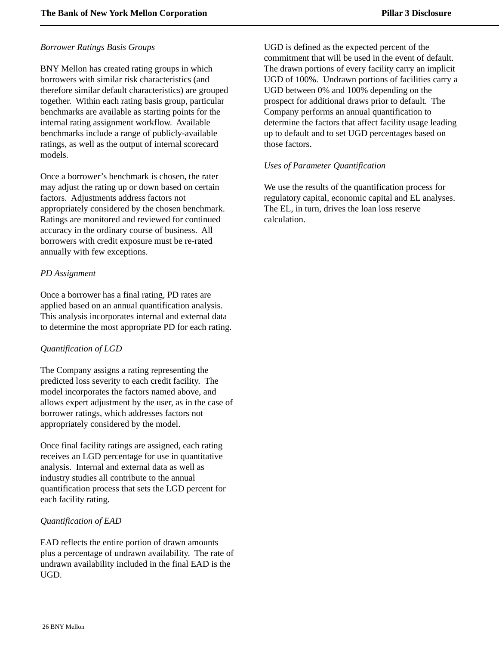### *Borrower Ratings Basis Groups*

BNY Mellon has created rating groups in which borrowers with similar risk characteristics (and therefore similar default characteristics) are grouped together. Within each rating basis group, particular benchmarks are available as starting points for the internal rating assignment workflow. Available benchmarks include a range of publicly-available ratings, as well as the output of internal scorecard models.

Once a borrower's benchmark is chosen, the rater may adjust the rating up or down based on certain factors. Adjustments address factors not appropriately considered by the chosen benchmark. Ratings are monitored and reviewed for continued accuracy in the ordinary course of business. All borrowers with credit exposure must be re-rated annually with few exceptions.

### *PD Assignment*

Once a borrower has a final rating, PD rates are applied based on an annual quantification analysis. This analysis incorporates internal and external data to determine the most appropriate PD for each rating.

# *Quantification of LGD*

The Company assigns a rating representing the predicted loss severity to each credit facility. The model incorporates the factors named above, and allows expert adjustment by the user, as in the case of borrower ratings, which addresses factors not appropriately considered by the model.

Once final facility ratings are assigned, each rating receives an LGD percentage for use in quantitative analysis. Internal and external data as well as industry studies all contribute to the annual quantification process that sets the LGD percent for each facility rating.

# *Quantification of EAD*

EAD reflects the entire portion of drawn amounts plus a percentage of undrawn availability. The rate of undrawn availability included in the final EAD is the UGD.

UGD is defined as the expected percent of the commitment that will be used in the event of default. The drawn portions of every facility carry an implicit UGD of 100%. Undrawn portions of facilities carry a UGD between 0% and 100% depending on the prospect for additional draws prior to default. The Company performs an annual quantification to determine the factors that affect facility usage leading up to default and to set UGD percentages based on those factors.

### *Uses of Parameter Quantification*

We use the results of the quantification process for regulatory capital, economic capital and EL analyses. The EL, in turn, drives the loan loss reserve calculation.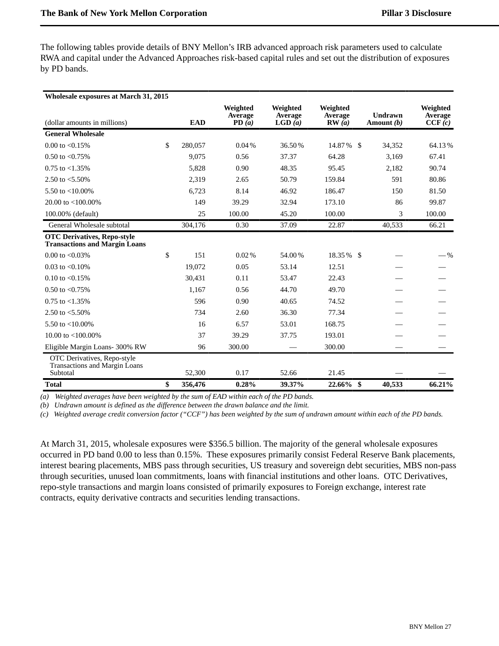The following tables provide details of BNY Mellon's IRB advanced approach risk parameters used to calculate RWA and capital under the Advanced Approaches risk-based capital rules and set out the distribution of exposures by PD bands.

| <b>Wholesale exposures at March 31, 2015</b>                                    |               |                              |                               |                              |                         |                               |
|---------------------------------------------------------------------------------|---------------|------------------------------|-------------------------------|------------------------------|-------------------------|-------------------------------|
| (dollar amounts in millions)                                                    | <b>EAD</b>    | Weighted<br>Average<br>PD(a) | Weighted<br>Average<br>LGD(a) | Weighted<br>Average<br>RW(a) | Undrawn<br>Amount $(b)$ | Weighted<br>Average<br>CCF(c) |
| <b>General Wholesale</b>                                                        |               |                              |                               |                              |                         |                               |
| 0.00 to $< 0.15\%$                                                              | \$<br>280,057 | 0.04%                        | 36.50%                        | 14.87%                       | - \$<br>34,352          | 64.13%                        |
| 0.50 to $< 0.75\%$                                                              | 9.075         | 0.56                         | 37.37                         | 64.28                        | 3,169                   | 67.41                         |
| $0.75$ to $< 1.35\%$                                                            | 5,828         | 0.90                         | 48.35                         | 95.45                        | 2,182                   | 90.74                         |
| 2.50 to $< 5.50\%$                                                              | 2,319         | 2.65                         | 50.79                         | 159.84                       | 591                     | 80.86                         |
| 5.50 to $<$ 10.00%                                                              | 6.723         | 8.14                         | 46.92                         | 186.47                       | 150                     | 81.50                         |
| 20.00 to $<$ 100.00%                                                            | 149           | 39.29                        | 32.94                         | 173.10                       | 86                      | 99.87                         |
| 100.00% (default)                                                               | 25            | 100.00                       | 45.20                         | 100.00                       | 3                       | 100.00                        |
| General Wholesale subtotal                                                      | 304,176       | 0.30                         | 37.09                         | 22.87                        | 40,533                  | 66.21                         |
| <b>OTC Derivatives, Repo-style</b><br><b>Transactions and Margin Loans</b>      |               |                              |                               |                              |                         |                               |
| 0.00 to $< 0.03\%$                                                              | \$<br>151     | 0.02%                        | 54.00%                        | 18.35 % \$                   |                         | $-\%$                         |
| 0.03 to $< 0.10\%$                                                              | 19.072        | 0.05                         | 53.14                         | 12.51                        |                         |                               |
| 0.10 to $< 0.15\%$                                                              | 30,431        | 0.11                         | 53.47                         | 22.43                        |                         |                               |
| 0.50 to $< 0.75\%$                                                              | 1.167         | 0.56                         | 44.70                         | 49.70                        |                         |                               |
| $0.75$ to $< 1.35\%$                                                            | 596           | 0.90                         | 40.65                         | 74.52                        |                         |                               |
| 2.50 to $< 5.50\%$                                                              | 734           | 2.60                         | 36.30                         | 77.34                        |                         |                               |
| 5.50 to $<$ 10.00%                                                              | 16            | 6.57                         | 53.01                         | 168.75                       |                         |                               |
| 10.00 to $<$ 100.00%                                                            | 37            | 39.29                        | 37.75                         | 193.01                       |                         |                               |
| Eligible Margin Loans- 300% RW                                                  | 96            | 300.00                       |                               | 300.00                       |                         |                               |
| OTC Derivatives, Repo-style<br><b>Transactions and Margin Loans</b><br>Subtotal | 52,300        | 0.17                         | 52.66                         | 21.45                        |                         |                               |
| <b>Total</b>                                                                    | \$<br>356,476 | 0.28%                        | 39.37%                        | 22.66%                       | -\$<br>40,533           | 66.21%                        |

*(a) Weighted averages have been weighted by the sum of EAD within each of the PD bands.*

*(b) Undrawn amount is defined as the difference between the drawn balance and the limit.*

*(c) Weighted average credit conversion factor ("CCF") has been weighted by the sum of undrawn amount within each of the PD bands.*

At March 31, 2015, wholesale exposures were \$356.5 billion. The majority of the general wholesale exposures occurred in PD band 0.00 to less than 0.15%. These exposures primarily consist Federal Reserve Bank placements, interest bearing placements, MBS pass through securities, US treasury and sovereign debt securities, MBS non-pass through securities, unused loan commitments, loans with financial institutions and other loans. OTC Derivatives, repo-style transactions and margin loans consisted of primarily exposures to Foreign exchange, interest rate contracts, equity derivative contracts and securities lending transactions.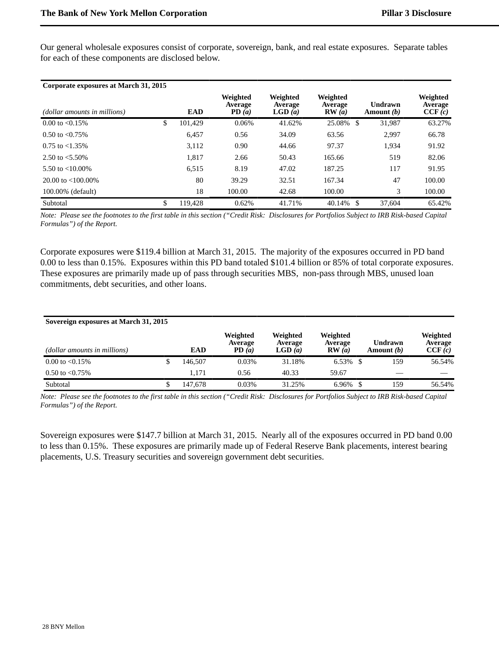Our general wholesale exposures consist of corporate, sovereign, bank, and real estate exposures. Separate tables for each of these components are disclosed below.

| Corporate exposures at March 31, 2015 |               |                                     |                               |                                     |                         |                                      |
|---------------------------------------|---------------|-------------------------------------|-------------------------------|-------------------------------------|-------------------------|--------------------------------------|
| (dollar amounts in millions)          | <b>EAD</b>    | Weighted<br><b>Average</b><br>PD(a) | Weighted<br>Average<br>LGD(a) | Weighted<br><b>Average</b><br>RW(a) | Undrawn<br>Amount $(b)$ | Weighted<br><b>Average</b><br>CCF(c) |
| $0.00$ to $< 0.15\%$                  | \$<br>101.429 | 0.06%                               | 41.62%                        | 25.08% \$                           | 31.987                  | 63.27%                               |
| $0.50$ to $\leq 0.75\%$               | 6.457         | 0.56                                | 34.09                         | 63.56                               | 2.997                   | 66.78                                |
| $0.75$ to $< 1.35\%$                  | 3,112         | 0.90                                | 44.66                         | 97.37                               | 1,934                   | 91.92                                |
| 2.50 to $< 5.50\%$                    | 1,817         | 2.66                                | 50.43                         | 165.66                              | 519                     | 82.06                                |
| 5.50 to $< 10.00\%$                   | 6,515         | 8.19                                | 47.02                         | 187.25                              | 117                     | 91.95                                |
| 20.00 to $\lt$ 100.00%                | 80            | 39.29                               | 32.51                         | 167.34                              | 47                      | 100.00                               |
| $100.00\%$ (default)                  | 18            | 100.00                              | 42.68                         | 100.00                              | 3                       | 100.00                               |
| Subtotal                              | \$<br>119.428 | 0.62%                               | 41.71%                        | 40.14%<br>- \$                      | 37,604                  | 65.42%                               |

*Note: Please see the footnotes to the first table in this section ("Credit Risk: Disclosures for Portfolios Subject to IRB Risk-based Capital Formulas") of the Report.* 

Corporate exposures were \$119.4 billion at March 31, 2015. The majority of the exposures occurred in PD band 0.00 to less than 0.15%. Exposures within this PD band totaled \$101.4 billion or 85% of total corporate exposures. These exposures are primarily made up of pass through securities MBS, non-pass through MBS, unused loan commitments, debt securities, and other loans.

| Sovereign exposures at March 31, 2015 |  |            |                              |                               |                              |  |                         |                               |  |  |
|---------------------------------------|--|------------|------------------------------|-------------------------------|------------------------------|--|-------------------------|-------------------------------|--|--|
| (dollar amounts in millions)          |  | <b>EAD</b> | Weighted<br>Average<br>PD(a) | Weighted<br>Average<br>LGD(a) | Weighted<br>Average<br>RW(a) |  | Undrawn<br>Amount $(b)$ | Weighted<br>Average<br>CCF(c) |  |  |
| $0.00$ to $< 0.15\%$                  |  | 146.507    | 0.03%                        | 31.18%                        | $6.53\%$ \$                  |  | 159                     | 56.54%                        |  |  |
| 0.50 to $< 0.75\%$                    |  | 1.171      | 0.56                         | 40.33                         | 59.67                        |  |                         |                               |  |  |
| Subtotal                              |  | 147.678    | 0.03%                        | 31.25%                        |                              |  | 159                     | 56.54%                        |  |  |

*Note: Please see the footnotes to the first table in this section ("Credit Risk: Disclosures for Portfolios Subject to IRB Risk-based Capital Formulas") of the Report.* 

Sovereign exposures were \$147.7 billion at March 31, 2015. Nearly all of the exposures occurred in PD band 0.00 to less than 0.15%. These exposures are primarily made up of Federal Reserve Bank placements, interest bearing placements, U.S. Treasury securities and sovereign government debt securities.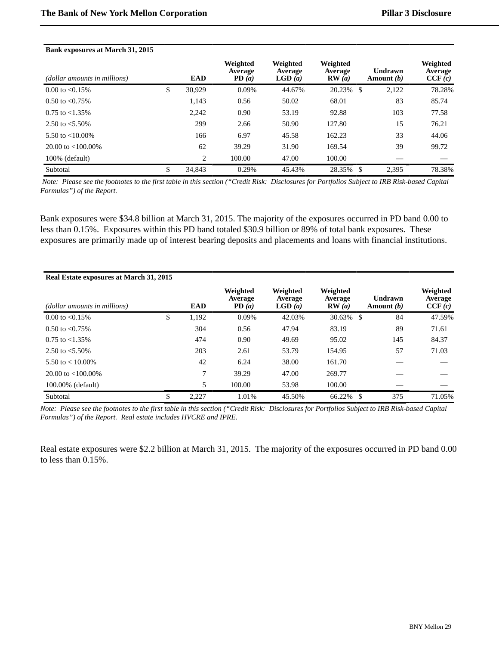#### **Bank exposures at March 31, 2015**

| (dollar amounts in millions) | <b>EAD</b>     | Weighted<br><b>Average</b><br>PD(a) | Weighted<br>Average<br>LGD(a) | Weighted<br><b>Average</b><br>RW(a) | Undrawn<br>Amount (b) | Weighted<br><b>Average</b><br>CCF(c) |
|------------------------------|----------------|-------------------------------------|-------------------------------|-------------------------------------|-----------------------|--------------------------------------|
| $0.00 \text{ to } < 0.15\%$  | \$<br>30.929   | 0.09%                               | 44.67%                        | 20.23%<br>-\$                       | 2,122                 | 78.28%                               |
| $0.50$ to $\leq 0.75\%$      | 1,143          | 0.56                                | 50.02                         | 68.01                               | 83                    | 85.74                                |
| $0.75$ to $< 1.35\%$         | 2,242          | 0.90                                | 53.19                         | 92.88                               | 103                   | 77.58                                |
| 2.50 to $< 5.50\%$           | 299            | 2.66                                | 50.90                         | 127.80                              | 15                    | 76.21                                |
| 5.50 to $< 10.00\%$          | 166            | 6.97                                | 45.58                         | 162.23                              | 33                    | 44.06                                |
| $20.00 \text{ to } 100.00\%$ | 62             | 39.29                               | 31.90                         | 169.54                              | 39                    | 99.72                                |
| 100% (default)               | $\overline{c}$ | 100.00                              | 47.00                         | 100.00                              |                       |                                      |
| Subtotal                     | \$<br>34,843   | 0.29%                               | 45.43%                        | 28.35%<br>-\$                       | 2.395                 | 78.38%                               |

 *Note: Please see the footnotes to the first table in this section ("Credit Risk: Disclosures for Portfolios Subject to IRB Risk-based Capital Formulas") of the Report.* 

Bank exposures were \$34.8 billion at March 31, 2015. The majority of the exposures occurred in PD band 0.00 to less than 0.15%. Exposures within this PD band totaled \$30.9 billion or 89% of total bank exposures. These exposures are primarily made up of interest bearing deposits and placements and loans with financial institutions.

| Real Estate exposures at March 31, 2015 |             |                              |                               |                              |                                |                               |
|-----------------------------------------|-------------|------------------------------|-------------------------------|------------------------------|--------------------------------|-------------------------------|
| (dollar amounts in millions)            | EAD         | Weighted<br>Average<br>PD(a) | Weighted<br>Average<br>LGD(a) | Weighted<br>Average<br>RW(a) | <b>Undrawn</b><br>Amount $(b)$ | Weighted<br>Average<br>CCF(c) |
| $0.00 \text{ to } < 0.15\%$             | \$<br>1,192 | 0.09%                        | 42.03%                        | 30.63%                       | 84<br>-\$                      | 47.59%                        |
| $0.50$ to $\leq 0.75\%$                 | 304         | 0.56                         | 47.94                         | 83.19                        | 89                             | 71.61                         |
| $0.75$ to $< 1.35\%$                    | 474         | 0.90                         | 49.69                         | 95.02                        | 145                            | 84.37                         |
| 2.50 to $< 5.50\%$                      | 203         | 2.61                         | 53.79                         | 154.95                       | 57                             | 71.03                         |
| 5.50 to $< 10.00\%$                     | 42          | 6.24                         | 38.00                         | 161.70                       |                                |                               |
| $20.00$ to $\lt$ 100.00%                | 7           | 39.29                        | 47.00                         | 269.77                       |                                |                               |
| 100.00% (default)                       | 5           | 100.00                       | 53.98                         | 100.00                       |                                |                               |
| Subtotal                                | \$<br>2,227 | 1.01%                        | 45.50%                        | 66.22%                       | 375<br>-S                      | 71.05%                        |

*Note: Please see the footnotes to the first table in this section ("Credit Risk: Disclosures for Portfolios Subject to IRB Risk-based Capital Formulas") of the Report. Real estate includes HVCRE and IPRE.*

Real estate exposures were \$2.2 billion at March 31, 2015. The majority of the exposures occurred in PD band 0.00 to less than 0.15%.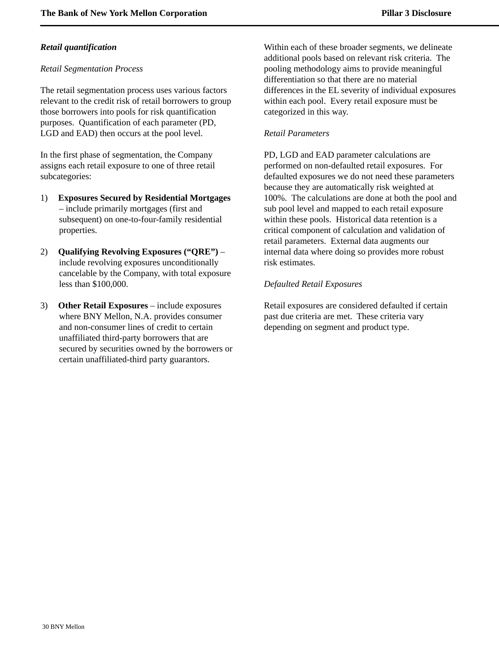### *Retail quantification*

### *Retail Segmentation Process*

The retail segmentation process uses various factors relevant to the credit risk of retail borrowers to group those borrowers into pools for risk quantification purposes. Quantification of each parameter (PD, LGD and EAD) then occurs at the pool level.

In the first phase of segmentation, the Company assigns each retail exposure to one of three retail subcategories:

- 1) **Exposures Secured by Residential Mortgages** – include primarily mortgages (first and subsequent) on one-to-four-family residential properties.
- 2) **Qualifying Revolving Exposures ("QRE")** include revolving exposures unconditionally cancelable by the Company, with total exposure less than \$100,000.
- 3) **Other Retail Exposures**  include exposures where BNY Mellon, N.A. provides consumer and non-consumer lines of credit to certain unaffiliated third-party borrowers that are secured by securities owned by the borrowers or certain unaffiliated-third party guarantors.

Within each of these broader segments, we delineate additional pools based on relevant risk criteria. The pooling methodology aims to provide meaningful differentiation so that there are no material differences in the EL severity of individual exposures within each pool. Every retail exposure must be categorized in this way.

### *Retail Parameters*

PD, LGD and EAD parameter calculations are performed on non-defaulted retail exposures. For defaulted exposures we do not need these parameters because they are automatically risk weighted at 100%. The calculations are done at both the pool and sub pool level and mapped to each retail exposure within these pools. Historical data retention is a critical component of calculation and validation of retail parameters. External data augments our internal data where doing so provides more robust risk estimates.

### *Defaulted Retail Exposures*

Retail exposures are considered defaulted if certain past due criteria are met. These criteria vary depending on segment and product type.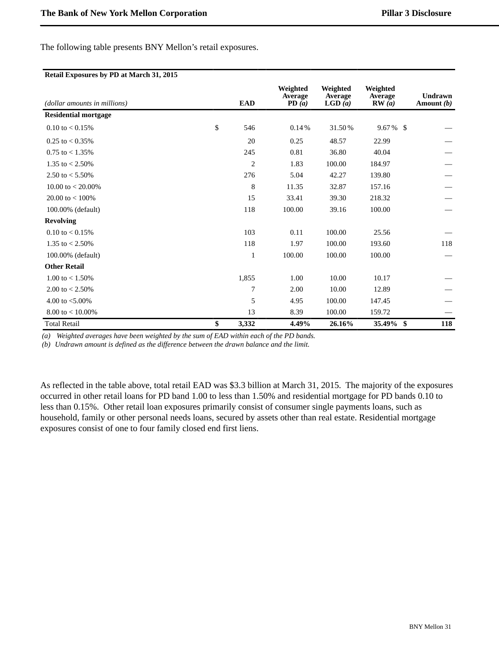The following table presents BNY Mellon's retail exposures.

#### **Retail Exposures by PD at March 31, 2015**

| (dollar amounts in millions) | <b>EAD</b>     | Weighted<br>Average<br>PD(a) | Weighted<br>Average<br>LGD(a) | Weighted<br>Average<br>RW(a) | <b>Undrawn</b><br>Amount $(b)$ |
|------------------------------|----------------|------------------------------|-------------------------------|------------------------------|--------------------------------|
| <b>Residential mortgage</b>  |                |                              |                               |                              |                                |
| $0.10 \text{ to} < 0.15\%$   | \$<br>546      | 0.14%                        | 31.50%                        | $9.67\%$ \$                  |                                |
| $0.25$ to $< 0.35\%$         | 20             | 0.25                         | 48.57                         | 22.99                        |                                |
| $0.75$ to $< 1.35\%$         | 245            | 0.81                         | 36.80                         | 40.04                        |                                |
| 1.35 to $< 2.50\%$           | $\overline{2}$ | 1.83                         | 100.00                        | 184.97                       |                                |
| 2.50 to $< 5.50\%$           | 276            | 5.04                         | 42.27                         | 139.80                       |                                |
| 10.00 to $< 20.00\%$         | $\,$ 8 $\,$    | 11.35                        | 32.87                         | 157.16                       |                                |
| 20.00 to $<$ 100%            | 15             | 33.41                        | 39.30                         | 218.32                       |                                |
| 100.00% (default)            | 118            | 100.00                       | 39.16                         | 100.00                       |                                |
| <b>Revolving</b>             |                |                              |                               |                              |                                |
| $0.10 \text{ to} < 0.15\%$   | 103            | 0.11                         | 100.00                        | 25.56                        |                                |
| 1.35 to $< 2.50\%$           | 118            | 1.97                         | 100.00                        | 193.60                       | 118                            |
| 100.00% (default)            | 1              | 100.00                       | 100.00                        | 100.00                       |                                |
| <b>Other Retail</b>          |                |                              |                               |                              |                                |
| 1.00 to $< 1.50\%$           | 1,855          | 1.00                         | 10.00                         | 10.17                        |                                |
| 2.00 to $< 2.50\%$           | 7              | 2.00                         | 10.00                         | 12.89                        |                                |
| 4.00 to $< 5.00\%$           | 5              | 4.95                         | 100.00                        | 147.45                       |                                |
| $8.00 \text{ to} < 10.00\%$  | 13             | 8.39                         | 100.00                        | 159.72                       |                                |
| <b>Total Retail</b>          | \$<br>3,332    | 4.49%                        | 26.16%                        | 35.49% \$                    | 118                            |

*(a) Weighted averages have been weighted by the sum of EAD within each of the PD bands.*

*(b) Undrawn amount is defined as the difference between the drawn balance and the limit.*

As reflected in the table above, total retail EAD was \$3.3 billion at March 31, 2015. The majority of the exposures occurred in other retail loans for PD band 1.00 to less than 1.50% and residential mortgage for PD bands 0.10 to less than 0.15%. Other retail loan exposures primarily consist of consumer single payments loans, such as household, family or other personal needs loans, secured by assets other than real estate. Residential mortgage exposures consist of one to four family closed end first liens.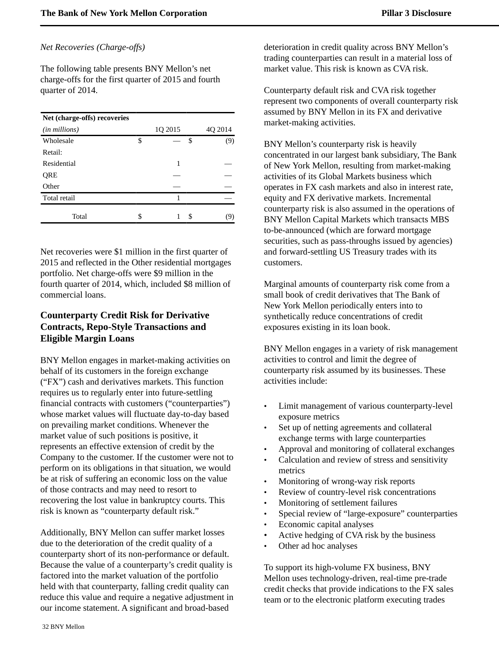### *Net Recoveries (Charge-offs)*

The following table presents BNY Mellon's net charge-offs for the first quarter of 2015 and fourth quarter of 2014.

| Net (charge-offs) recoveries |         |   |         |
|------------------------------|---------|---|---------|
| ( <i>in millions</i> )       | 1Q 2015 |   | 4Q 2014 |
| Wholesale                    | \$      | S | (9)     |
| Retail:                      |         |   |         |
| Residential                  | 1       |   |         |
| QRE                          |         |   |         |
| Other                        |         |   |         |
| Total retail                 |         |   |         |
| Total                        | \$      | S | (9)     |

Net recoveries were \$1 million in the first quarter of 2015 and reflected in the Other residential mortgages portfolio. Net charge-offs were \$9 million in the fourth quarter of 2014, which, included \$8 million of commercial loans.

# <span id="page-33-0"></span>**Counterparty Credit Risk for Derivative Contracts, Repo-Style Transactions and Eligible Margin Loans**

BNY Mellon engages in market-making activities on behalf of its customers in the foreign exchange ("FX") cash and derivatives markets. This function requires us to regularly enter into future-settling financial contracts with customers ("counterparties") whose market values will fluctuate day-to-day based on prevailing market conditions. Whenever the market value of such positions is positive, it represents an effective extension of credit by the Company to the customer. If the customer were not to perform on its obligations in that situation, we would be at risk of suffering an economic loss on the value of those contracts and may need to resort to recovering the lost value in bankruptcy courts. This risk is known as "counterparty default risk."

Additionally, BNY Mellon can suffer market losses due to the deterioration of the credit quality of a counterparty short of its non-performance or default. Because the value of a counterparty's credit quality is factored into the market valuation of the portfolio held with that counterparty, falling credit quality can reduce this value and require a negative adjustment in our income statement. A significant and broad-based

deterioration in credit quality across BNY Mellon's trading counterparties can result in a material loss of market value. This risk is known as CVA risk.

Counterparty default risk and CVA risk together represent two components of overall counterparty risk assumed by BNY Mellon in its FX and derivative market-making activities.

BNY Mellon's counterparty risk is heavily concentrated in our largest bank subsidiary, The Bank of New York Mellon, resulting from market-making activities of its Global Markets business which operates in FX cash markets and also in interest rate, equity and FX derivative markets. Incremental counterparty risk is also assumed in the operations of BNY Mellon Capital Markets which transacts MBS to-be-announced (which are forward mortgage securities, such as pass-throughs issued by agencies) and forward-settling US Treasury trades with its customers.

Marginal amounts of counterparty risk come from a small book of credit derivatives that The Bank of New York Mellon periodically enters into to synthetically reduce concentrations of credit exposures existing in its loan book.

BNY Mellon engages in a variety of risk management activities to control and limit the degree of counterparty risk assumed by its businesses. These activities include:

- Limit management of various counterparty-level exposure metrics
- Set up of netting agreements and collateral exchange terms with large counterparties
- Approval and monitoring of collateral exchanges
- Calculation and review of stress and sensitivity metrics
- Monitoring of wrong-way risk reports
- Review of country-level risk concentrations
- Monitoring of settlement failures
- Special review of "large-exposure" counterparties
- Economic capital analyses
- Active hedging of CVA risk by the business
- Other ad hoc analyses

To support its high-volume FX business, BNY Mellon uses technology-driven, real-time pre-trade credit checks that provide indications to the FX sales team or to the electronic platform executing trades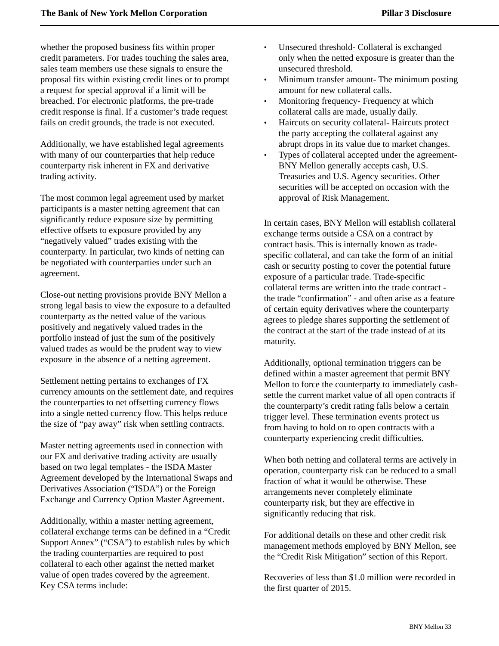whether the proposed business fits within proper credit parameters. For trades touching the sales area, sales team members use these signals to ensure the proposal fits within existing credit lines or to prompt a request for special approval if a limit will be breached. For electronic platforms, the pre-trade credit response is final. If a customer's trade request fails on credit grounds, the trade is not executed.

Additionally, we have established legal agreements with many of our counterparties that help reduce counterparty risk inherent in FX and derivative trading activity.

The most common legal agreement used by market participants is a master netting agreement that can significantly reduce exposure size by permitting effective offsets to exposure provided by any "negatively valued" trades existing with the counterparty. In particular, two kinds of netting can be negotiated with counterparties under such an agreement.

Close-out netting provisions provide BNY Mellon a strong legal basis to view the exposure to a defaulted counterparty as the netted value of the various positively and negatively valued trades in the portfolio instead of just the sum of the positively valued trades as would be the prudent way to view exposure in the absence of a netting agreement.

Settlement netting pertains to exchanges of FX currency amounts on the settlement date, and requires the counterparties to net offsetting currency flows into a single netted currency flow. This helps reduce the size of "pay away" risk when settling contracts.

Master netting agreements used in connection with our FX and derivative trading activity are usually based on two legal templates - the ISDA Master Agreement developed by the International Swaps and Derivatives Association ("ISDA") or the Foreign Exchange and Currency Option Master Agreement.

Additionally, within a master netting agreement, collateral exchange terms can be defined in a "Credit Support Annex" ("CSA") to establish rules by which the trading counterparties are required to post collateral to each other against the netted market value of open trades covered by the agreement. Key CSA terms include:

- Unsecured threshold- Collateral is exchanged only when the netted exposure is greater than the unsecured threshold.
- Minimum transfer amount- The minimum posting amount for new collateral calls.
- Monitoring frequency- Frequency at which collateral calls are made, usually daily.
- Haircuts on security collateral- Haircuts protect the party accepting the collateral against any abrupt drops in its value due to market changes.
- Types of collateral accepted under the agreement-BNY Mellon generally accepts cash, U.S. Treasuries and U.S. Agency securities. Other securities will be accepted on occasion with the approval of Risk Management.

In certain cases, BNY Mellon will establish collateral exchange terms outside a CSA on a contract by contract basis. This is internally known as tradespecific collateral, and can take the form of an initial cash or security posting to cover the potential future exposure of a particular trade. Trade-specific collateral terms are written into the trade contract the trade "confirmation" - and often arise as a feature of certain equity derivatives where the counterparty agrees to pledge shares supporting the settlement of the contract at the start of the trade instead of at its maturity.

Additionally, optional termination triggers can be defined within a master agreement that permit BNY Mellon to force the counterparty to immediately cashsettle the current market value of all open contracts if the counterparty's credit rating falls below a certain trigger level. These termination events protect us from having to hold on to open contracts with a counterparty experiencing credit difficulties.

When both netting and collateral terms are actively in operation, counterparty risk can be reduced to a small fraction of what it would be otherwise. These arrangements never completely eliminate counterparty risk, but they are effective in significantly reducing that risk.

For additional details on these and other credit risk management methods employed by BNY Mellon, see the "Credit Risk Mitigation" section of this Report.

Recoveries of less than \$1.0 million were recorded in the first quarter of 2015.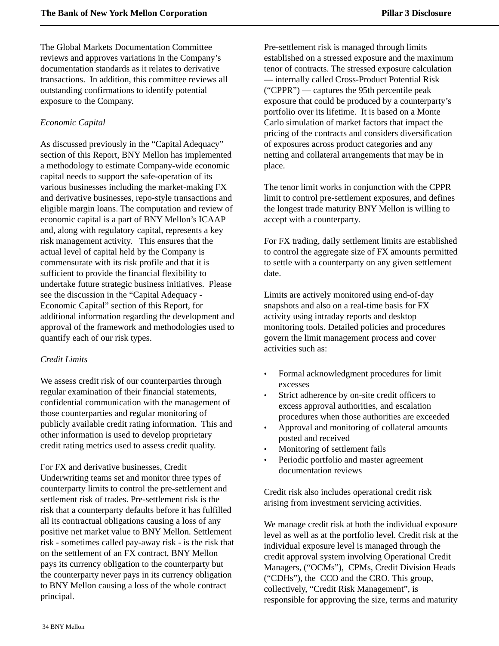The Global Markets Documentation Committee reviews and approves variations in the Company's documentation standards as it relates to derivative transactions. In addition, this committee reviews all outstanding confirmations to identify potential exposure to the Company.

### *Economic Capital*

As discussed previously in the "Capital Adequacy" section of this Report, BNY Mellon has implemented a methodology to estimate Company-wide economic capital needs to support the safe-operation of its various businesses including the market-making FX and derivative businesses, repo-style transactions and eligible margin loans. The computation and review of economic capital is a part of BNY Mellon's ICAAP and, along with regulatory capital, represents a key risk management activity. This ensures that the actual level of capital held by the Company is commensurate with its risk profile and that it is sufficient to provide the financial flexibility to undertake future strategic business initiatives. Please see the discussion in the "Capital Adequacy - Economic Capital" section of this Report, for additional information regarding the development and approval of the framework and methodologies used to quantify each of our risk types.

### *Credit Limits*

We assess credit risk of our counterparties through regular examination of their financial statements, confidential communication with the management of those counterparties and regular monitoring of publicly available credit rating information. This and other information is used to develop proprietary credit rating metrics used to assess credit quality.

For FX and derivative businesses, Credit Underwriting teams set and monitor three types of counterparty limits to control the pre-settlement and settlement risk of trades. Pre-settlement risk is the risk that a counterparty defaults before it has fulfilled all its contractual obligations causing a loss of any positive net market value to BNY Mellon. Settlement risk - sometimes called pay-away risk - is the risk that on the settlement of an FX contract, BNY Mellon pays its currency obligation to the counterparty but the counterparty never pays in its currency obligation to BNY Mellon causing a loss of the whole contract principal.

Pre-settlement risk is managed through limits established on a stressed exposure and the maximum tenor of contracts. The stressed exposure calculation — internally called Cross-Product Potential Risk ("CPPR") — captures the 95th percentile peak exposure that could be produced by a counterparty's portfolio over its lifetime. It is based on a Monte Carlo simulation of market factors that impact the pricing of the contracts and considers diversification of exposures across product categories and any netting and collateral arrangements that may be in place.

The tenor limit works in conjunction with the CPPR limit to control pre-settlement exposures, and defines the longest trade maturity BNY Mellon is willing to accept with a counterparty.

For FX trading, daily settlement limits are established to control the aggregate size of FX amounts permitted to settle with a counterparty on any given settlement date.

Limits are actively monitored using end-of-day snapshots and also on a real-time basis for FX activity using intraday reports and desktop monitoring tools. Detailed policies and procedures govern the limit management process and cover activities such as:

- Formal acknowledgment procedures for limit excesses
- Strict adherence by on-site credit officers to excess approval authorities, and escalation procedures when those authorities are exceeded
- Approval and monitoring of collateral amounts posted and received
- Monitoring of settlement fails
- Periodic portfolio and master agreement documentation reviews

Credit risk also includes operational credit risk arising from investment servicing activities.

We manage credit risk at both the individual exposure level as well as at the portfolio level. Credit risk at the individual exposure level is managed through the credit approval system involving Operational Credit Managers, ("OCMs"), CPMs, Credit Division Heads ("CDHs"), the CCO and the CRO. This group, collectively, "Credit Risk Management", is responsible for approving the size, terms and maturity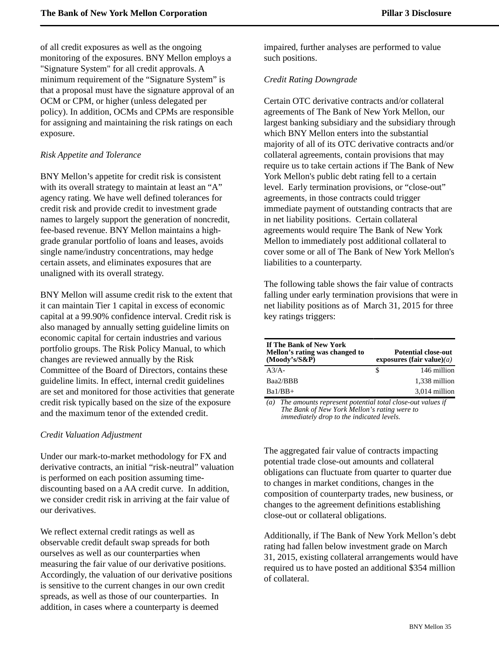of all credit exposures as well as the ongoing monitoring of the exposures. BNY Mellon employs a "Signature System" for all credit approvals. A minimum requirement of the "Signature System" is that a proposal must have the signature approval of an OCM or CPM, or higher (unless delegated per policy). In addition, OCMs and CPMs are responsible for assigning and maintaining the risk ratings on each exposure.

### *Risk Appetite and Tolerance*

BNY Mellon's appetite for credit risk is consistent with its overall strategy to maintain at least an "A" agency rating. We have well defined tolerances for credit risk and provide credit to investment grade names to largely support the generation of noncredit, fee-based revenue. BNY Mellon maintains a highgrade granular portfolio of loans and leases, avoids single name/industry concentrations, may hedge certain assets, and eliminates exposures that are unaligned with its overall strategy.

BNY Mellon will assume credit risk to the extent that it can maintain Tier 1 capital in excess of economic capital at a 99.90% confidence interval. Credit risk is also managed by annually setting guideline limits on economic capital for certain industries and various portfolio groups. The Risk Policy Manual, to which changes are reviewed annually by the Risk Committee of the Board of Directors, contains these guideline limits. In effect, internal credit guidelines are set and monitored for those activities that generate credit risk typically based on the size of the exposure and the maximum tenor of the extended credit.

### *Credit Valuation Adjustment*

Under our mark-to-market methodology for FX and derivative contracts, an initial "risk-neutral" valuation is performed on each position assuming timediscounting based on a AA credit curve. In addition, we consider credit risk in arriving at the fair value of our derivatives.

We reflect external credit ratings as well as observable credit default swap spreads for both ourselves as well as our counterparties when measuring the fair value of our derivative positions. Accordingly, the valuation of our derivative positions is sensitive to the current changes in our own credit spreads, as well as those of our counterparties. In addition, in cases where a counterparty is deemed

impaired, further analyses are performed to value such positions.

### *Credit Rating Downgrade*

Certain OTC derivative contracts and/or collateral agreements of The Bank of New York Mellon, our largest banking subsidiary and the subsidiary through which BNY Mellon enters into the substantial majority of all of its OTC derivative contracts and/or collateral agreements, contain provisions that may require us to take certain actions if The Bank of New York Mellon's public debt rating fell to a certain level. Early termination provisions, or "close-out" agreements, in those contracts could trigger immediate payment of outstanding contracts that are in net liability positions. Certain collateral agreements would require The Bank of New York Mellon to immediately post additional collateral to cover some or all of The Bank of New York Mellon's liabilities to a counterparty.

The following table shows the fair value of contracts falling under early termination provisions that were in net liability positions as of March 31, 2015 for three key ratings triggers:

| If The Bank of New York<br>Mellon's rating was changed to<br>$(Moodv's/S\&P)$ |   | <b>Potential close-out</b><br>exposures (fair value) $(a)$ |
|-------------------------------------------------------------------------------|---|------------------------------------------------------------|
| $A^3/A$                                                                       | S | 146 million                                                |
| Baa2/BBB                                                                      |   | 1,338 million                                              |
| $Ba1/BB+$                                                                     |   | 3,014 million                                              |

*(a) The amounts represent potential total close-out values if The Bank of New York Mellon's rating were to immediately drop to the indicated levels.*

The aggregated fair value of contracts impacting potential trade close-out amounts and collateral obligations can fluctuate from quarter to quarter due to changes in market conditions, changes in the composition of counterparty trades, new business, or changes to the agreement definitions establishing close-out or collateral obligations.

Additionally, if The Bank of New York Mellon's debt rating had fallen below investment grade on March 31, 2015, existing collateral arrangements would have required us to have posted an additional \$354 million of collateral.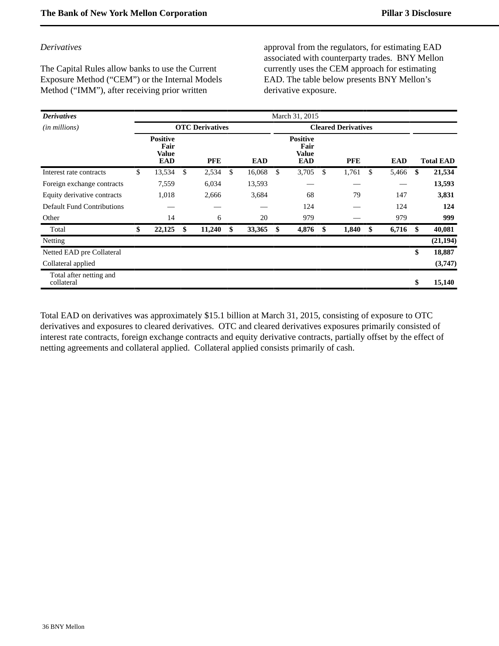### *Derivatives*

The Capital Rules allow banks to use the Current Exposure Method ("CEM") or the Internal Models Method ("IMM"), after receiving prior written

approval from the regulators, for estimating EAD associated with counterparty trades. BNY Mellon currently uses the CEM approach for estimating EAD. The table below presents BNY Mellon's derivative exposure.

| <b>Derivatives</b>                    |                                                |                        |              | March 31, 2015                                        |             |             |                  |
|---------------------------------------|------------------------------------------------|------------------------|--------------|-------------------------------------------------------|-------------|-------------|------------------|
| ( <i>in millions</i> )                |                                                | <b>OTC</b> Derivatives |              | <b>Cleared Derivatives</b>                            |             |             |                  |
|                                       | <b>Positive</b><br>Fair<br>Value<br><b>EAD</b> | <b>PFE</b>             | <b>EAD</b>   | <b>Positive</b><br>Fair<br><b>Value</b><br><b>EAD</b> | <b>PFE</b>  | <b>EAD</b>  | <b>Total EAD</b> |
| Interest rate contracts               | \$<br>13,534                                   | \$<br>2,534            | \$<br>16,068 | \$<br>3,705                                           | \$<br>1,761 | \$<br>5,466 | \$<br>21,534     |
| Foreign exchange contracts            | 7,559                                          | 6,034                  | 13,593       |                                                       |             |             | 13,593           |
| Equity derivative contracts           | 1,018                                          | 2,666                  | 3,684        | 68                                                    | 79          | 147         | 3,831            |
| <b>Default Fund Contributions</b>     |                                                |                        |              | 124                                                   |             | 124         | 124              |
| Other                                 | 14                                             | 6                      | 20           | 979                                                   |             | 979         | 999              |
| Total                                 | \$<br>22,125                                   | \$<br>11,240           | \$<br>33,365 | \$<br>4,876                                           | \$<br>1,840 | \$<br>6,716 | \$<br>40,081     |
| Netting                               |                                                |                        |              |                                                       |             |             | (21, 194)        |
| Netted EAD pre Collateral             |                                                |                        |              |                                                       |             |             | \$<br>18,887     |
| Collateral applied                    |                                                |                        |              |                                                       |             |             | (3,747)          |
| Total after netting and<br>collateral |                                                |                        |              |                                                       |             |             | \$<br>15,140     |

Total EAD on derivatives was approximately \$15.1 billion at March 31, 2015, consisting of exposure to OTC derivatives and exposures to cleared derivatives. OTC and cleared derivatives exposures primarily consisted of interest rate contracts, foreign exchange contracts and equity derivative contracts, partially offset by the effect of netting agreements and collateral applied. Collateral applied consists primarily of cash.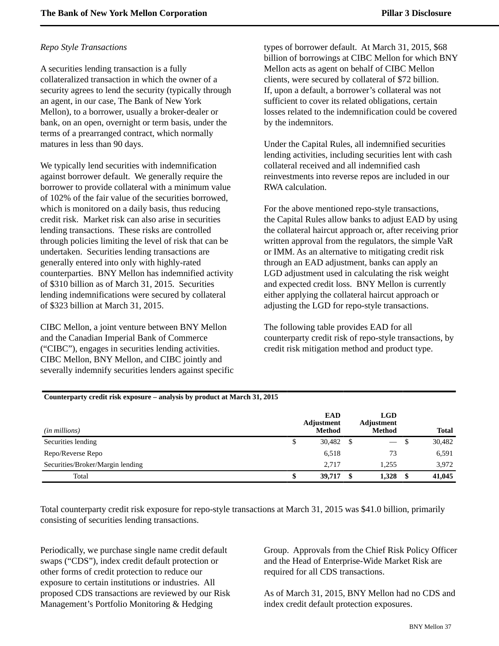# *Repo Style Transactions*

A securities lending transaction is a fully collateralized transaction in which the owner of a security agrees to lend the security (typically through an agent, in our case, The Bank of New York Mellon), to a borrower, usually a broker-dealer or bank, on an open, overnight or term basis, under the terms of a prearranged contract, which normally matures in less than 90 days.

We typically lend securities with indemnification against borrower default. We generally require the borrower to provide collateral with a minimum value of 102% of the fair value of the securities borrowed, which is monitored on a daily basis, thus reducing credit risk. Market risk can also arise in securities lending transactions. These risks are controlled through policies limiting the level of risk that can be undertaken. Securities lending transactions are generally entered into only with highly-rated counterparties. BNY Mellon has indemnified activity of \$310 billion as of March 31, 2015. Securities lending indemnifications were secured by collateral of \$323 billion at March 31, 2015.

CIBC Mellon, a joint venture between BNY Mellon and the Canadian Imperial Bank of Commerce ("CIBC"), engages in securities lending activities. CIBC Mellon, BNY Mellon, and CIBC jointly and severally indemnify securities lenders against specific types of borrower default. At March 31, 2015, \$68 billion of borrowings at CIBC Mellon for which BNY Mellon acts as agent on behalf of CIBC Mellon clients, were secured by collateral of \$72 billion. If, upon a default, a borrower's collateral was not sufficient to cover its related obligations, certain losses related to the indemnification could be covered by the indemnitors.

Under the Capital Rules, all indemnified securities lending activities, including securities lent with cash collateral received and all indemnified cash reinvestments into reverse repos are included in our RWA calculation.

For the above mentioned repo-style transactions, the Capital Rules allow banks to adjust EAD by using the collateral haircut approach or, after receiving prior written approval from the regulators, the simple VaR or IMM. As an alternative to mitigating credit risk through an EAD adjustment, banks can apply an LGD adjustment used in calculating the risk weight and expected credit loss. BNY Mellon is currently either applying the collateral haircut approach or adjusting the LGD for repo-style transactions.

The following table provides EAD for all counterparty credit risk of repo-style transactions, by credit risk mitigation method and product type.

| Counterparty credit risk exposure – analysis by product at March 31, 2015 |  |
|---------------------------------------------------------------------------|--|
|---------------------------------------------------------------------------|--|

| ( <i>in millions</i> )           |   | <b>EAD</b><br>Adjustment<br><b>Method</b> |      | <b>LGD</b><br>Adjustment<br><b>Method</b> |      | <b>Total</b> |
|----------------------------------|---|-------------------------------------------|------|-------------------------------------------|------|--------------|
| Securities lending               | Φ | 30,482                                    | - \$ |                                           | - \$ | 30,482       |
| Repo/Reverse Repo                |   | 6,518                                     |      | 73                                        |      | 6,591        |
| Securities/Broker/Margin lending |   | 2.717                                     |      | 1.255                                     |      | 3,972        |
| Total                            | Œ | 39,717                                    | - \$ | 1,328                                     | - \$ | 41,045       |

Total counterparty credit risk exposure for repo-style transactions at March 31, 2015 was \$41.0 billion, primarily consisting of securities lending transactions.

Periodically, we purchase single name credit default swaps ("CDS"), index credit default protection or other forms of credit protection to reduce our exposure to certain institutions or industries. All proposed CDS transactions are reviewed by our Risk Management's Portfolio Monitoring & Hedging

Group. Approvals from the Chief Risk Policy Officer and the Head of Enterprise-Wide Market Risk are required for all CDS transactions.

As of March 31, 2015, BNY Mellon had no CDS and index credit default protection exposures.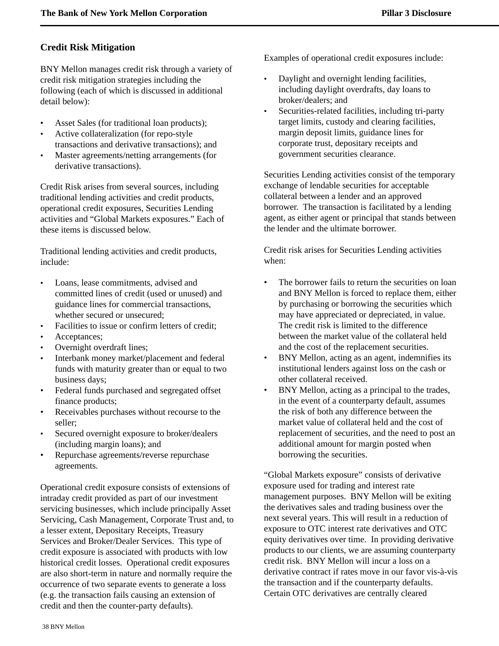# <span id="page-39-0"></span>**Credit Risk Mitigation**

BNY Mellon manages credit risk through a variety of credit risk mitigation strategies including the following (each of which is discussed in additional detail below):

- Asset Sales (for traditional loan products);
- Active collateralization (for repo-style transactions and derivative transactions); and
- Master agreements/netting arrangements (for derivative transactions).

Credit Risk arises from several sources, including traditional lending activities and credit products, operational credit exposures, Securities Lending activities and "Global Markets exposures." Each of these items is discussed below.

Traditional lending activities and credit products, include:

- Loans, lease commitments, advised and committed lines of credit (used or unused) and guidance lines for commercial transactions, whether secured or unsecured;
- Facilities to issue or confirm letters of credit;
- Acceptances;
- Overnight overdraft lines;
- Interbank money market/placement and federal funds with maturity greater than or equal to two business days;
- Federal funds purchased and segregated offset finance products;
- Receivables purchases without recourse to the seller;
- Secured overnight exposure to broker/dealers (including margin loans); and
- Repurchase agreements/reverse repurchase agreements.

Operational credit exposure consists of extensions of intraday credit provided as part of our investment servicing businesses, which include principally Asset Servicing, Cash Management, Corporate Trust and, to a lesser extent, Depositary Receipts, Treasury Services and Broker/Dealer Services. This type of credit exposure is associated with products with low historical credit losses. Operational credit exposures are also short-term in nature and normally require the occurrence of two separate events to generate a loss (e.g. the transaction fails causing an extension of credit and then the counter-party defaults).

Examples of operational credit exposures include:

- Daylight and overnight lending facilities, including daylight overdrafts, day loans to broker/dealers; and
- Securities-related facilities, including tri-party target limits, custody and clearing facilities, margin deposit limits, guidance lines for corporate trust, depositary receipts and government securities clearance.

Securities Lending activities consist of the temporary exchange of lendable securities for acceptable collateral between a lender and an approved borrower. The transaction is facilitated by a lending agent, as either agent or principal that stands between the lender and the ultimate borrower.

Credit risk arises for Securities Lending activities when:

- The borrower fails to return the securities on loan and BNY Mellon is forced to replace them, either by purchasing or borrowing the securities which may have appreciated or depreciated, in value. The credit risk is limited to the difference between the market value of the collateral held and the cost of the replacement securities.
- BNY Mellon, acting as an agent, indemnifies its institutional lenders against loss on the cash or other collateral received.
- BNY Mellon, acting as a principal to the trades, in the event of a counterparty default, assumes the risk of both any difference between the market value of collateral held and the cost of replacement of securities, and the need to post an additional amount for margin posted when borrowing the securities.

"Global Markets exposure" consists of derivative exposure used for trading and interest rate management purposes. BNY Mellon will be exiting the derivatives sales and trading business over the next several years. This will result in a reduction of exposure to OTC interest rate derivatives and OTC equity derivatives over time. In providing derivative products to our clients, we are assuming counterparty credit risk. BNY Mellon will incur a loss on a derivative contract if rates move in our favor vis-à-vis the transaction and if the counterparty defaults. Certain OTC derivatives are centrally cleared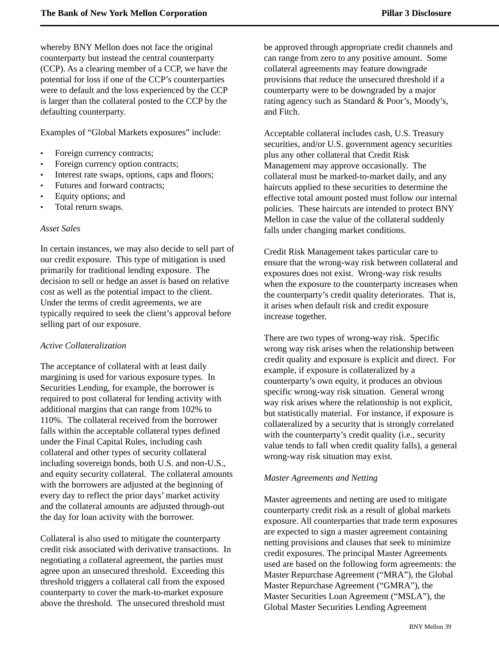whereby BNY Mellon does not face the original counterparty but instead the central counterparty (CCP). As a clearing member of a CCP, we have the potential for loss if one of the CCP's counterparties were to default and the loss experienced by the CCP is larger than the collateral posted to the CCP by the defaulting counterparty.

Examples of "Global Markets exposures" include:

- Foreign currency contracts;
- Foreign currency option contracts;
- Interest rate swaps, options, caps and floors;
- Futures and forward contracts;
- Equity options; and
- Total return swaps.

### *Asset Sales*

In certain instances, we may also decide to sell part of our credit exposure. This type of mitigation is used primarily for traditional lending exposure. The decision to sell or hedge an asset is based on relative cost as well as the potential impact to the client. Under the terms of credit agreements, we are typically required to seek the client's approval before selling part of our exposure.

### *Active Collateralization*

The acceptance of collateral with at least daily margining is used for various exposure types. In Securities Lending, for example, the borrower is required to post collateral for lending activity with additional margins that can range from 102% to 110%. The collateral received from the borrower falls within the acceptable collateral types defined under the Final Capital Rules, including cash collateral and other types of security collateral including sovereign bonds, both U.S. and non-U.S., and equity security collateral. The collateral amounts with the borrowers are adjusted at the beginning of every day to reflect the prior days' market activity and the collateral amounts are adjusted through-out the day for loan activity with the borrower.

Collateral is also used to mitigate the counterparty credit risk associated with derivative transactions. In negotiating a collateral agreement, the parties must agree upon an unsecured threshold. Exceeding this threshold triggers a collateral call from the exposed counterparty to cover the mark-to-market exposure above the threshold. The unsecured threshold must

be approved through appropriate credit channels and can range from zero to any positive amount. Some collateral agreements may feature downgrade provisions that reduce the unsecured threshold if a counterparty were to be downgraded by a major rating agency such as Standard & Poor's, Moody's, and Fitch.

Acceptable collateral includes cash, U.S. Treasury securities, and/or U.S. government agency securities plus any other collateral that Credit Risk Management may approve occasionally. The collateral must be marked-to-market daily, and any haircuts applied to these securities to determine the effective total amount posted must follow our internal policies. These haircuts are intended to protect BNY Mellon in case the value of the collateral suddenly falls under changing market conditions.

Credit Risk Management takes particular care to ensure that the wrong-way risk between collateral and exposures does not exist. Wrong-way risk results when the exposure to the counterparty increases when the counterparty's credit quality deteriorates. That is, it arises when default risk and credit exposure increase together.

There are two types of wrong-way risk. Specific wrong way risk arises when the relationship between credit quality and exposure is explicit and direct. For example, if exposure is collateralized by a counterparty's own equity, it produces an obvious specific wrong-way risk situation. General wrong way risk arises where the relationship is not explicit, but statistically material. For instance, if exposure is collateralized by a security that is strongly correlated with the counterparty's credit quality (i.e., security value tends to fall when credit quality falls), a general wrong-way risk situation may exist.

### *Master Agreements and Netting*

Master agreements and netting are used to mitigate counterparty credit risk as a result of global markets exposure. All counterparties that trade term exposures are expected to sign a master agreement containing netting provisions and clauses that seek to minimize credit exposures. The principal Master Agreements used are based on the following form agreements: the Master Repurchase Agreement ("MRA"), the Global Master Repurchase Agreement ("GMRA"), the Master Securities Loan Agreement ("MSLA"), the Global Master Securities Lending Agreement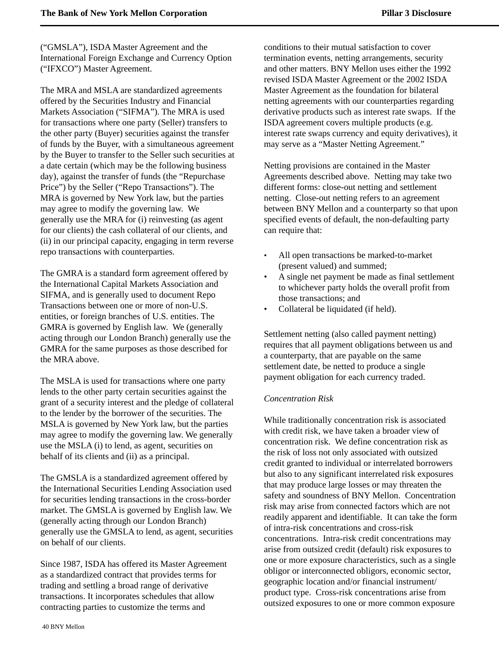("GMSLA"), ISDA Master Agreement and the International Foreign Exchange and Currency Option ("IFXCO") Master Agreement.

The MRA and MSLA are standardized agreements offered by the Securities Industry and Financial Markets Association ("SIFMA"). The MRA is used for transactions where one party (Seller) transfers to the other party (Buyer) securities against the transfer of funds by the Buyer, with a simultaneous agreement by the Buyer to transfer to the Seller such securities at a date certain (which may be the following business day), against the transfer of funds (the "Repurchase Price") by the Seller ("Repo Transactions"). The MRA is governed by New York law, but the parties may agree to modify the governing law. We generally use the MRA for (i) reinvesting (as agent for our clients) the cash collateral of our clients, and (ii) in our principal capacity, engaging in term reverse repo transactions with counterparties.

The GMRA is a standard form agreement offered by the International Capital Markets Association and SIFMA, and is generally used to document Repo Transactions between one or more of non-U.S. entities, or foreign branches of U.S. entities. The GMRA is governed by English law. We (generally acting through our London Branch) generally use the GMRA for the same purposes as those described for the MRA above.

The MSLA is used for transactions where one party lends to the other party certain securities against the grant of a security interest and the pledge of collateral to the lender by the borrower of the securities. The MSLA is governed by New York law, but the parties may agree to modify the governing law. We generally use the MSLA (i) to lend, as agent, securities on behalf of its clients and (ii) as a principal.

The GMSLA is a standardized agreement offered by the International Securities Lending Association used for securities lending transactions in the cross-border market. The GMSLA is governed by English law. We (generally acting through our London Branch) generally use the GMSLA to lend, as agent, securities on behalf of our clients.

Since 1987, ISDA has offered its Master Agreement as a standardized contract that provides terms for trading and settling a broad range of derivative transactions. It incorporates schedules that allow contracting parties to customize the terms and

conditions to their mutual satisfaction to cover termination events, netting arrangements, security and other matters. BNY Mellon uses either the 1992 revised ISDA Master Agreement or the 2002 ISDA Master Agreement as the foundation for bilateral netting agreements with our counterparties regarding derivative products such as interest rate swaps. If the ISDA agreement covers multiple products (e.g. interest rate swaps currency and equity derivatives), it may serve as a "Master Netting Agreement."

Netting provisions are contained in the Master Agreements described above. Netting may take two different forms: close-out netting and settlement netting. Close-out netting refers to an agreement between BNY Mellon and a counterparty so that upon specified events of default, the non-defaulting party can require that:

- All open transactions be marked-to-market (present valued) and summed;
- A single net payment be made as final settlement to whichever party holds the overall profit from those transactions; and
- Collateral be liquidated (if held).

Settlement netting (also called payment netting) requires that all payment obligations between us and a counterparty, that are payable on the same settlement date, be netted to produce a single payment obligation for each currency traded.

### *Concentration Risk*

While traditionally concentration risk is associated with credit risk, we have taken a broader view of concentration risk. We define concentration risk as the risk of loss not only associated with outsized credit granted to individual or interrelated borrowers but also to any significant interrelated risk exposures that may produce large losses or may threaten the safety and soundness of BNY Mellon. Concentration risk may arise from connected factors which are not readily apparent and identifiable. It can take the form of intra-risk concentrations and cross-risk concentrations. Intra-risk credit concentrations may arise from outsized credit (default) risk exposures to one or more exposure characteristics, such as a single obligor or interconnected obligors, economic sector, geographic location and/or financial instrument/ product type. Cross-risk concentrations arise from outsized exposures to one or more common exposure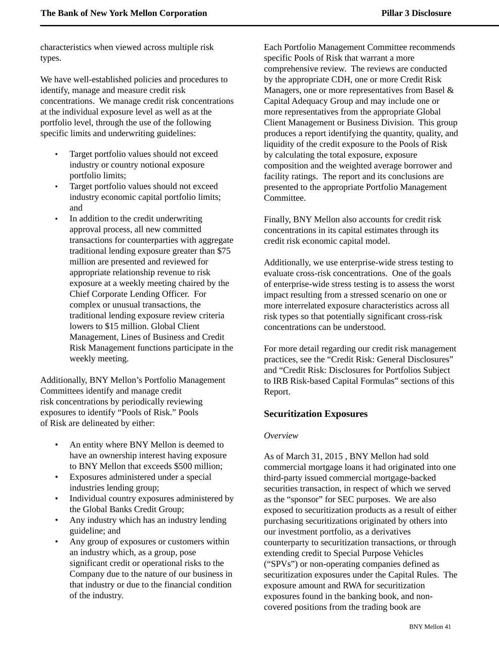characteristics when viewed across multiple risk types.

We have well-established policies and procedures to identify, manage and measure credit risk concentrations. We manage credit risk concentrations at the individual exposure level as well as at the portfolio level, through the use of the following specific limits and underwriting guidelines:

- Target portfolio values should not exceed industry or country notional exposure portfolio limits;
- Target portfolio values should not exceed industry economic capital portfolio limits; and
- In addition to the credit underwriting approval process, all new committed transactions for counterparties with aggregate traditional lending exposure greater than \$75 million are presented and reviewed for appropriate relationship revenue to risk exposure at a weekly meeting chaired by the Chief Corporate Lending Officer. For complex or unusual transactions, the traditional lending exposure review criteria lowers to \$15 million. Global Client Management, Lines of Business and Credit Risk Management functions participate in the weekly meeting.

<span id="page-42-0"></span>Additionally, BNY Mellon's Portfolio Management Committees identify and manage credit risk concentrations by periodically reviewing exposures to identify "Pools of Risk." Pools of Risk are delineated by either:

- An entity where BNY Mellon is deemed to have an ownership interest having exposure to BNY Mellon that exceeds \$500 million;
- Exposures administered under a special industries lending group;
- Individual country exposures administered by the Global Banks Credit Group;
- Any industry which has an industry lending guideline; and
- Any group of exposures or customers within an industry which, as a group, pose significant credit or operational risks to the Company due to the nature of our business in that industry or due to the financial condition of the industry.

Each Portfolio Management Committee recommends specific Pools of Risk that warrant a more comprehensive review. The reviews are conducted by the appropriate CDH, one or more Credit Risk Managers, one or more representatives from Basel & Capital Adequacy Group and may include one or more representatives from the appropriate Global Client Management or Business Division. This group produces a report identifying the quantity, quality, and liquidity of the credit exposure to the Pools of Risk by calculating the total exposure, exposure composition and the weighted average borrower and facility ratings. The report and its conclusions are presented to the appropriate Portfolio Management Committee.

Finally, BNY Mellon also accounts for credit risk concentrations in its capital estimates through its credit risk economic capital model.

Additionally, we use enterprise-wide stress testing to evaluate cross-risk concentrations. One of the goals of enterprise-wide stress testing is to assess the worst impact resulting from a stressed scenario on one or more interrelated exposure characteristics across all risk types so that potentially significant cross-risk concentrations can be understood.

For more detail regarding our credit risk management practices, see the "Credit Risk: General Disclosures" and "Credit Risk: Disclosures for Portfolios Subject to IRB Risk-based Capital Formulas" sections of this Report.

### **Securitization Exposures**

### *Overview*

As of March 31, 2015 , BNY Mellon had sold commercial mortgage loans it had originated into one third-party issued commercial mortgage-backed securities transaction, in respect of which we served as the "sponsor" for SEC purposes. We are also exposed to securitization products as a result of either purchasing securitizations originated by others into our investment portfolio, as a derivatives counterparty to securitization transactions, or through extending credit to Special Purpose Vehicles ("SPVs") or non-operating companies defined as securitization exposures under the Capital Rules. The exposure amount and RWA for securitization exposures found in the banking book, and noncovered positions from the trading book are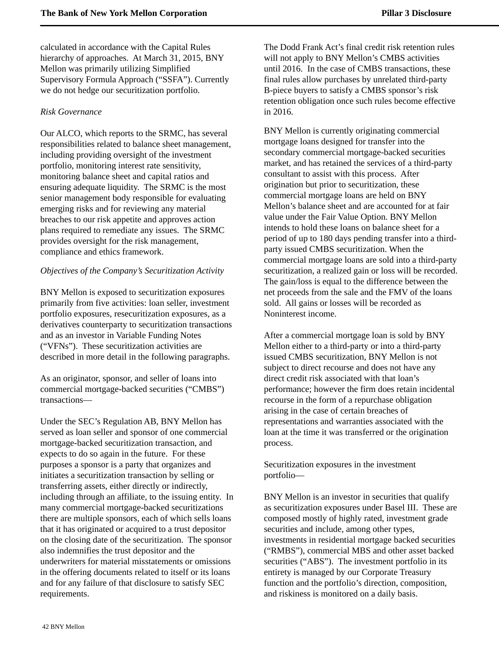calculated in accordance with the Capital Rules hierarchy of approaches. At March 31, 2015, BNY Mellon was primarily utilizing Simplified Supervisory Formula Approach ("SSFA"). Currently we do not hedge our securitization portfolio.

### *Risk Governance*

Our ALCO, which reports to the SRMC, has several responsibilities related to balance sheet management, including providing oversight of the investment portfolio, monitoring interest rate sensitivity, monitoring balance sheet and capital ratios and ensuring adequate liquidity. The SRMC is the most senior management body responsible for evaluating emerging risks and for reviewing any material breaches to our risk appetite and approves action plans required to remediate any issues. The SRMC provides oversight for the risk management, compliance and ethics framework.

### *Objectives of the Company's Securitization Activity*

BNY Mellon is exposed to securitization exposures primarily from five activities: loan seller, investment portfolio exposures, resecuritization exposures, as a derivatives counterparty to securitization transactions and as an investor in Variable Funding Notes ("VFNs"). These securitization activities are described in more detail in the following paragraphs.

As an originator, sponsor, and seller of loans into commercial mortgage-backed securities ("CMBS") transactions—

Under the SEC's Regulation AB, BNY Mellon has served as loan seller and sponsor of one commercial mortgage-backed securitization transaction, and expects to do so again in the future. For these purposes a sponsor is a party that organizes and initiates a securitization transaction by selling or transferring assets, either directly or indirectly, including through an affiliate, to the issuing entity. In many commercial mortgage-backed securitizations there are multiple sponsors, each of which sells loans that it has originated or acquired to a trust depositor on the closing date of the securitization. The sponsor also indemnifies the trust depositor and the underwriters for material misstatements or omissions in the offering documents related to itself or its loans and for any failure of that disclosure to satisfy SEC requirements.

The Dodd Frank Act's final credit risk retention rules will not apply to BNY Mellon's CMBS activities until 2016. In the case of CMBS transactions, these final rules allow purchases by unrelated third-party B-piece buyers to satisfy a CMBS sponsor's risk retention obligation once such rules become effective in 2016.

BNY Mellon is currently originating commercial mortgage loans designed for transfer into the secondary commercial mortgage-backed securities market, and has retained the services of a third-party consultant to assist with this process. After origination but prior to securitization, these commercial mortgage loans are held on BNY Mellon's balance sheet and are accounted for at fair value under the Fair Value Option. BNY Mellon intends to hold these loans on balance sheet for a period of up to 180 days pending transfer into a thirdparty issued CMBS securitization. When the commercial mortgage loans are sold into a third-party securitization, a realized gain or loss will be recorded. The gain/loss is equal to the difference between the net proceeds from the sale and the FMV of the loans sold. All gains or losses will be recorded as Noninterest income.

After a commercial mortgage loan is sold by BNY Mellon either to a third-party or into a third-party issued CMBS securitization, BNY Mellon is not subject to direct recourse and does not have any direct credit risk associated with that loan's performance; however the firm does retain incidental recourse in the form of a repurchase obligation arising in the case of certain breaches of representations and warranties associated with the loan at the time it was transferred or the origination process.

Securitization exposures in the investment portfolio—

BNY Mellon is an investor in securities that qualify as securitization exposures under Basel III. These are composed mostly of highly rated, investment grade securities and include, among other types, investments in residential mortgage backed securities ("RMBS"), commercial MBS and other asset backed securities ("ABS"). The investment portfolio in its entirety is managed by our Corporate Treasury function and the portfolio's direction, composition, and riskiness is monitored on a daily basis.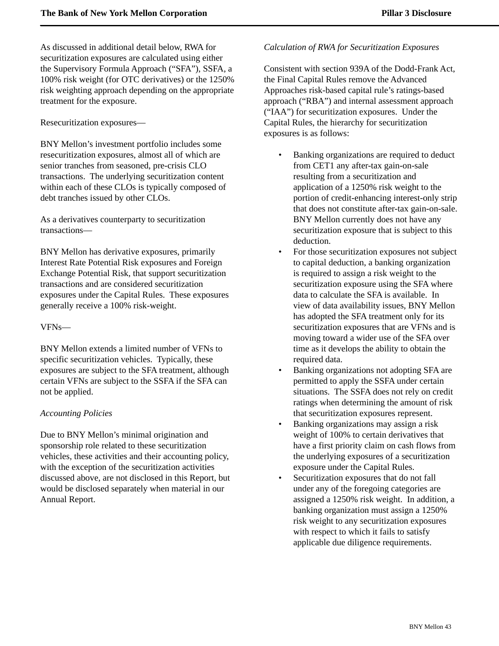As discussed in additional detail below, RWA for securitization exposures are calculated using either the Supervisory Formula Approach ("SFA"), SSFA, a 100% risk weight (for OTC derivatives) or the 1250% risk weighting approach depending on the appropriate treatment for the exposure.

Resecuritization exposures—

BNY Mellon's investment portfolio includes some resecuritization exposures, almost all of which are senior tranches from seasoned, pre-crisis CLO transactions. The underlying securitization content within each of these CLOs is typically composed of debt tranches issued by other CLOs.

As a derivatives counterparty to securitization transactions—

BNY Mellon has derivative exposures, primarily Interest Rate Potential Risk exposures and Foreign Exchange Potential Risk, that support securitization transactions and are considered securitization exposures under the Capital Rules. These exposures generally receive a 100% risk-weight.

### VFNs—

BNY Mellon extends a limited number of VFNs to specific securitization vehicles. Typically, these exposures are subject to the SFA treatment, although certain VFNs are subject to the SSFA if the SFA can not be applied.

### *Accounting Policies*

Due to BNY Mellon's minimal origination and sponsorship role related to these securitization vehicles, these activities and their accounting policy, with the exception of the securitization activities discussed above, are not disclosed in this Report, but would be disclosed separately when material in our Annual Report.

### *Calculation of RWA for Securitization Exposures*

Consistent with section 939A of the Dodd-Frank Act, the Final Capital Rules remove the Advanced Approaches risk-based capital rule's ratings-based approach ("RBA") and internal assessment approach ("IAA") for securitization exposures. Under the Capital Rules, the hierarchy for securitization exposures is as follows:

- Banking organizations are required to deduct from CET1 any after-tax gain-on-sale resulting from a securitization and application of a 1250% risk weight to the portion of credit-enhancing interest-only strip that does not constitute after-tax gain-on-sale. BNY Mellon currently does not have any securitization exposure that is subject to this deduction.
- For those securitization exposures not subject to capital deduction, a banking organization is required to assign a risk weight to the securitization exposure using the SFA where data to calculate the SFA is available. In view of data availability issues, BNY Mellon has adopted the SFA treatment only for its securitization exposures that are VFNs and is moving toward a wider use of the SFA over time as it develops the ability to obtain the required data.
- Banking organizations not adopting SFA are permitted to apply the SSFA under certain situations. The SSFA does not rely on credit ratings when determining the amount of risk that securitization exposures represent.
- Banking organizations may assign a risk weight of 100% to certain derivatives that have a first priority claim on cash flows from the underlying exposures of a securitization exposure under the Capital Rules.
- Securitization exposures that do not fall under any of the foregoing categories are assigned a 1250% risk weight. In addition, a banking organization must assign a 1250% risk weight to any securitization exposures with respect to which it fails to satisfy applicable due diligence requirements.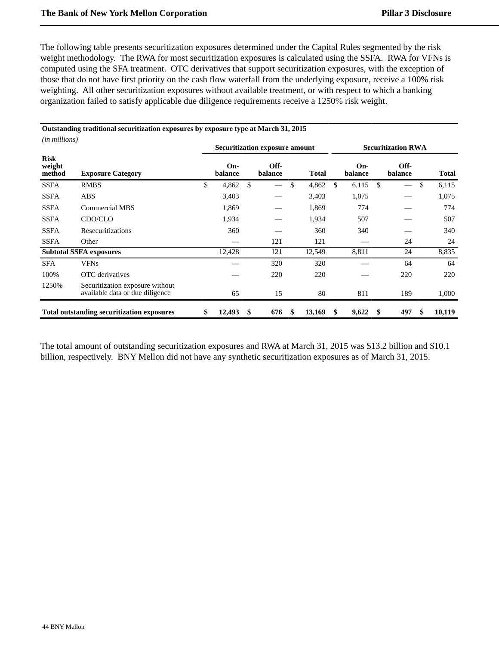*(in millions)*

The following table presents securitization exposures determined under the Capital Rules segmented by the risk weight methodology. The RWA for most securitization exposures is calculated using the SSFA. RWA for VFNs is computed using the SFA treatment. OTC derivatives that support securitization exposures, with the exception of those that do not have first priority on the cash flow waterfall from the underlying exposure, receive a 100% risk weighting. All other securitization exposures without available treatment, or with respect to which a banking organization failed to satisfy applicable due diligence requirements receive a 1250% risk weight.

### **Outstanding traditional securitization exposures by exposure type at March 31, 2015**

| <i>un muuons)</i>               |                                                                    | Securitization exposure amount |                |     |                 |    |        | <b>Securitization RWA</b> |                |    |                 |     |        |  |
|---------------------------------|--------------------------------------------------------------------|--------------------------------|----------------|-----|-----------------|----|--------|---------------------------|----------------|----|-----------------|-----|--------|--|
| <b>Risk</b><br>weight<br>method | <b>Exposure Category</b>                                           |                                | On-<br>balance |     | Off-<br>balance |    | Total  |                           | On-<br>balance |    | Off-<br>balance |     | Total  |  |
| <b>SSFA</b>                     | <b>RMBS</b>                                                        | \$                             | 4,862          | \$. |                 | \$ | 4,862  | \$                        | 6,115          | \$ |                 | \$  | 6,115  |  |
| SSFA                            | ABS                                                                |                                | 3,403          |     |                 |    | 3,403  |                           | 1,075          |    |                 |     | 1,075  |  |
| <b>SSFA</b>                     | <b>Commercial MBS</b>                                              |                                | 1,869          |     |                 |    | 1,869  |                           | 774            |    |                 |     | 774    |  |
| <b>SSFA</b>                     | CDO/CLO                                                            |                                | 1,934          |     |                 |    | 1,934  |                           | 507            |    |                 |     | 507    |  |
| <b>SSFA</b>                     | Resecuritizations                                                  |                                | 360            |     |                 |    | 360    |                           | 340            |    |                 |     | 340    |  |
| <b>SSFA</b>                     | Other                                                              |                                |                |     | 121             |    | 121    |                           |                |    | 24              |     | 24     |  |
|                                 | <b>Subtotal SSFA exposures</b>                                     |                                | 12,428         |     | 121             |    | 12,549 |                           | 8,811          |    | 24              |     | 8,835  |  |
| <b>SFA</b>                      | <b>VFNs</b>                                                        |                                |                |     | 320             |    | 320    |                           |                |    | 64              |     | 64     |  |
| 100%                            | OTC derivatives                                                    |                                |                |     | 220             |    | 220    |                           |                |    | 220             |     | 220    |  |
| 1250%                           | Securitization exposure without<br>available data or due diligence |                                | 65             |     | 15              |    | 80     |                           | 811            |    | 189             |     | 1,000  |  |
|                                 | <b>Total outstanding securitization exposures</b>                  | \$                             | 12,493         | S   | 676             | S  | 13,169 | S                         | 9,622          | S  | 497             | \$. | 10,119 |  |

The total amount of outstanding securitization exposures and RWA at March 31, 2015 was \$13.2 billion and \$10.1 billion, respectively. BNY Mellon did not have any synthetic securitization exposures as of March 31, 2015.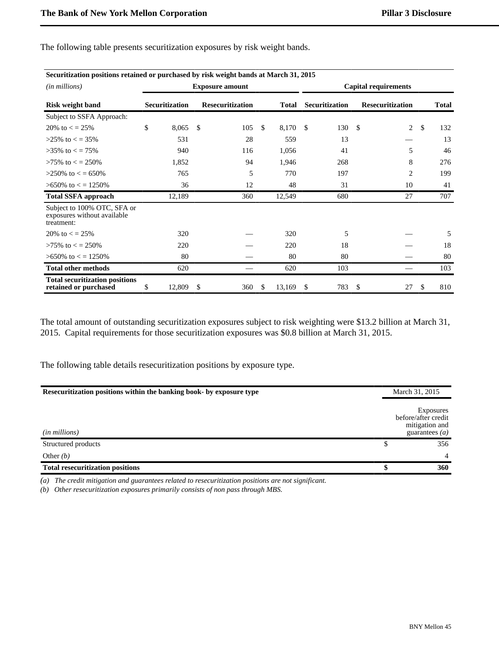| Securitization positions retained or purchased by risk weight bands at March 31, 2015 |    |                       |              |                         |              |    |                       |                    |                             |              |              |
|---------------------------------------------------------------------------------------|----|-----------------------|--------------|-------------------------|--------------|----|-----------------------|--------------------|-----------------------------|--------------|--------------|
| ( <i>in millions</i> )                                                                |    |                       |              | <b>Exposure amount</b>  |              |    |                       |                    | <b>Capital requirements</b> |              |              |
| <b>Risk weight band</b>                                                               |    | <b>Securitization</b> |              | <b>Resecuritization</b> | <b>Total</b> |    | <b>Securitization</b> |                    | <b>Resecuritization</b>     |              | <b>Total</b> |
| Subject to SSFA Approach:                                                             |    |                       |              |                         |              |    |                       |                    |                             |              |              |
| 20\% to $\epsilon$ = 25\%                                                             | \$ | 8,065                 | $\mathbb{S}$ | 105                     | \$<br>8,170  | -S | 130                   | $\mathbf{\hat{S}}$ | $\overline{c}$              | $\mathbb{S}$ | 132          |
| $>25\%$ to $\lt$ = 35%                                                                |    | 531                   |              | 28                      | 559          |    | 13                    |                    |                             |              | 13           |
| $>35\%$ to $\lt$ = 75%                                                                |    | 940                   |              | 116                     | 1,056        |    | 41                    |                    | 5                           |              | 46           |
| $>75\%$ to $\lt$ = 250%                                                               |    | 1,852                 |              | 94                      | 1,946        |    | 268                   |                    | 8                           |              | 276          |
| $>250\%$ to $\lt$ = 650%                                                              |    | 765                   |              | 5                       | 770          |    | 197                   |                    | $\overline{2}$              |              | 199          |
| $>650\%$ to $\lt$ = 1250\%                                                            |    | 36                    |              | 12                      | 48           |    | 31                    |                    | 10                          |              | 41           |
| <b>Total SSFA approach</b>                                                            |    | 12,189                |              | 360                     | 12,549       |    | 680                   |                    | 27                          |              | 707          |
| Subject to 100% OTC, SFA or<br>exposures without available<br>treatment:              |    |                       |              |                         |              |    |                       |                    |                             |              |              |
| 20\% to $\epsilon$ = 25\%                                                             |    | 320                   |              |                         | 320          |    | 5                     |                    |                             |              | 5            |
| $>75\%$ to $\lt$ = 250%                                                               |    | 220                   |              |                         | 220          |    | 18                    |                    |                             |              | 18           |
| $>650\%$ to $\lt$ = 1250\%                                                            |    | 80                    |              |                         | 80           |    | 80                    |                    |                             |              | 80           |
| <b>Total other methods</b>                                                            |    | 620                   |              |                         | 620          |    | 103                   |                    |                             |              | 103          |
| <b>Total securitization positions</b><br>retained or purchased                        | S  | 12,809                | \$           | 360                     | \$<br>13,169 | \$ | 783                   | \$                 | 27                          | \$.          | 810          |

The following table presents securitization exposures by risk weight bands.

The total amount of outstanding securitization exposures subject to risk weighting were \$13.2 billion at March 31, 2015. Capital requirements for those securitization exposures was \$0.8 billion at March 31, 2015.

The following table details resecuritization positions by exposure type.

| Resecuritization positions within the banking book- by exposure type | March 31, 2015                                                         |
|----------------------------------------------------------------------|------------------------------------------------------------------------|
| ( <i>in millions</i> )                                               | Exposures<br>before/after credit<br>mitigation and<br>guarantees $(a)$ |
| Structured products                                                  | 356                                                                    |
| Other $(b)$                                                          | $\overline{4}$                                                         |
| <b>Total resecuritization positions</b>                              | 360                                                                    |

*(a) The credit mitigation and guarantees related to resecuritization positions are not significant.*

*(b) Other resecuritization exposures primarily consists of non pass through MBS.*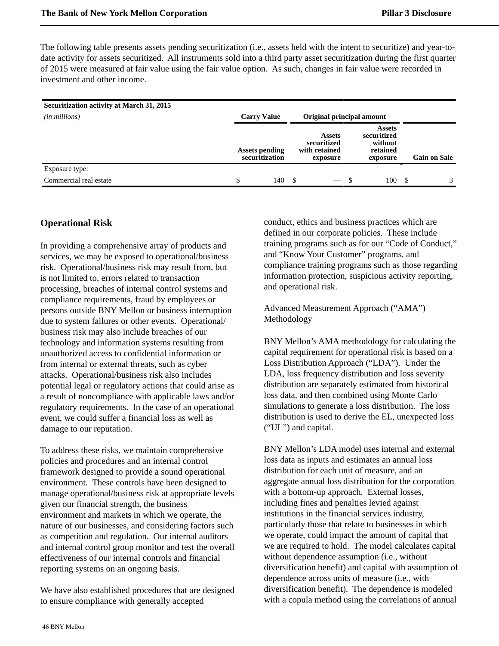The following table presents assets pending securitization (i.e., assets held with the intent to securitize) and year-todate activity for assets securitized. All instruments sold into a third party asset securitization during the first quarter of 2015 were measured at fair value using the fair value option. As such, changes in fair value were recorded in investment and other income.

| Securitization activity at March 31, 2015<br>$(in\, millions)$ | <b>Carry Value</b>                      |     |    | Original principal amount                                 |     |                                                                 |      |                     |
|----------------------------------------------------------------|-----------------------------------------|-----|----|-----------------------------------------------------------|-----|-----------------------------------------------------------------|------|---------------------|
|                                                                | <b>Assets pending</b><br>securitization |     |    | <b>Assets</b><br>securitized<br>with retained<br>exposure |     | <b>Assets</b><br>securitized<br>without<br>retained<br>exposure |      | <b>Gain on Sale</b> |
| Exposure type:                                                 |                                         |     |    |                                                           |     |                                                                 |      |                     |
| Commercial real estate                                         | \$                                      | 140 | -S |                                                           | - S | 100                                                             | - \$ | $\mathcal{F}$       |

# <span id="page-47-0"></span>**Operational Risk**

In providing a comprehensive array of products and services, we may be exposed to operational/business risk. Operational/business risk may result from, but is not limited to, errors related to transaction processing, breaches of internal control systems and compliance requirements, fraud by employees or persons outside BNY Mellon or business interruption due to system failures or other events. Operational/ business risk may also include breaches of our technology and information systems resulting from unauthorized access to confidential information or from internal or external threats, such as cyber attacks. Operational/business risk also includes potential legal or regulatory actions that could arise as a result of noncompliance with applicable laws and/or regulatory requirements. In the case of an operational event, we could suffer a financial loss as well as damage to our reputation.

To address these risks, we maintain comprehensive policies and procedures and an internal control framework designed to provide a sound operational environment. These controls have been designed to manage operational/business risk at appropriate levels given our financial strength, the business environment and markets in which we operate, the nature of our businesses, and considering factors such as competition and regulation. Our internal auditors and internal control group monitor and test the overall effectiveness of our internal controls and financial reporting systems on an ongoing basis.

We have also established procedures that are designed to ensure compliance with generally accepted

conduct, ethics and business practices which are defined in our corporate policies. These include training programs such as for our "Code of Conduct," and "Know Your Customer" programs, and compliance training programs such as those regarding information protection, suspicious activity reporting, and operational risk.

Advanced Measurement Approach ("AMA") Methodology

BNY Mellon's AMA methodology for calculating the capital requirement for operational risk is based on a Loss Distribution Approach ("LDA"). Under the LDA, loss frequency distribution and loss severity distribution are separately estimated from historical loss data, and then combined using Monte Carlo simulations to generate a loss distribution. The loss distribution is used to derive the EL, unexpected loss ("UL") and capital.

BNY Mellon's LDA model uses internal and external loss data as inputs and estimates an annual loss distribution for each unit of measure, and an aggregate annual loss distribution for the corporation with a bottom-up approach. External losses, including fines and penalties levied against institutions in the financial services industry, particularly those that relate to businesses in which we operate, could impact the amount of capital that we are required to hold. The model calculates capital without dependence assumption (i.e., without diversification benefit) and capital with assumption of dependence across units of measure (i.e., with diversification benefit). The dependence is modeled with a copula method using the correlations of annual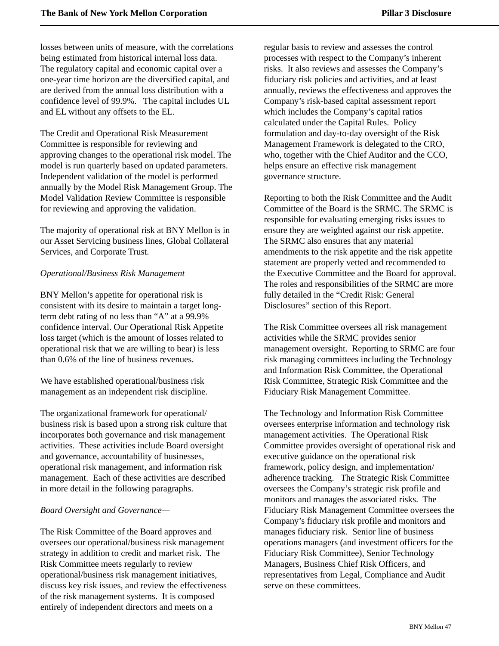losses between units of measure, with the correlations being estimated from historical internal loss data. The regulatory capital and economic capital over a one-year time horizon are the diversified capital, and are derived from the annual loss distribution with a confidence level of 99.9%. The capital includes UL and EL without any offsets to the EL.

The Credit and Operational Risk Measurement Committee is responsible for reviewing and approving changes to the operational risk model. The model is run quarterly based on updated parameters. Independent validation of the model is performed annually by the Model Risk Management Group. The Model Validation Review Committee is responsible for reviewing and approving the validation.

The majority of operational risk at BNY Mellon is in our Asset Servicing business lines, Global Collateral Services, and Corporate Trust.

### *Operational/Business Risk Management*

BNY Mellon's appetite for operational risk is consistent with its desire to maintain a target longterm debt rating of no less than "A" at a 99.9% confidence interval. Our Operational Risk Appetite loss target (which is the amount of losses related to operational risk that we are willing to bear) is less than 0.6% of the line of business revenues.

We have established operational/business risk management as an independent risk discipline.

The organizational framework for operational/ business risk is based upon a strong risk culture that incorporates both governance and risk management activities. These activities include Board oversight and governance, accountability of businesses, operational risk management, and information risk management. Each of these activities are described in more detail in the following paragraphs.

### *Board Oversight and Governance—*

The Risk Committee of the Board approves and oversees our operational/business risk management strategy in addition to credit and market risk. The Risk Committee meets regularly to review operational/business risk management initiatives, discuss key risk issues, and review the effectiveness of the risk management systems. It is composed entirely of independent directors and meets on a

regular basis to review and assesses the control processes with respect to the Company's inherent risks. It also reviews and assesses the Company's fiduciary risk policies and activities, and at least annually, reviews the effectiveness and approves the Company's risk-based capital assessment report which includes the Company's capital ratios calculated under the Capital Rules. Policy formulation and day-to-day oversight of the Risk Management Framework is delegated to the CRO, who, together with the Chief Auditor and the CCO, helps ensure an effective risk management governance structure.

Reporting to both the Risk Committee and the Audit Committee of the Board is the SRMC. The SRMC is responsible for evaluating emerging risks issues to ensure they are weighted against our risk appetite. The SRMC also ensures that any material amendments to the risk appetite and the risk appetite statement are properly vetted and recommended to the Executive Committee and the Board for approval. The roles and responsibilities of the SRMC are more fully detailed in the "Credit Risk: General Disclosures" section of this Report.

The Risk Committee oversees all risk management activities while the SRMC provides senior management oversight. Reporting to SRMC are four risk managing committees including the Technology and Information Risk Committee, the Operational Risk Committee, Strategic Risk Committee and the Fiduciary Risk Management Committee.

The Technology and Information Risk Committee oversees enterprise information and technology risk management activities. The Operational Risk Committee provides oversight of operational risk and executive guidance on the operational risk framework, policy design, and implementation/ adherence tracking. The Strategic Risk Committee oversees the Company's strategic risk profile and monitors and manages the associated risks. The Fiduciary Risk Management Committee oversees the Company's fiduciary risk profile and monitors and manages fiduciary risk. Senior line of business operations managers (and investment officers for the Fiduciary Risk Committee), Senior Technology Managers, Business Chief Risk Officers, and representatives from Legal, Compliance and Audit serve on these committees.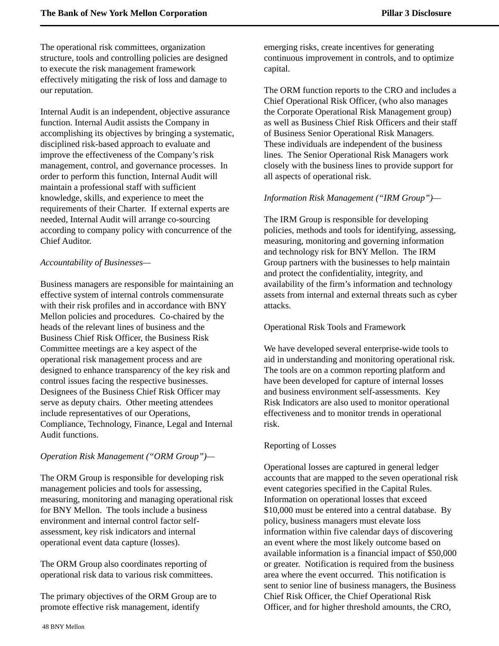The operational risk committees, organization structure, tools and controlling policies are designed to execute the risk management framework effectively mitigating the risk of loss and damage to our reputation.

Internal Audit is an independent, objective assurance function. Internal Audit assists the Company in accomplishing its objectives by bringing a systematic, disciplined risk-based approach to evaluate and improve the effectiveness of the Company's risk management, control, and governance processes. In order to perform this function, Internal Audit will maintain a professional staff with sufficient knowledge, skills, and experience to meet the requirements of their Charter. If external experts are needed, Internal Audit will arrange co-sourcing according to company policy with concurrence of the Chief Auditor.

### *Accountability of Businesses—*

Business managers are responsible for maintaining an effective system of internal controls commensurate with their risk profiles and in accordance with BNY Mellon policies and procedures. Co-chaired by the heads of the relevant lines of business and the Business Chief Risk Officer, the Business Risk Committee meetings are a key aspect of the operational risk management process and are designed to enhance transparency of the key risk and control issues facing the respective businesses. Designees of the Business Chief Risk Officer may serve as deputy chairs. Other meeting attendees include representatives of our Operations, Compliance, Technology, Finance, Legal and Internal Audit functions.

### *Operation Risk Management ("ORM Group")—*

The ORM Group is responsible for developing risk management policies and tools for assessing, measuring, monitoring and managing operational risk for BNY Mellon. The tools include a business environment and internal control factor selfassessment, key risk indicators and internal operational event data capture (losses).

The ORM Group also coordinates reporting of operational risk data to various risk committees.

The primary objectives of the ORM Group are to promote effective risk management, identify

emerging risks, create incentives for generating continuous improvement in controls, and to optimize capital.

The ORM function reports to the CRO and includes a Chief Operational Risk Officer, (who also manages the Corporate Operational Risk Management group) as well as Business Chief Risk Officers and their staff of Business Senior Operational Risk Managers. These individuals are independent of the business lines. The Senior Operational Risk Managers work closely with the business lines to provide support for all aspects of operational risk.

### *Information Risk Management ("IRM Group")—*

The IRM Group is responsible for developing policies, methods and tools for identifying, assessing, measuring, monitoring and governing information and technology risk for BNY Mellon. The IRM Group partners with the businesses to help maintain and protect the confidentiality, integrity, and availability of the firm's information and technology assets from internal and external threats such as cyber attacks.

### Operational Risk Tools and Framework

We have developed several enterprise-wide tools to aid in understanding and monitoring operational risk. The tools are on a common reporting platform and have been developed for capture of internal losses and business environment self-assessments. Key Risk Indicators are also used to monitor operational effectiveness and to monitor trends in operational risk.

### Reporting of Losses

Operational losses are captured in general ledger accounts that are mapped to the seven operational risk event categories specified in the Capital Rules. Information on operational losses that exceed \$10,000 must be entered into a central database. By policy, business managers must elevate loss information within five calendar days of discovering an event where the most likely outcome based on available information is a financial impact of \$50,000 or greater. Notification is required from the business area where the event occurred. This notification is sent to senior line of business managers, the Business Chief Risk Officer, the Chief Operational Risk Officer, and for higher threshold amounts, the CRO,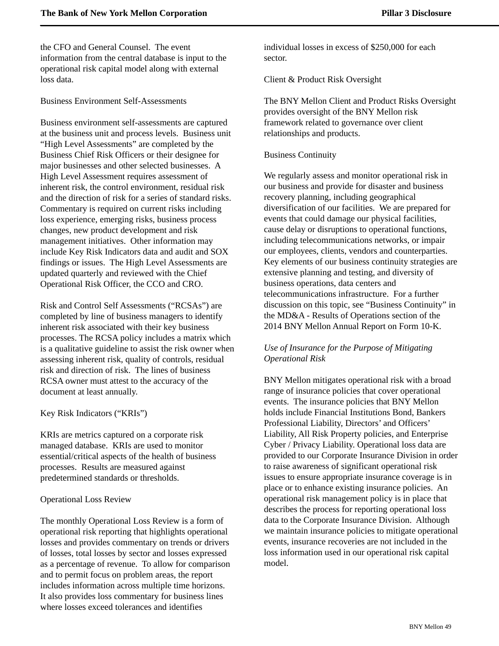the CFO and General Counsel. The event information from the central database is input to the operational risk capital model along with external loss data.

Business Environment Self-Assessments

Business environment self-assessments are captured at the business unit and process levels. Business unit "High Level Assessments" are completed by the Business Chief Risk Officers or their designee for major businesses and other selected businesses. A High Level Assessment requires assessment of inherent risk, the control environment, residual risk and the direction of risk for a series of standard risks. Commentary is required on current risks including loss experience, emerging risks, business process changes, new product development and risk management initiatives. Other information may include Key Risk Indicators data and audit and SOX findings or issues. The High Level Assessments are updated quarterly and reviewed with the Chief Operational Risk Officer, the CCO and CRO.

Risk and Control Self Assessments ("RCSAs") are completed by line of business managers to identify inherent risk associated with their key business processes. The RCSA policy includes a matrix which is a qualitative guideline to assist the risk owner when assessing inherent risk, quality of controls, residual risk and direction of risk. The lines of business RCSA owner must attest to the accuracy of the document at least annually.

Key Risk Indicators ("KRIs")

KRIs are metrics captured on a corporate risk managed database. KRIs are used to monitor essential/critical aspects of the health of business processes. Results are measured against predetermined standards or thresholds.

### Operational Loss Review

The monthly Operational Loss Review is a form of operational risk reporting that highlights operational losses and provides commentary on trends or drivers of losses, total losses by sector and losses expressed as a percentage of revenue. To allow for comparison and to permit focus on problem areas, the report includes information across multiple time horizons. It also provides loss commentary for business lines where losses exceed tolerances and identifies

individual losses in excess of \$250,000 for each sector.

Client & Product Risk Oversight

The BNY Mellon Client and Product Risks Oversight provides oversight of the BNY Mellon risk framework related to governance over client relationships and products.

### Business Continuity

We regularly assess and monitor operational risk in our business and provide for disaster and business recovery planning, including geographical diversification of our facilities. We are prepared for events that could damage our physical facilities, cause delay or disruptions to operational functions, including telecommunications networks, or impair our employees, clients, vendors and counterparties. Key elements of our business continuity strategies are extensive planning and testing, and diversity of business operations, data centers and telecommunications infrastructure. For a further discussion on this topic, see "Business Continuity" in the MD&A - Results of Operations section of the 2014 BNY Mellon Annual Report on Form 10-K.

# *Use of Insurance for the Purpose of Mitigating Operational Risk*

BNY Mellon mitigates operational risk with a broad range of insurance policies that cover operational events. The insurance policies that BNY Mellon holds include Financial Institutions Bond, Bankers Professional Liability, Directors' and Officers' Liability, All Risk Property policies, and Enterprise Cyber / Privacy Liability. Operational loss data are provided to our Corporate Insurance Division in order to raise awareness of significant operational risk issues to ensure appropriate insurance coverage is in place or to enhance existing insurance policies. An operational risk management policy is in place that describes the process for reporting operational loss data to the Corporate Insurance Division. Although we maintain insurance policies to mitigate operational events, insurance recoveries are not included in the loss information used in our operational risk capital model.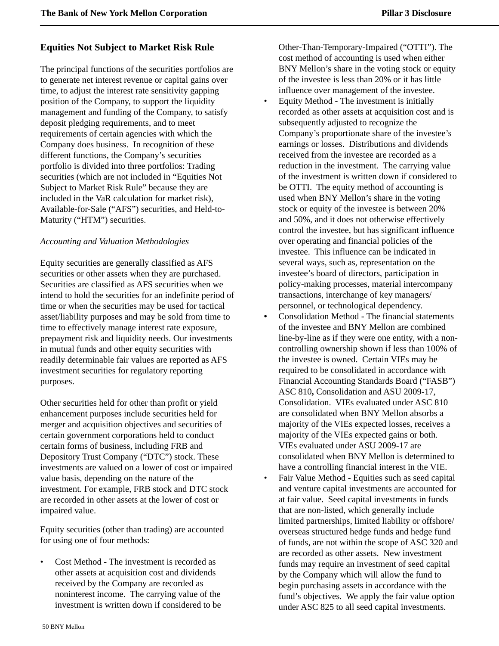# <span id="page-51-0"></span>**Equities Not Subject to Market Risk Rule**

The principal functions of the securities portfolios are to generate net interest revenue or capital gains over time, to adjust the interest rate sensitivity gapping position of the Company, to support the liquidity management and funding of the Company, to satisfy deposit pledging requirements, and to meet requirements of certain agencies with which the Company does business. In recognition of these different functions, the Company's securities portfolio is divided into three portfolios: Trading securities (which are not included in "Equities Not Subject to Market Risk Rule" because they are included in the VaR calculation for market risk), Available-for-Sale ("AFS") securities, and Held-to-Maturity ("HTM") securities.

### *Accounting and Valuation Methodologies*

Equity securities are generally classified as AFS securities or other assets when they are purchased. Securities are classified as AFS securities when we intend to hold the securities for an indefinite period of time or when the securities may be used for tactical asset/liability purposes and may be sold from time to time to effectively manage interest rate exposure, prepayment risk and liquidity needs. Our investments in mutual funds and other equity securities with readily determinable fair values are reported as AFS investment securities for regulatory reporting purposes.

Other securities held for other than profit or yield enhancement purposes include securities held for merger and acquisition objectives and securities of certain government corporations held to conduct certain forms of business, including FRB and Depository Trust Company ("DTC") stock. These investments are valued on a lower of cost or impaired value basis, depending on the nature of the investment. For example, FRB stock and DTC stock are recorded in other assets at the lower of cost or impaired value.

Equity securities (other than trading) are accounted for using one of four methods:

• Cost Method **-** The investment is recorded as other assets at acquisition cost and dividends received by the Company are recorded as noninterest income. The carrying value of the investment is written down if considered to be

Other-Than-Temporary-Impaired ("OTTI"). The cost method of accounting is used when either BNY Mellon's share in the voting stock or equity of the investee is less than 20% or it has little influence over management of the investee.

- Equity Method The investment is initially recorded as other assets at acquisition cost and is subsequently adjusted to recognize the Company's proportionate share of the investee's earnings or losses. Distributions and dividends received from the investee are recorded as a reduction in the investment. The carrying value of the investment is written down if considered to be OTTI. The equity method of accounting is used when BNY Mellon's share in the voting stock or equity of the investee is between 20% and 50%, and it does not otherwise effectively control the investee, but has significant influence over operating and financial policies of the investee. This influence can be indicated in several ways, such as, representation on the investee's board of directors, participation in policy-making processes, material intercompany transactions, interchange of key managers/ personnel, or technological dependency.
- Consolidation Method **-** The financial statements of the investee and BNY Mellon are combined line-by-line as if they were one entity, with a noncontrolling ownership shown if less than 100% of the investee is owned. Certain VIEs may be required to be consolidated in accordance with Financial Accounting Standards Board ("FASB") ASC 810**,** Consolidation and ASU 2009-17, Consolidation. VIEs evaluated under ASC 810 are consolidated when BNY Mellon absorbs a majority of the VIEs expected losses, receives a majority of the VIEs expected gains or both. VIEs evaluated under ASU 2009-17 are consolidated when BNY Mellon is determined to have a controlling financial interest in the VIE.
- Fair Value Method **-** Equities such as seed capital and venture capital investments are accounted for at fair value. Seed capital investments in funds that are non-listed, which generally include limited partnerships, limited liability or offshore/ overseas structured hedge funds and hedge fund of funds, are not within the scope of ASC 320 and are recorded as other assets. New investment funds may require an investment of seed capital by the Company which will allow the fund to begin purchasing assets in accordance with the fund's objectives. We apply the fair value option under ASC 825 to all seed capital investments.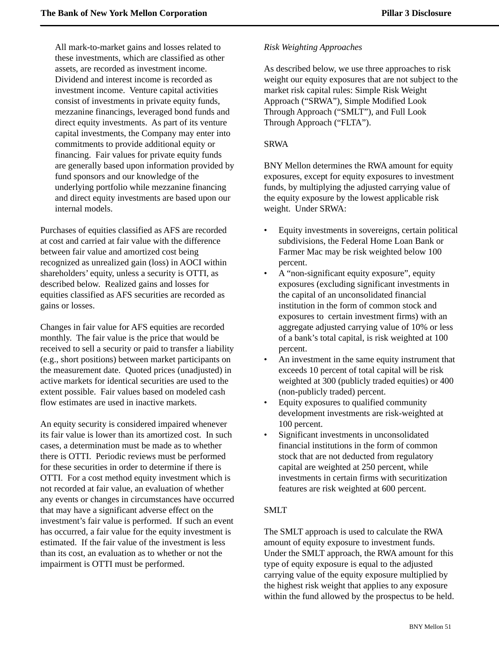All mark-to-market gains and losses related to these investments, which are classified as other assets, are recorded as investment income. Dividend and interest income is recorded as investment income. Venture capital activities consist of investments in private equity funds, mezzanine financings, leveraged bond funds and direct equity investments. As part of its venture capital investments, the Company may enter into commitments to provide additional equity or financing. Fair values for private equity funds are generally based upon information provided by fund sponsors and our knowledge of the underlying portfolio while mezzanine financing and direct equity investments are based upon our internal models.

Purchases of equities classified as AFS are recorded at cost and carried at fair value with the difference between fair value and amortized cost being recognized as unrealized gain (loss) in AOCI within shareholders' equity, unless a security is OTTI, as described below. Realized gains and losses for equities classified as AFS securities are recorded as gains or losses.

Changes in fair value for AFS equities are recorded monthly. The fair value is the price that would be received to sell a security or paid to transfer a liability (e.g., short positions) between market participants on the measurement date. Quoted prices (unadjusted) in active markets for identical securities are used to the extent possible. Fair values based on modeled cash flow estimates are used in inactive markets.

An equity security is considered impaired whenever its fair value is lower than its amortized cost. In such cases, a determination must be made as to whether there is OTTI. Periodic reviews must be performed for these securities in order to determine if there is OTTI. For a cost method equity investment which is not recorded at fair value, an evaluation of whether any events or changes in circumstances have occurred that may have a significant adverse effect on the investment's fair value is performed. If such an event has occurred, a fair value for the equity investment is estimated. If the fair value of the investment is less than its cost, an evaluation as to whether or not the impairment is OTTI must be performed.

### *Risk Weighting Approaches*

As described below, we use three approaches to risk weight our equity exposures that are not subject to the market risk capital rules: Simple Risk Weight Approach ("SRWA"), Simple Modified Look Through Approach ("SMLT"), and Full Look Through Approach ("FLTA").

### SRWA

BNY Mellon determines the RWA amount for equity exposures, except for equity exposures to investment funds, by multiplying the adjusted carrying value of the equity exposure by the lowest applicable risk weight. Under SRWA:

- Equity investments in sovereigns, certain political subdivisions, the Federal Home Loan Bank or Farmer Mac may be risk weighted below 100 percent.
- A "non-significant equity exposure", equity exposures (excluding significant investments in the capital of an unconsolidated financial institution in the form of common stock and exposures to certain investment firms) with an aggregate adjusted carrying value of 10% or less of a bank's total capital, is risk weighted at 100 percent.
- An investment in the same equity instrument that exceeds 10 percent of total capital will be risk weighted at 300 (publicly traded equities) or 400 (non-publicly traded) percent.
- Equity exposures to qualified community development investments are risk-weighted at 100 percent.
- Significant investments in unconsolidated financial institutions in the form of common stock that are not deducted from regulatory capital are weighted at 250 percent, while investments in certain firms with securitization features are risk weighted at 600 percent.

# SMLT

The SMLT approach is used to calculate the RWA amount of equity exposure to investment funds. Under the SMLT approach, the RWA amount for this type of equity exposure is equal to the adjusted carrying value of the equity exposure multiplied by the highest risk weight that applies to any exposure within the fund allowed by the prospectus to be held.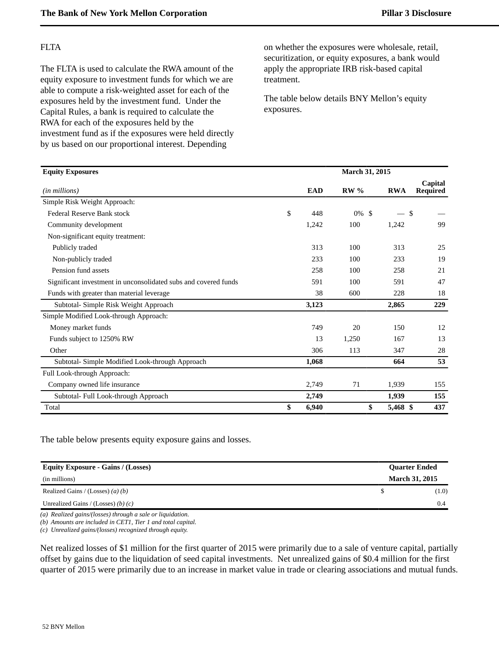### FLTA

The FLTA is used to calculate the RWA amount of the equity exposure to investment funds for which we are able to compute a risk-weighted asset for each of the exposures held by the investment fund. Under the Capital Rules, a bank is required to calculate the RWA for each of the exposures held by the investment fund as if the exposures were held directly by us based on our proportional interest. Depending

on whether the exposures were wholesale, retail, securitization, or equity exposures, a bank would apply the appropriate IRB risk-based capital treatment.

The table below details BNY Mellon's equity exposures.

| <b>Equity Exposures</b>                                         |             | March 31, 2015 |            |                            |
|-----------------------------------------------------------------|-------------|----------------|------------|----------------------------|
| ( <i>in millions</i> )                                          | <b>EAD</b>  | $RW\%$         | <b>RWA</b> | Capital<br><b>Required</b> |
| Simple Risk Weight Approach:                                    |             |                |            |                            |
| <b>Federal Reserve Bank stock</b>                               | \$<br>448   | 0%<br>-\$      | - \$       |                            |
| Community development                                           | 1,242       | 100            | 1,242      | 99                         |
| Non-significant equity treatment:                               |             |                |            |                            |
| Publicly traded                                                 | 313         | 100            | 313        | 25                         |
| Non-publicly traded                                             | 233         | 100            | 233        | 19                         |
| Pension fund assets                                             | 258         | 100            | 258        | 21                         |
| Significant investment in unconsolidated subs and covered funds | 591         | 100            | 591        | 47                         |
| Funds with greater than material leverage                       | 38          | 600            | 228        | 18                         |
| Subtotal- Simple Risk Weight Approach                           | 3,123       |                | 2,865      | 229                        |
| Simple Modified Look-through Approach:                          |             |                |            |                            |
| Money market funds                                              | 749         | 20             | 150        | 12                         |
| Funds subject to 1250% RW                                       | 13          | 1,250          | 167        | 13                         |
| Other                                                           | 306         | 113            | 347        | 28                         |
| Subtotal- Simple Modified Look-through Approach                 | 1,068       |                | 664        | 53                         |
| Full Look-through Approach:                                     |             |                |            |                            |
| Company owned life insurance                                    | 2,749       | 71             | 1,939      | 155                        |
| Subtotal- Full Look-through Approach                            | 2,749       |                | 1,939      | 155                        |
| Total                                                           | \$<br>6,940 | \$             | 5,468 \$   | 437                        |

The table below presents equity exposure gains and losses.

| <b>Equity Exposure - Gains / (Losses)</b> | <b>Quarter Ended</b>  |
|-------------------------------------------|-----------------------|
| (in millions)                             | <b>March 31, 2015</b> |
| Realized Gains / (Losses) (a) (b)         | (1.0)                 |
| Unrealized Gains / (Losses) (b) $(c)$     | 0.4                   |

*(a) Realized gains/(losses) through a sale or liquidation.*

*(b) Amounts are included in CET1, Tier 1 and total capital.*

*(c) Unrealized gains/(losses) recognized through equity.*

Net realized losses of \$1 million for the first quarter of 2015 were primarily due to a sale of venture capital, partially offset by gains due to the liquidation of seed capital investments. Net unrealized gains of \$0.4 million for the first quarter of 2015 were primarily due to an increase in market value in trade or clearing associations and mutual funds.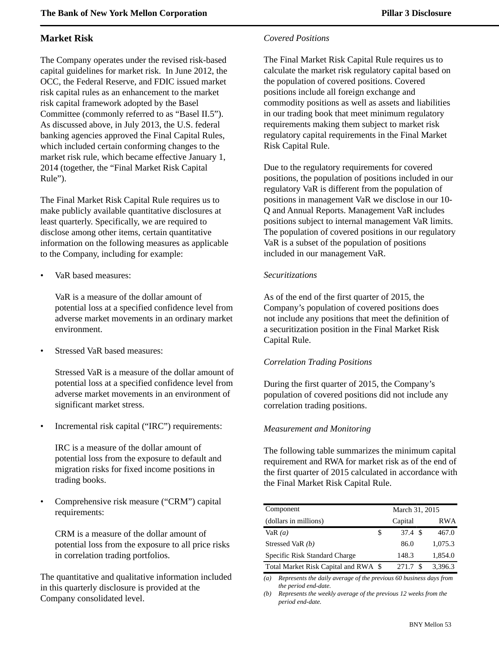# <span id="page-54-0"></span>**Market Risk**

The Company operates under the revised risk-based capital guidelines for market risk. In June 2012, the OCC, the Federal Reserve, and FDIC issued market risk capital rules as an enhancement to the market risk capital framework adopted by the Basel Committee (commonly referred to as "Basel II.5"). As discussed above, in July 2013, the U.S. federal banking agencies approved the Final Capital Rules, which included certain conforming changes to the market risk rule, which became effective January 1, 2014 (together, the "Final Market Risk Capital Rule").

The Final Market Risk Capital Rule requires us to make publicly available quantitative disclosures at least quarterly. Specifically, we are required to disclose among other items, certain quantitative information on the following measures as applicable to the Company, including for example:

• VaR based measures:

VaR is a measure of the dollar amount of potential loss at a specified confidence level from adverse market movements in an ordinary market environment.

Stressed VaR based measures:

Stressed VaR is a measure of the dollar amount of potential loss at a specified confidence level from adverse market movements in an environment of significant market stress.

• Incremental risk capital ("IRC") requirements:

IRC is a measure of the dollar amount of potential loss from the exposure to default and migration risks for fixed income positions in trading books.

• Comprehensive risk measure ("CRM") capital requirements:

CRM is a measure of the dollar amount of potential loss from the exposure to all price risks in correlation trading portfolios.

The quantitative and qualitative information included in this quarterly disclosure is provided at the Company consolidated level.

# *Covered Positions*

The Final Market Risk Capital Rule requires us to calculate the market risk regulatory capital based on the population of covered positions. Covered positions include all foreign exchange and commodity positions as well as assets and liabilities in our trading book that meet minimum regulatory requirements making them subject to market risk regulatory capital requirements in the Final Market Risk Capital Rule.

Due to the regulatory requirements for covered positions, the population of positions included in our regulatory VaR is different from the population of positions in management VaR we disclose in our 10- Q and Annual Reports. Management VaR includes positions subject to internal management VaR limits. The population of covered positions in our regulatory VaR is a subset of the population of positions included in our management VaR.

# *Securitizations*

As of the end of the first quarter of 2015, the Company's population of covered positions does not include any positions that meet the definition of a securitization position in the Final Market Risk Capital Rule.

# *Correlation Trading Positions*

During the first quarter of 2015, the Company's population of covered positions did not include any correlation trading positions.

# *Measurement and Monitoring*

The following table summarizes the minimum capital requirement and RWA for market risk as of the end of the first quarter of 2015 calculated in accordance with the Final Market Risk Capital Rule.

| Component                            | March 31, 2015 |                    |  |         |  |  |
|--------------------------------------|----------------|--------------------|--|---------|--|--|
| (dollars in millions)                |                | Capital            |  | RWA     |  |  |
| VaR $(a)$                            | \$             | $37.4 \text{ } $s$ |  | 467.0   |  |  |
| Stressed VaR (b)                     |                | 86.0               |  | 1,075.3 |  |  |
| Specific Risk Standard Charge        |                | 148.3              |  | 1,854.0 |  |  |
| Total Market Risk Capital and RWA \$ |                | 271.7              |  | 3,396.3 |  |  |

*(a) Represents the daily average of the previous 60 business days from the period end-date.*

*(b) Represents the weekly average of the previous 12 weeks from the period end-date.*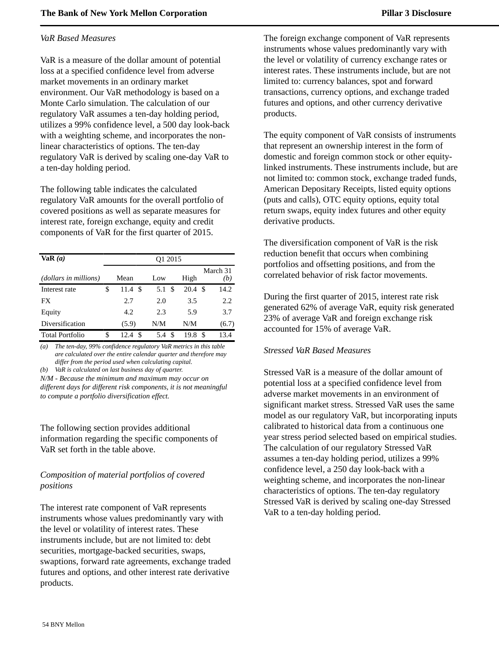### *VaR Based Measures*

VaR is a measure of the dollar amount of potential loss at a specified confidence level from adverse market movements in an ordinary market environment. Our VaR methodology is based on a Monte Carlo simulation. The calculation of our regulatory VaR assumes a ten-day holding period, utilizes a 99% confidence level, a 500 day look-back with a weighting scheme, and incorporates the nonlinear characteristics of options. The ten-day regulatory VaR is derived by scaling one-day VaR to a ten-day holding period.

The following table indicates the calculated regulatory VaR amounts for the overall portfolio of covered positions as well as separate measures for interest rate, foreign exchange, equity and credit components of VaR for the first quarter of 2015.

| VaR(a)                 | O <sub>1</sub> 2015 |           |      |                 |  |  |  |  |  |  |
|------------------------|---------------------|-----------|------|-----------------|--|--|--|--|--|--|
| (dollars in millions)  | Mean                | Low       | High | March 31<br>(b) |  |  |  |  |  |  |
| Interest rate          | \$<br>- \$<br>11.4  | 5.1<br>\$ | 20.4 | 14.2<br>\$.     |  |  |  |  |  |  |
| FX                     | 2.7                 | 2.0       | 3.5  | 2.2             |  |  |  |  |  |  |
| Equity                 | 4.2                 | 2.3       | 5.9  | 3.7             |  |  |  |  |  |  |
| Diversification        | (5.9)               | N/M       | N/M  | (6.7)           |  |  |  |  |  |  |
| <b>Total Portfolio</b> | \$<br>S<br>12.4     | \$<br>5.4 | 19.8 | 13.4<br>S       |  |  |  |  |  |  |

*(a) The ten-day, 99% confidence regulatory VaR metrics in this table are calculated over the entire calendar quarter and therefore may differ from the period used when calculating capital.*

*(b) VaR is calculated on last business day of quarter.*

*N/M - Because the minimum and maximum may occur on different days for different risk components, it is not meaningful to compute a portfolio diversification effect.*

The following section provides additional information regarding the specific components of VaR set forth in the table above.

# *Composition of material portfolios of covered positions*

The interest rate component of VaR represents instruments whose values predominantly vary with the level or volatility of interest rates. These instruments include, but are not limited to: debt securities, mortgage-backed securities, swaps, swaptions, forward rate agreements, exchange traded futures and options, and other interest rate derivative products.

The foreign exchange component of VaR represents instruments whose values predominantly vary with the level or volatility of currency exchange rates or interest rates. These instruments include, but are not limited to: currency balances, spot and forward transactions, currency options, and exchange traded futures and options, and other currency derivative products.

The equity component of VaR consists of instruments that represent an ownership interest in the form of domestic and foreign common stock or other equitylinked instruments. These instruments include, but are not limited to: common stock, exchange traded funds, American Depositary Receipts, listed equity options (puts and calls), OTC equity options, equity total return swaps, equity index futures and other equity derivative products.

The diversification component of VaR is the risk reduction benefit that occurs when combining portfolios and offsetting positions, and from the correlated behavior of risk factor movements.

During the first quarter of 2015, interest rate risk generated 62% of average VaR, equity risk generated 23% of average VaR and foreign exchange risk accounted for 15% of average VaR.

### *Stressed VaR Based Measures*

Stressed VaR is a measure of the dollar amount of potential loss at a specified confidence level from adverse market movements in an environment of significant market stress. Stressed VaR uses the same model as our regulatory VaR, but incorporating inputs calibrated to historical data from a continuous one year stress period selected based on empirical studies. The calculation of our regulatory Stressed VaR assumes a ten-day holding period, utilizes a 99% confidence level, a 250 day look-back with a weighting scheme, and incorporates the non-linear characteristics of options. The ten-day regulatory Stressed VaR is derived by scaling one-day Stressed VaR to a ten-day holding period.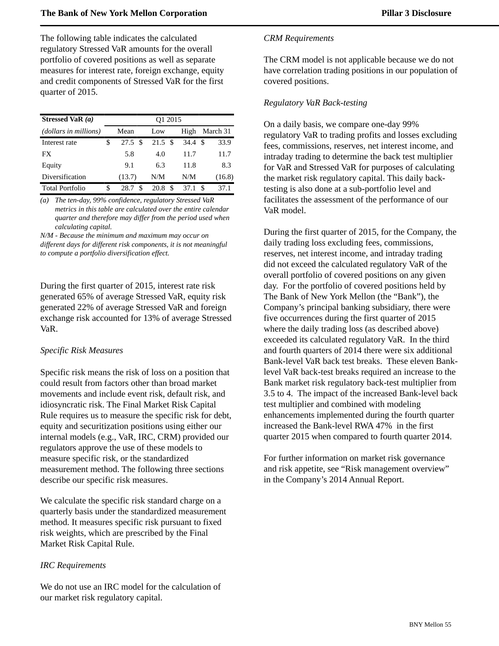The following table indicates the calculated regulatory Stressed VaR amounts for the overall portfolio of covered positions as well as separate measures for interest rate, foreign exchange, equity and credit components of Stressed VaR for the first quarter of 2015.

| Stressed VaR $(a)$     |   | O <sub>1</sub> 2015         |                    |   |      |     |          |  |  |  |  |
|------------------------|---|-----------------------------|--------------------|---|------|-----|----------|--|--|--|--|
| (dollars in millions)  |   | Mean                        | Low                |   | High |     | March 31 |  |  |  |  |
| Interest rate          | S | $27.5 \text{ \textdegree }$ | $21.5 \text{ } $s$ |   | 34.4 | -\$ | 33.9     |  |  |  |  |
| FX                     |   | 5.8                         | 4.0                |   | 11.7 |     | 11.7     |  |  |  |  |
| Equity                 |   | 9.1                         | 6.3                |   | 11.8 |     | 8.3      |  |  |  |  |
| Diversification        |   | (13.7)                      | N/M                |   | N/M  |     | (16.8)   |  |  |  |  |
| <b>Total Portfolio</b> | S | S.<br>28.7                  | 20.8               | S | 37.1 |     | 37.1     |  |  |  |  |

*(a) The ten-day, 99% confidence, regulatory Stressed VaR metrics in this table are calculated over the entire calendar quarter and therefore may differ from the period used when calculating capital.*

*N/M - Because the minimum and maximum may occur on different days for different risk components, it is not meaningful to compute a portfolio diversification effect.*

During the first quarter of 2015, interest rate risk generated 65% of average Stressed VaR, equity risk generated 22% of average Stressed VaR and foreign exchange risk accounted for 13% of average Stressed VaR.

### *Specific Risk Measures*

Specific risk means the risk of loss on a position that could result from factors other than broad market movements and include event risk, default risk, and idiosyncratic risk. The Final Market Risk Capital Rule requires us to measure the specific risk for debt, equity and securitization positions using either our internal models (e.g., VaR, IRC, CRM) provided our regulators approve the use of these models to measure specific risk, or the standardized measurement method. The following three sections describe our specific risk measures.

We calculate the specific risk standard charge on a quarterly basis under the standardized measurement method. It measures specific risk pursuant to fixed risk weights, which are prescribed by the Final Market Risk Capital Rule.

### *IRC Requirements*

We do not use an IRC model for the calculation of our market risk regulatory capital.

### *CRM Requirements*

The CRM model is not applicable because we do not have correlation trading positions in our population of covered positions.

### *Regulatory VaR Back-testing*

On a daily basis, we compare one-day 99% regulatory VaR to trading profits and losses excluding fees, commissions, reserves, net interest income, and intraday trading to determine the back test multiplier for VaR and Stressed VaR for purposes of calculating the market risk regulatory capital. This daily backtesting is also done at a sub-portfolio level and facilitates the assessment of the performance of our VaR model.

During the first quarter of 2015, for the Company, the daily trading loss excluding fees, commissions, reserves, net interest income, and intraday trading did not exceed the calculated regulatory VaR of the overall portfolio of covered positions on any given day. For the portfolio of covered positions held by The Bank of New York Mellon (the "Bank"), the Company's principal banking subsidiary, there were five occurrences during the first quarter of 2015 where the daily trading loss (as described above) exceeded its calculated regulatory VaR. In the third and fourth quarters of 2014 there were six additional Bank-level VaR back test breaks. These eleven Banklevel VaR back-test breaks required an increase to the Bank market risk regulatory back-test multiplier from 3.5 to 4. The impact of the increased Bank-level back test multiplier and combined with modeling enhancements implemented during the fourth quarter increased the Bank-level RWA 47% in the first quarter 2015 when compared to fourth quarter 2014.

For further information on market risk governance and risk appetite, see "Risk management overview" in the Company's 2014 Annual Report.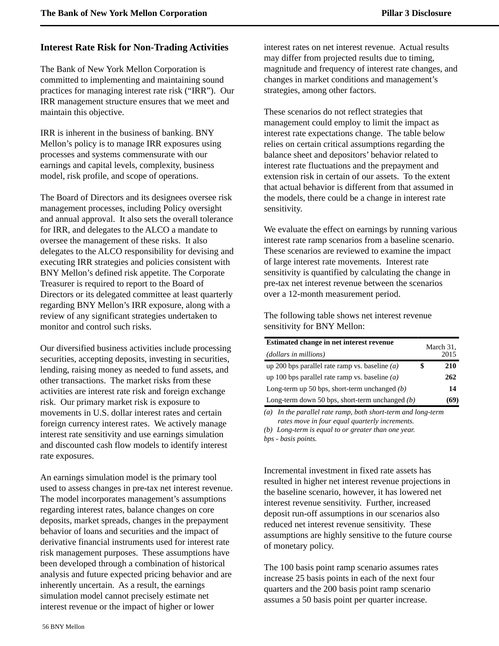# <span id="page-57-0"></span>**Interest Rate Risk for Non-Trading Activities**

The Bank of New York Mellon Corporation is committed to implementing and maintaining sound practices for managing interest rate risk ("IRR"). Our IRR management structure ensures that we meet and maintain this objective.

IRR is inherent in the business of banking. BNY Mellon's policy is to manage IRR exposures using processes and systems commensurate with our earnings and capital levels, complexity, business model, risk profile, and scope of operations.

The Board of Directors and its designees oversee risk management processes, including Policy oversight and annual approval. It also sets the overall tolerance for IRR, and delegates to the ALCO a mandate to oversee the management of these risks. It also delegates to the ALCO responsibility for devising and executing IRR strategies and policies consistent with BNY Mellon's defined risk appetite. The Corporate Treasurer is required to report to the Board of Directors or its delegated committee at least quarterly regarding BNY Mellon's IRR exposure, along with a review of any significant strategies undertaken to monitor and control such risks.

Our diversified business activities include processing securities, accepting deposits, investing in securities, lending, raising money as needed to fund assets, and other transactions. The market risks from these activities are interest rate risk and foreign exchange risk. Our primary market risk is exposure to movements in U.S. dollar interest rates and certain foreign currency interest rates. We actively manage interest rate sensitivity and use earnings simulation and discounted cash flow models to identify interest rate exposures.

An earnings simulation model is the primary tool used to assess changes in pre-tax net interest revenue. The model incorporates management's assumptions regarding interest rates, balance changes on core deposits, market spreads, changes in the prepayment behavior of loans and securities and the impact of derivative financial instruments used for interest rate risk management purposes. These assumptions have been developed through a combination of historical analysis and future expected pricing behavior and are inherently uncertain. As a result, the earnings simulation model cannot precisely estimate net interest revenue or the impact of higher or lower

interest rates on net interest revenue. Actual results may differ from projected results due to timing, magnitude and frequency of interest rate changes, and changes in market conditions and management's strategies, among other factors.

These scenarios do not reflect strategies that management could employ to limit the impact as interest rate expectations change. The table below relies on certain critical assumptions regarding the balance sheet and depositors' behavior related to interest rate fluctuations and the prepayment and extension risk in certain of our assets. To the extent that actual behavior is different from that assumed in the models, there could be a change in interest rate sensitivity.

We evaluate the effect on earnings by running various interest rate ramp scenarios from a baseline scenario. These scenarios are reviewed to examine the impact of large interest rate movements. Interest rate sensitivity is quantified by calculating the change in pre-tax net interest revenue between the scenarios over a 12-month measurement period.

The following table shows net interest revenue sensitivity for BNY Mellon:

| Estimated change in net interest revenue<br>(dollars in millions) | March 31,<br>2015 |
|-------------------------------------------------------------------|-------------------|
| up 200 bps parallel rate ramp vs. baseline $(a)$                  | 210               |
| up 100 bps parallel rate ramp vs. baseline $(a)$                  | 262               |
| Long-term up 50 bps, short-term unchanged $(b)$                   | 14                |
| Long-term down 50 bps, short-term unchanged $(b)$                 | (69)              |

*(a) In the parallel rate ramp, both short-term and long-term rates move in four equal quarterly increments.*

*(b) Long-term is equal to or greater than one year. bps - basis points.*

Incremental investment in fixed rate assets has resulted in higher net interest revenue projections in the baseline scenario, however, it has lowered net interest revenue sensitivity. Further, increased deposit run-off assumptions in our scenarios also reduced net interest revenue sensitivity. These assumptions are highly sensitive to the future course of monetary policy.

The 100 basis point ramp scenario assumes rates increase 25 basis points in each of the next four quarters and the 200 basis point ramp scenario assumes a 50 basis point per quarter increase.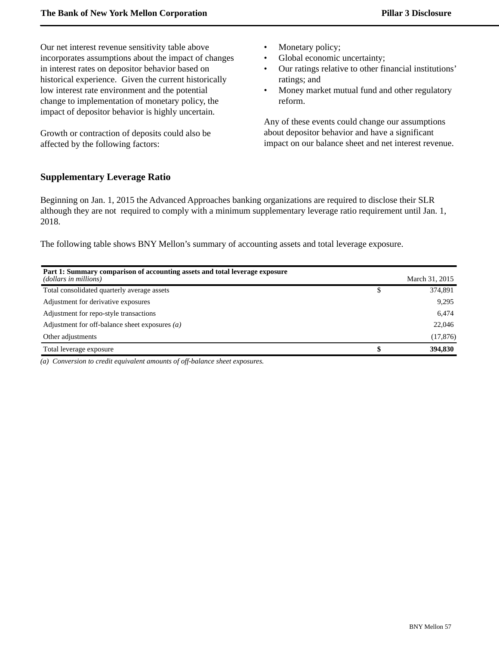Our net interest revenue sensitivity table above incorporates assumptions about the impact of changes in interest rates on depositor behavior based on historical experience. Given the current historically low interest rate environment and the potential change to implementation of monetary policy, the impact of depositor behavior is highly uncertain.

Growth or contraction of deposits could also be affected by the following factors:

- Monetary policy;
- Global economic uncertainty;
- Our ratings relative to other financial institutions' ratings; and
- Money market mutual fund and other regulatory reform.

Any of these events could change our assumptions about depositor behavior and have a significant impact on our balance sheet and net interest revenue.

### <span id="page-58-0"></span>**Supplementary Leverage Ratio**

Beginning on Jan. 1, 2015 the Advanced Approaches banking organizations are required to disclose their SLR although they are not required to comply with a minimum supplementary leverage ratio requirement until Jan. 1, 2018.

The following table shows BNY Mellon's summary of accounting assets and total leverage exposure.

| Part 1: Summary comparison of accounting assets and total leverage exposure<br>(dollars in millions) | March 31, 2015 |
|------------------------------------------------------------------------------------------------------|----------------|
| Total consolidated quarterly average assets                                                          | 374,891        |
| Adjustment for derivative exposures                                                                  | 9,295          |
| Adjustment for repo-style transactions                                                               | 6,474          |
| Adjustment for off-balance sheet exposures $(a)$                                                     | 22,046         |
| Other adjustments                                                                                    | (17, 876)      |
| Total leverage exposure                                                                              | 394,830        |

*(a) Conversion to credit equivalent amounts of off-balance sheet exposures.*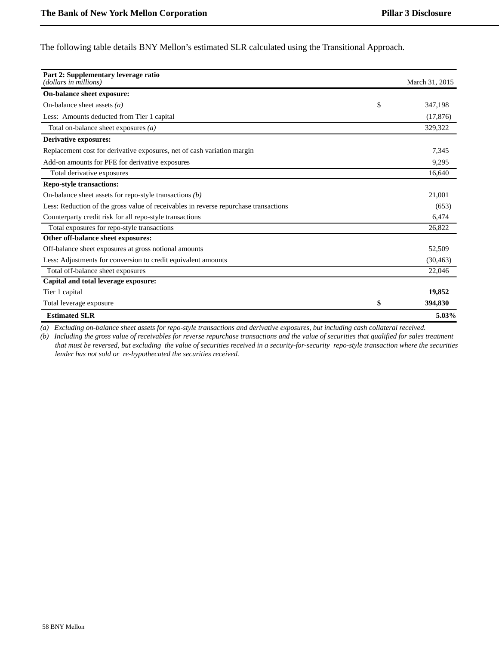The following table details BNY Mellon's estimated SLR calculated using the Transitional Approach.

| Part 2: Supplementary leverage ratio<br>(dollars in millions)                        |    | March 31, 2015 |
|--------------------------------------------------------------------------------------|----|----------------|
| On-balance sheet exposure:                                                           |    |                |
| On-balance sheet assets $(a)$<br>\$                                                  |    | 347.198        |
| Less: Amounts deducted from Tier 1 capital                                           |    | (17, 876)      |
| Total on-balance sheet exposures $(a)$                                               |    | 329,322        |
| <b>Derivative exposures:</b>                                                         |    |                |
| Replacement cost for derivative exposures, net of cash variation margin              |    | 7,345          |
| Add-on amounts for PFE for derivative exposures                                      |    | 9.295          |
| Total derivative exposures                                                           |    | 16,640         |
| <b>Repo-style transactions:</b>                                                      |    |                |
| On-balance sheet assets for repo-style transactions $(b)$                            |    | 21.001         |
| Less: Reduction of the gross value of receivables in reverse repurchase transactions |    | (653)          |
| Counterparty credit risk for all repo-style transactions                             |    | 6,474          |
| Total exposures for repo-style transactions                                          |    | 26,822         |
| Other off-balance sheet exposures:                                                   |    |                |
| Off-balance sheet exposures at gross notional amounts                                |    | 52,509         |
| Less: Adjustments for conversion to credit equivalent amounts                        |    | (30, 463)      |
| Total off-balance sheet exposures                                                    |    | 22,046         |
| Capital and total leverage exposure:                                                 |    |                |
| Tier 1 capital                                                                       |    | 19,852         |
| Total leverage exposure                                                              | \$ | 394,830        |
| <b>Estimated SLR</b>                                                                 |    | 5.03%          |

*(a) Excluding on-balance sheet assets for repo-style transactions and derivative exposures, but including cash collateral received.*

*(b) Including the gross value of receivables for reverse repurchase transactions and the value of securities that qualified for sales treatment that must be reversed, but excluding the value of securities received in a security-for-security repo-style transaction where the securities lender has not sold or re-hypothecated the securities received.*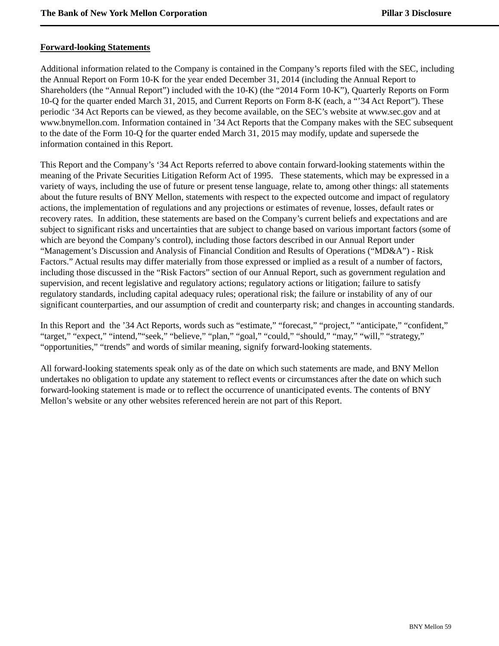### <span id="page-60-0"></span>**Forward-looking Statements**

Additional information related to the Company is contained in the Company's reports filed with the SEC, including the Annual Report on Form 10-K for the year ended December 31, 2014 (including the Annual Report to Shareholders (the "Annual Report") included with the 10-K) (the "2014 Form 10-K"), Quarterly Reports on Form 10-Q for the quarter ended March 31, 2015, and Current Reports on Form 8-K (each, a "'34 Act Report"). These periodic '34 Act Reports can be viewed, as they become available, on the SEC's website at www.sec.gov and at www.bnymellon.com. Information contained in '34 Act Reports that the Company makes with the SEC subsequent to the date of the Form 10-Q for the quarter ended March 31, 2015 may modify, update and supersede the information contained in this Report.

This Report and the Company's '34 Act Reports referred to above contain forward-looking statements within the meaning of the Private Securities Litigation Reform Act of 1995. These statements, which may be expressed in a variety of ways, including the use of future or present tense language, relate to, among other things: all statements about the future results of BNY Mellon, statements with respect to the expected outcome and impact of regulatory actions, the implementation of regulations and any projections or estimates of revenue, losses, default rates or recovery rates. In addition, these statements are based on the Company's current beliefs and expectations and are subject to significant risks and uncertainties that are subject to change based on various important factors (some of which are beyond the Company's control), including those factors described in our Annual Report under "Management's Discussion and Analysis of Financial Condition and Results of Operations ("MD&A") - Risk Factors." Actual results may differ materially from those expressed or implied as a result of a number of factors, including those discussed in the "Risk Factors" section of our Annual Report, such as government regulation and supervision, and recent legislative and regulatory actions; regulatory actions or litigation; failure to satisfy regulatory standards, including capital adequacy rules; operational risk; the failure or instability of any of our significant counterparties, and our assumption of credit and counterparty risk; and changes in accounting standards.

In this Report and the '34 Act Reports, words such as "estimate," "forecast," "project," "anticipate," "confident," "target," "expect," "intend,""seek," "believe," "plan," "goal," "could," "should," "may," "will," "strategy," "opportunities," "trends" and words of similar meaning, signify forward-looking statements.

All forward-looking statements speak only as of the date on which such statements are made, and BNY Mellon undertakes no obligation to update any statement to reflect events or circumstances after the date on which such forward-looking statement is made or to reflect the occurrence of unanticipated events. The contents of BNY Mellon's website or any other websites referenced herein are not part of this Report.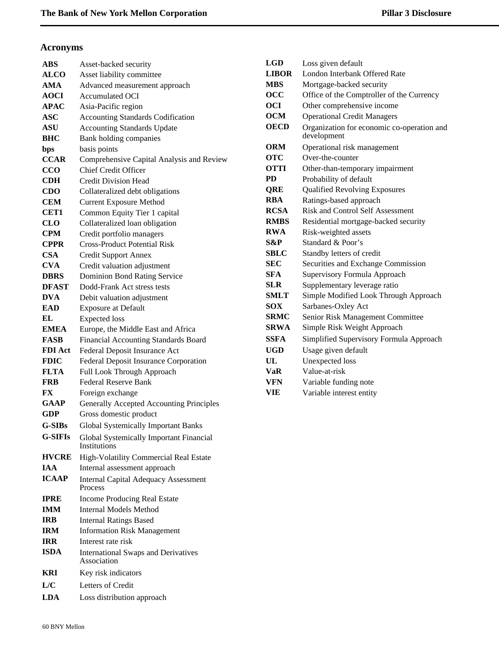# <span id="page-61-0"></span>**Acronyms**

| ABS            | Asset-backed security                                          |
|----------------|----------------------------------------------------------------|
| <b>ALCO</b>    | Asset liability committee                                      |
| <b>AMA</b>     | Advanced measurement approach                                  |
| <b>AOCI</b>    | <b>Accumulated OCI</b>                                         |
| <b>APAC</b>    | Asia-Pacific region                                            |
| <b>ASC</b>     | <b>Accounting Standards Codification</b>                       |
| ASU            | <b>Accounting Standards Update</b>                             |
| <b>BHC</b>     | Bank holding companies                                         |
| bps            | basis points                                                   |
| <b>CCAR</b>    | Comprehensive Capital Analysis and Review                      |
| CCO            | <b>Chief Credit Officer</b>                                    |
| CDH            | Credit Division Head                                           |
| <b>CDO</b>     | Collateralized debt obligations                                |
| <b>CEM</b>     | <b>Current Exposure Method</b>                                 |
| <b>CET1</b>    | Common Equity Tier 1 capital                                   |
| <b>CLO</b>     | Collateralized loan obligation                                 |
| <b>CPM</b>     | Credit portfolio managers                                      |
| <b>CPPR</b>    | <b>Cross-Product Potential Risk</b>                            |
| <b>CSA</b>     | <b>Credit Support Annex</b>                                    |
| <b>CVA</b>     | Credit valuation adjustment                                    |
| <b>DBRS</b>    | <b>Dominion Bond Rating Service</b>                            |
| <b>DFAST</b>   | Dodd-Frank Act stress tests                                    |
| <b>DVA</b>     | Debit valuation adjustment                                     |
| EAD            | <b>Exposure at Default</b>                                     |
| EL             | <b>Expected</b> loss                                           |
| <b>EMEA</b>    | Europe, the Middle East and Africa                             |
| <b>FASB</b>    | Financial Accounting Standards Board                           |
| <b>FDI</b> Act | Federal Deposit Insurance Act                                  |
| <b>FDIC</b>    | Federal Deposit Insurance Corporation                          |
| <b>FLTA</b>    | Full Look Through Approach                                     |
| <b>FRB</b>     | <b>Federal Reserve Bank</b>                                    |
| FX             | Foreign exchange                                               |
| GAAP<br>GDP    | <b>Generally Accepted Accounting Principles</b>                |
|                | Gross domestic product                                         |
| G-SIBs         | <b>Global Systemically Important Banks</b>                     |
| <b>G-SIFIs</b> | Global Systemically Important Financial<br><b>Institutions</b> |
| <b>HVCRE</b>   | High-Volatility Commercial Real Estate                         |
| <b>TAA</b>     | Internal assessment approach                                   |
| <b>ICAAP</b>   | <b>Internal Capital Adequacy Assessment</b><br>Process         |
| <b>IPRE</b>    | <b>Income Producing Real Estate</b>                            |
| <b>IMM</b>     | <b>Internal Models Method</b>                                  |
| <b>IRB</b>     | <b>Internal Ratings Based</b>                                  |
| IRM            | <b>Information Risk Management</b>                             |
| <b>IRR</b>     | Interest rate risk                                             |
| <b>ISDA</b>    |                                                                |
|                | <b>International Swaps and Derivatives</b><br>Association      |
| <b>KRI</b>     | Key risk indicators                                            |

**LDA** Loss distribution approach

| <b>LGD</b>   | Loss given default                                        |
|--------------|-----------------------------------------------------------|
| <b>LIBOR</b> | London Interbank Offered Rate                             |
| <b>MBS</b>   | Mortgage-backed security                                  |
| $\bf{O}CC$   | Office of the Comptroller of the Currency                 |
| OCI          | Other comprehensive income                                |
| <b>OCM</b>   | <b>Operational Credit Managers</b>                        |
| <b>OECD</b>  | Organization for economic co-operation and<br>development |
| <b>ORM</b>   | Operational risk management                               |
| <b>OTC</b>   | Over-the-counter                                          |
| <b>OTTI</b>  | Other-than-temporary impairment                           |
| PD           | Probability of default                                    |
| QRE          | <b>Qualified Revolving Exposures</b>                      |
| <b>RBA</b>   | Ratings-based approach                                    |
| <b>RCSA</b>  | <b>Risk and Control Self Assessment</b>                   |
| <b>RMBS</b>  | Residential mortgage-backed security                      |
| <b>RWA</b>   | Risk-weighted assets                                      |
| S&P          | Standard & Poor's                                         |
| SBLC         | Standby letters of credit                                 |
| <b>SEC</b>   | Securities and Exchange Commission                        |
| <b>SFA</b>   | Supervisory Formula Approach                              |
| <b>SLR</b>   | Supplementary leverage ratio                              |
| <b>SMLT</b>  | Simple Modified Look Through Approach                     |
| <b>SOX</b>   | Sarbanes-Oxley Act                                        |
| <b>SRMC</b>  | Senior Risk Management Committee                          |
| <b>SRWA</b>  | Simple Risk Weight Approach                               |
| <b>SSFA</b>  | Simplified Supervisory Formula Approach                   |
| <b>UGD</b>   | Usage given default                                       |
| UL           | Unexpected loss                                           |
| VaR          | Value-at-risk                                             |
| VFN          | Variable funding note                                     |
| VIE          | Variable interest entity                                  |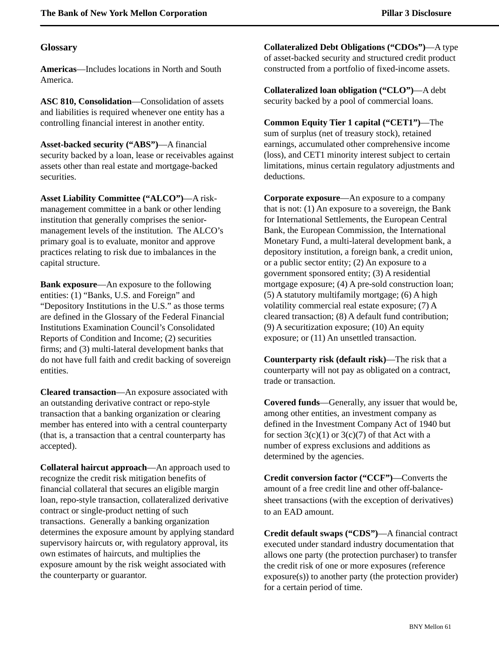### <span id="page-62-0"></span>**Glossary**

**Americas**—Includes locations in North and South America.

**ASC 810, Consolidation**—Consolidation of assets and liabilities is required whenever one entity has a controlling financial interest in another entity.

**Asset-backed security ("ABS")**—A financial security backed by a loan, lease or receivables against assets other than real estate and mortgage-backed securities.

**Asset Liability Committee ("ALCO")**—A riskmanagement committee in a bank or other lending institution that generally comprises the seniormanagement levels of the institution. The ALCO's primary goal is to evaluate, monitor and approve practices relating to risk due to imbalances in the capital structure.

**Bank exposure**—An exposure to the following entities: (1) "Banks, U.S. and Foreign" and "Depository Institutions in the U.S." as those terms are defined in the Glossary of the Federal Financial Institutions Examination Council's Consolidated Reports of Condition and Income; (2) securities firms; and (3) multi-lateral development banks that do not have full faith and credit backing of sovereign entities.

**Cleared transaction**—An exposure associated with an outstanding derivative contract or repo-style transaction that a banking organization or clearing member has entered into with a central counterparty (that is, a transaction that a central counterparty has accepted).

**Collateral haircut approach**—An approach used to recognize the credit risk mitigation benefits of financial collateral that secures an eligible margin loan, repo-style transaction, collateralized derivative contract or single-product netting of such transactions. Generally a banking organization determines the exposure amount by applying standard supervisory haircuts or, with regulatory approval, its own estimates of haircuts, and multiplies the exposure amount by the risk weight associated with the counterparty or guarantor.

**Collateralized Debt Obligations ("CDOs")**—A type of asset-backed security and structured credit product constructed from a portfolio of fixed-income assets.

**Collateralized loan obligation ("CLO")**—A debt security backed by a pool of commercial loans.

**Common Equity Tier 1 capital ("CET1")**—The sum of surplus (net of treasury stock), retained earnings, accumulated other comprehensive income (loss), and CET1 minority interest subject to certain limitations, minus certain regulatory adjustments and deductions.

**Corporate exposure**—An exposure to a company that is not: (1) An exposure to a sovereign, the Bank for International Settlements, the European Central Bank, the European Commission, the International Monetary Fund, a multi-lateral development bank, a depository institution, a foreign bank, a credit union, or a public sector entity; (2) An exposure to a government sponsored entity; (3) A residential mortgage exposure; (4) A pre-sold construction loan; (5) A statutory multifamily mortgage; (6) A high volatility commercial real estate exposure; (7) A cleared transaction; (8) A default fund contribution; (9) A securitization exposure; (10) An equity exposure; or (11) An unsettled transaction.

**Counterparty risk (default risk)**—The risk that a counterparty will not pay as obligated on a contract, trade or transaction.

**Covered funds**—Generally, any issuer that would be, among other entities, an investment company as defined in the Investment Company Act of 1940 but for section  $3(c)(1)$  or  $3(c)(7)$  of that Act with a number of express exclusions and additions as determined by the agencies.

**Credit conversion factor ("CCF")**—Converts the amount of a free credit line and other off-balancesheet transactions (with the exception of derivatives) to an EAD amount.

**Credit default swaps ("CDS")**—A financial contract executed under standard industry documentation that allows one party (the protection purchaser) to transfer the credit risk of one or more exposures (reference exposure(s)) to another party (the protection provider) for a certain period of time.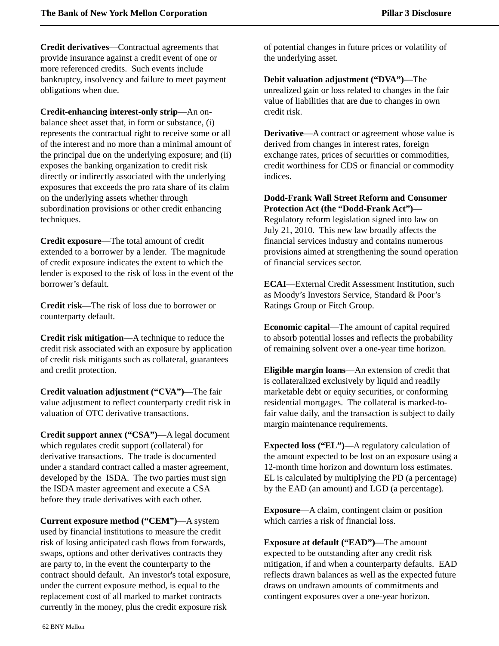**Credit derivatives**—Contractual agreements that provide insurance against a credit event of one or more referenced credits. Such events include bankruptcy, insolvency and failure to meet payment obligations when due.

**Credit-enhancing interest-only strip**—An onbalance sheet asset that, in form or substance, (i) represents the contractual right to receive some or all of the interest and no more than a minimal amount of the principal due on the underlying exposure; and (ii) exposes the banking organization to credit risk directly or indirectly associated with the underlying exposures that exceeds the pro rata share of its claim on the underlying assets whether through subordination provisions or other credit enhancing techniques.

**Credit exposure**—The total amount of credit extended to a borrower by a lender. The magnitude of credit exposure indicates the extent to which the lender is exposed to the risk of loss in the event of the borrower's default.

**Credit risk**—The risk of loss due to borrower or counterparty default.

**Credit risk mitigation**—A technique to reduce the credit risk associated with an exposure by application of credit risk mitigants such as collateral, guarantees and credit protection.

**Credit valuation adjustment ("CVA")**—The fair value adjustment to reflect counterparty credit risk in valuation of OTC derivative transactions.

**Credit support annex ("CSA")**—A legal document which regulates credit support (collateral) for derivative transactions. The trade is documented under a standard contract called a master agreement, developed by the ISDA. The two parties must sign the ISDA master agreement and execute a CSA before they trade derivatives with each other.

**Current exposure method ("CEM")**—A system used by financial institutions to measure the credit risk of losing anticipated cash flows from forwards, swaps, options and other derivatives contracts they are party to, in the event the counterparty to the contract should default. An investor's total exposure, under the current exposure method, is equal to the replacement cost of all marked to market contracts currently in the money, plus the credit exposure risk

of potential changes in future prices or volatility of the underlying asset.

**Debit valuation adjustment ("DVA")**—The unrealized gain or loss related to changes in the fair value of liabilities that are due to changes in own credit risk.

**Derivative—A** contract or agreement whose value is derived from changes in interest rates, foreign exchange rates, prices of securities or commodities, credit worthiness for CDS or financial or commodity indices.

**Dodd-Frank Wall Street Reform and Consumer Protection Act (the "Dodd-Frank Act")**—

Regulatory reform legislation signed into law on July 21, 2010. This new law broadly affects the financial services industry and contains numerous provisions aimed at strengthening the sound operation of financial services sector.

**ECAI**—External Credit Assessment Institution, such as Moody's Investors Service, Standard & Poor's Ratings Group or Fitch Group.

**Economic capital**—The amount of capital required to absorb potential losses and reflects the probability of remaining solvent over a one-year time horizon.

**Eligible margin loans**—An extension of credit that is collateralized exclusively by liquid and readily marketable debt or equity securities, or conforming residential mortgages. The collateral is marked-tofair value daily, and the transaction is subject to daily margin maintenance requirements.

**Expected loss ("EL")**—A regulatory calculation of the amount expected to be lost on an exposure using a 12-month time horizon and downturn loss estimates. EL is calculated by multiplying the PD (a percentage) by the EAD (an amount) and LGD (a percentage).

**Exposure**—A claim, contingent claim or position which carries a risk of financial loss.

**Exposure at default ("EAD")**—The amount expected to be outstanding after any credit risk mitigation, if and when a counterparty defaults. EAD reflects drawn balances as well as the expected future draws on undrawn amounts of commitments and contingent exposures over a one-year horizon.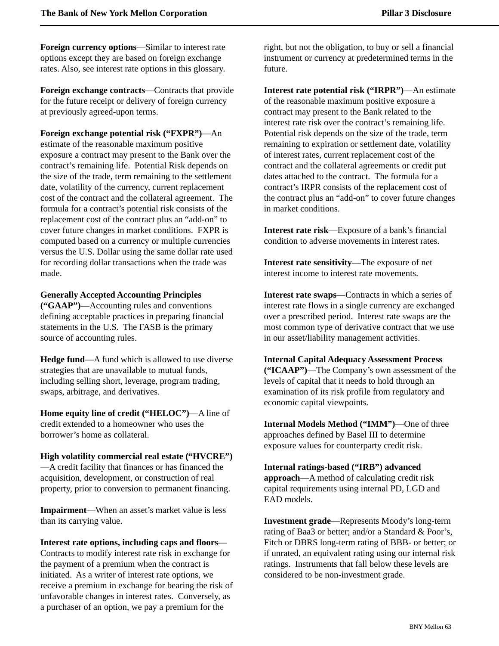**Foreign currency options**—Similar to interest rate options except they are based on foreign exchange rates. Also, see interest rate options in this glossary.

**Foreign exchange contracts**—Contracts that provide for the future receipt or delivery of foreign currency at previously agreed-upon terms.

**Foreign exchange potential risk ("FXPR")**—An

estimate of the reasonable maximum positive exposure a contract may present to the Bank over the contract's remaining life. Potential Risk depends on the size of the trade, term remaining to the settlement date, volatility of the currency, current replacement cost of the contract and the collateral agreement. The formula for a contract's potential risk consists of the replacement cost of the contract plus an "add-on" to cover future changes in market conditions. FXPR is computed based on a currency or multiple currencies versus the U.S. Dollar using the same dollar rate used for recording dollar transactions when the trade was made.

### **Generally Accepted Accounting Principles**

**("GAAP")**—Accounting rules and conventions defining acceptable practices in preparing financial statements in the U.S. The FASB is the primary source of accounting rules.

**Hedge fund**—A fund which is allowed to use diverse strategies that are unavailable to mutual funds, including selling short, leverage, program trading, swaps, arbitrage, and derivatives.

**Home equity line of credit ("HELOC")**—A line of credit extended to a homeowner who uses the borrower's home as collateral.

### **High volatility commercial real estate ("HVCRE")**

—A credit facility that finances or has financed the acquisition, development, or construction of real property, prior to conversion to permanent financing.

**Impairment**—When an asset's market value is less than its carrying value.

### **Interest rate options, including caps and floors**—

Contracts to modify interest rate risk in exchange for the payment of a premium when the contract is initiated. As a writer of interest rate options, we receive a premium in exchange for bearing the risk of unfavorable changes in interest rates. Conversely, as a purchaser of an option, we pay a premium for the

right, but not the obligation, to buy or sell a financial instrument or currency at predetermined terms in the future.

**Interest rate potential risk ("IRPR")**—An estimate of the reasonable maximum positive exposure a contract may present to the Bank related to the interest rate risk over the contract's remaining life. Potential risk depends on the size of the trade, term remaining to expiration or settlement date, volatility of interest rates, current replacement cost of the contract and the collateral agreements or credit put dates attached to the contract. The formula for a contract's IRPR consists of the replacement cost of the contract plus an "add-on" to cover future changes in market conditions.

**Interest rate risk**—Exposure of a bank's financial condition to adverse movements in interest rates.

**Interest rate sensitivity**—The exposure of net interest income to interest rate movements.

**Interest rate swaps**—Contracts in which a series of interest rate flows in a single currency are exchanged over a prescribed period. Interest rate swaps are the most common type of derivative contract that we use in our asset/liability management activities.

#### **Internal Capital Adequacy Assessment Process**

**("ICAAP")**—The Company's own assessment of the levels of capital that it needs to hold through an examination of its risk profile from regulatory and economic capital viewpoints.

**Internal Models Method ("IMM")**—One of three approaches defined by Basel III to determine exposure values for counterparty credit risk.

#### **Internal ratings-based ("IRB") advanced**

**approach**—A method of calculating credit risk capital requirements using internal PD, LGD and EAD models.

**Investment grade**—Represents Moody's long-term rating of Baa3 or better; and/or a Standard & Poor's, Fitch or DBRS long-term rating of BBB- or better; or if unrated, an equivalent rating using our internal risk ratings. Instruments that fall below these levels are considered to be non-investment grade.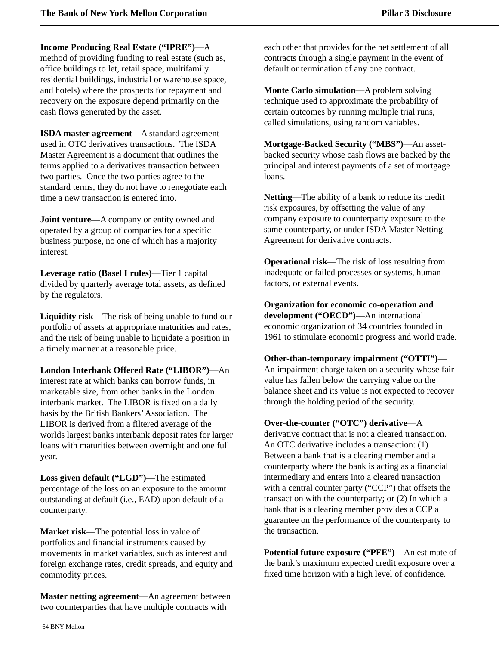**Income Producing Real Estate ("IPRE")**—A method of providing funding to real estate (such as, office buildings to let, retail space, multifamily residential buildings, industrial or warehouse space, and hotels) where the prospects for repayment and recovery on the exposure depend primarily on the cash flows generated by the asset.

**ISDA master agreement**—A standard agreement used in OTC derivatives transactions. The ISDA Master Agreement is a document that outlines the terms applied to a derivatives transaction between two parties. Once the two parties agree to the standard terms, they do not have to renegotiate each time a new transaction is entered into.

**Joint venture—A** company or entity owned and operated by a group of companies for a specific business purpose, no one of which has a majority interest.

**Leverage ratio (Basel I rules)**—Tier 1 capital divided by quarterly average total assets, as defined by the regulators.

**Liquidity risk**—The risk of being unable to fund our portfolio of assets at appropriate maturities and rates, and the risk of being unable to liquidate a position in a timely manner at a reasonable price.

**London Interbank Offered Rate ("LIBOR")**—An interest rate at which banks can borrow funds, in marketable size, from other banks in the London interbank market. The LIBOR is fixed on a daily basis by the British Bankers'Association. The LIBOR is derived from a filtered average of the worlds largest banks interbank deposit rates for larger loans with maturities between overnight and one full year.

**Loss given default ("LGD")**—The estimated percentage of the loss on an exposure to the amount outstanding at default (i.e., EAD) upon default of a counterparty.

**Market risk**—The potential loss in value of portfolios and financial instruments caused by movements in market variables, such as interest and foreign exchange rates, credit spreads, and equity and commodity prices.

**Master netting agreement**—An agreement between two counterparties that have multiple contracts with

each other that provides for the net settlement of all contracts through a single payment in the event of default or termination of any one contract.

**Monte Carlo simulation**—A problem solving technique used to approximate the probability of certain outcomes by running multiple trial runs, called simulations, using random variables.

**Mortgage-Backed Security ("MBS")**—An assetbacked security whose cash flows are backed by the principal and interest payments of a set of mortgage loans.

**Netting**—The ability of a bank to reduce its credit risk exposures, by offsetting the value of any company exposure to counterparty exposure to the same counterparty, or under ISDA Master Netting Agreement for derivative contracts.

**Operational risk**—The risk of loss resulting from inadequate or failed processes or systems, human factors, or external events.

**Organization for economic co-operation and development ("OECD")**—An international economic organization of 34 countries founded in 1961 to stimulate economic progress and world trade.

# **Other-than-temporary impairment ("OTTI")**—

An impairment charge taken on a security whose fair value has fallen below the carrying value on the balance sheet and its value is not expected to recover through the holding period of the security.

**Over-the-counter ("OTC") derivative**—A derivative contract that is not a cleared transaction. An OTC derivative includes a transaction: (1) Between a bank that is a clearing member and a counterparty where the bank is acting as a financial intermediary and enters into a cleared transaction with a central counter party ("CCP") that offsets the transaction with the counterparty; or (2) In which a bank that is a clearing member provides a CCP a guarantee on the performance of the counterparty to the transaction.

**Potential future exposure ("PFE")**—An estimate of the bank's maximum expected credit exposure over a fixed time horizon with a high level of confidence.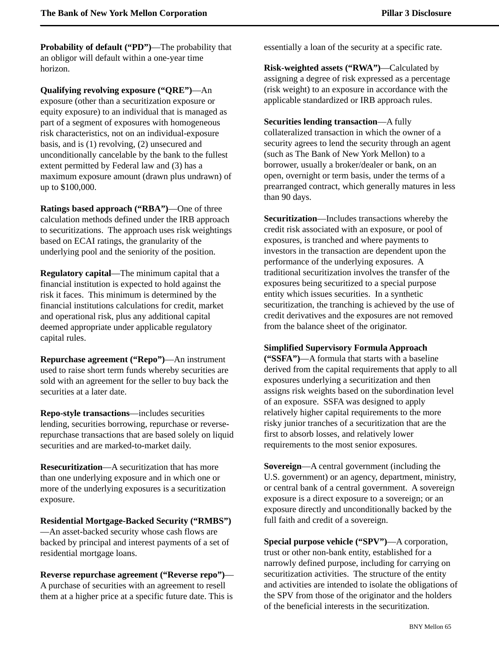**Probability of default ("PD")—The probability that** an obligor will default within a one-year time horizon.

**Qualifying revolving exposure ("QRE")**—An exposure (other than a securitization exposure or equity exposure) to an individual that is managed as part of a segment of exposures with homogeneous risk characteristics, not on an individual-exposure basis, and is (1) revolving, (2) unsecured and unconditionally cancelable by the bank to the fullest extent permitted by Federal law and (3) has a maximum exposure amount (drawn plus undrawn) of up to \$100,000.

**Ratings based approach ("RBA")**—One of three calculation methods defined under the IRB approach to securitizations. The approach uses risk weightings based on ECAI ratings, the granularity of the underlying pool and the seniority of the position.

**Regulatory capital**—The minimum capital that a financial institution is expected to hold against the risk it faces. This minimum is determined by the financial institutions calculations for credit, market and operational risk, plus any additional capital deemed appropriate under applicable regulatory capital rules.

**Repurchase agreement ("Repo")**—An instrument used to raise short term funds whereby securities are sold with an agreement for the seller to buy back the securities at a later date.

**Repo-style transactions**—includes securities lending, securities borrowing, repurchase or reverserepurchase transactions that are based solely on liquid securities and are marked-to-market daily.

**Resecuritization**—A securitization that has more than one underlying exposure and in which one or more of the underlying exposures is a securitization exposure.

**Residential Mortgage-Backed Security ("RMBS")** —An asset-backed security whose cash flows are backed by principal and interest payments of a set of

residential mortgage loans.

**Reverse repurchase agreement ("Reverse repo")**— A purchase of securities with an agreement to resell them at a higher price at a specific future date. This is

essentially a loan of the security at a specific rate.

**Risk-weighted assets ("RWA")**—Calculated by assigning a degree of risk expressed as a percentage (risk weight) to an exposure in accordance with the applicable standardized or IRB approach rules.

**Securities lending transaction**—A fully collateralized transaction in which the owner of a security agrees to lend the security through an agent (such as The Bank of New York Mellon) to a borrower, usually a broker/dealer or bank, on an open, overnight or term basis, under the terms of a prearranged contract, which generally matures in less than 90 days.

**Securitization**—Includes transactions whereby the credit risk associated with an exposure, or pool of exposures, is tranched and where payments to investors in the transaction are dependent upon the performance of the underlying exposures. A traditional securitization involves the transfer of the exposures being securitized to a special purpose entity which issues securities. In a synthetic securitization, the tranching is achieved by the use of credit derivatives and the exposures are not removed from the balance sheet of the originator.

# **Simplified Supervisory Formula Approach**

**("SSFA")**—A formula that starts with a baseline derived from the capital requirements that apply to all exposures underlying a securitization and then assigns risk weights based on the subordination level of an exposure. SSFA was designed to apply relatively higher capital requirements to the more risky junior tranches of a securitization that are the first to absorb losses, and relatively lower requirements to the most senior exposures.

**Sovereign**—A central government (including the U.S. government) or an agency, department, ministry, or central bank of a central government. A sovereign exposure is a direct exposure to a sovereign; or an exposure directly and unconditionally backed by the full faith and credit of a sovereign.

**Special purpose vehicle ("SPV")**—A corporation, trust or other non-bank entity, established for a narrowly defined purpose, including for carrying on securitization activities. The structure of the entity and activities are intended to isolate the obligations of the SPV from those of the originator and the holders of the beneficial interests in the securitization.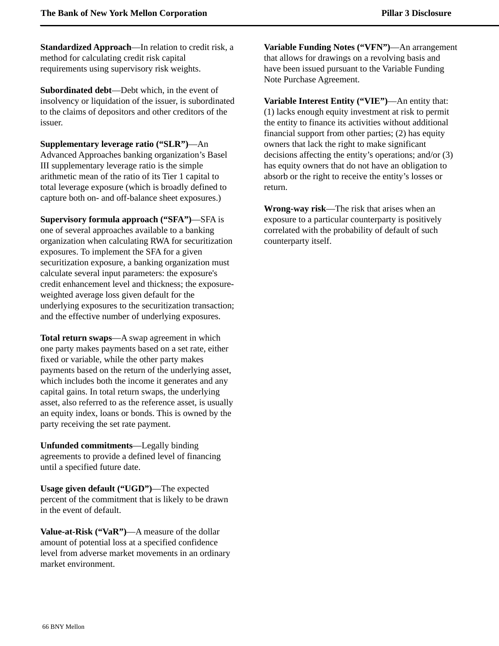**Standardized Approach**—In relation to credit risk, a method for calculating credit risk capital requirements using supervisory risk weights.

**Subordinated debt**—Debt which, in the event of insolvency or liquidation of the issuer, is subordinated to the claims of depositors and other creditors of the issuer.

**Supplementary leverage ratio ("SLR")**—An

Advanced Approaches banking organization's Basel III supplementary leverage ratio is the simple arithmetic mean of the ratio of its Tier 1 capital to total leverage exposure (which is broadly defined to capture both on- and off-balance sheet exposures.)

**Supervisory formula approach ("SFA")**—SFA is one of several approaches available to a banking organization when calculating RWA for securitization exposures. To implement the SFA for a given securitization exposure, a banking organization must calculate several input parameters: the exposure's credit enhancement level and thickness; the exposureweighted average loss given default for the underlying exposures to the securitization transaction; and the effective number of underlying exposures.

**Total return swaps**—A swap agreement in which one party makes payments based on a set rate, either fixed or variable, while the other party makes payments based on the return of the underlying asset, which includes both the income it generates and any capital gains. In total return swaps, the underlying asset, also referred to as the reference asset, is usually an equity index, loans or bonds. This is owned by the party receiving the set rate payment.

**Unfunded commitments**—Legally binding agreements to provide a defined level of financing until a specified future date.

**Usage given default ("UGD")**—The expected percent of the commitment that is likely to be drawn in the event of default.

**Value-at-Risk ("VaR")**—A measure of the dollar amount of potential loss at a specified confidence level from adverse market movements in an ordinary market environment.

**Variable Funding Notes ("VFN")**—An arrangement that allows for drawings on a revolving basis and have been issued pursuant to the Variable Funding Note Purchase Agreement.

**Variable Interest Entity ("VIE")**—An entity that: (1) lacks enough equity investment at risk to permit the entity to finance its activities without additional financial support from other parties; (2) has equity owners that lack the right to make significant decisions affecting the entity's operations; and/or (3) has equity owners that do not have an obligation to absorb or the right to receive the entity's losses or return.

**Wrong-way risk**—The risk that arises when an exposure to a particular counterparty is positively correlated with the probability of default of such counterparty itself.